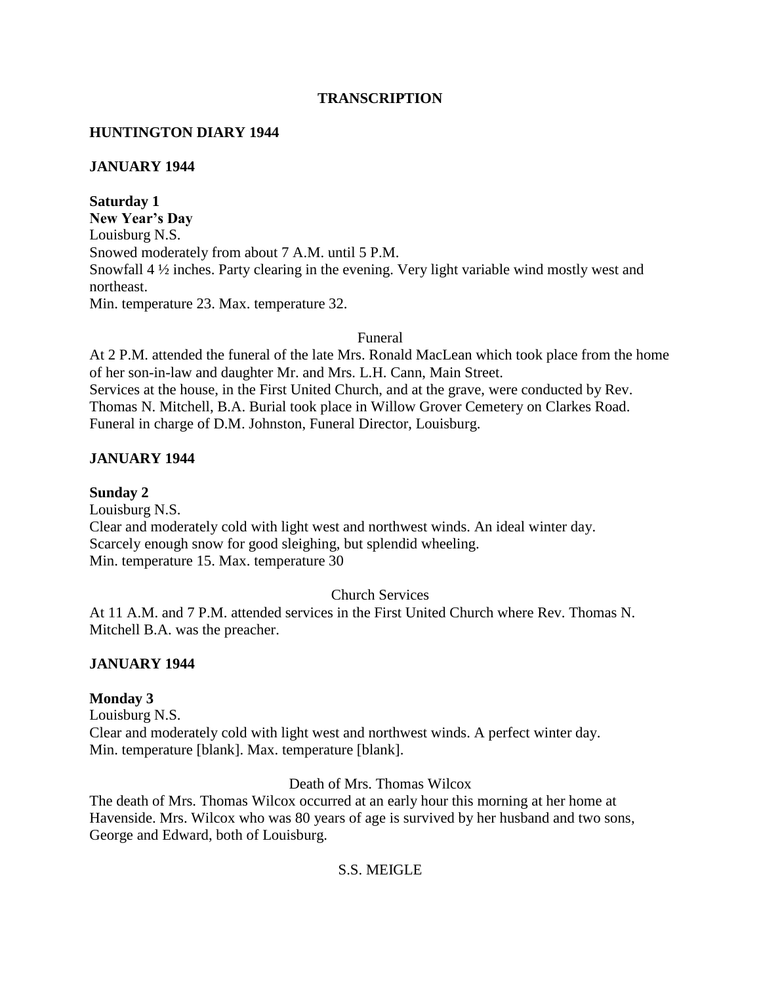# **TRANSCRIPTION**

# **HUNTINGTON DIARY 1944**

# **JANUARY 1944**

## **Saturday 1**

**New Year's Day** Louisburg N.S. Snowed moderately from about 7 A.M. until 5 P.M. Snowfall 4 ½ inches. Party clearing in the evening. Very light variable wind mostly west and northeast. Min. temperature 23. Max. temperature 32.

# Funeral

At 2 P.M. attended the funeral of the late Mrs. Ronald MacLean which took place from the home of her son-in-law and daughter Mr. and Mrs. L.H. Cann, Main Street. Services at the house, in the First United Church, and at the grave, were conducted by Rev. Thomas N. Mitchell, B.A. Burial took place in Willow Grover Cemetery on Clarkes Road. Funeral in charge of D.M. Johnston, Funeral Director, Louisburg.

# **JANUARY 1944**

**Sunday 2** Louisburg N.S. Clear and moderately cold with light west and northwest winds. An ideal winter day. Scarcely enough snow for good sleighing, but splendid wheeling. Min. temperature 15. Max. temperature 30

# Church Services

At 11 A.M. and 7 P.M. attended services in the First United Church where Rev. Thomas N. Mitchell B.A. was the preacher.

# **JANUARY 1944**

# **Monday 3**

Louisburg N.S. Clear and moderately cold with light west and northwest winds. A perfect winter day. Min. temperature [blank]. Max. temperature [blank].

# Death of Mrs. Thomas Wilcox

The death of Mrs. Thomas Wilcox occurred at an early hour this morning at her home at Havenside. Mrs. Wilcox who was 80 years of age is survived by her husband and two sons, George and Edward, both of Louisburg.

# S.S. MEIGLE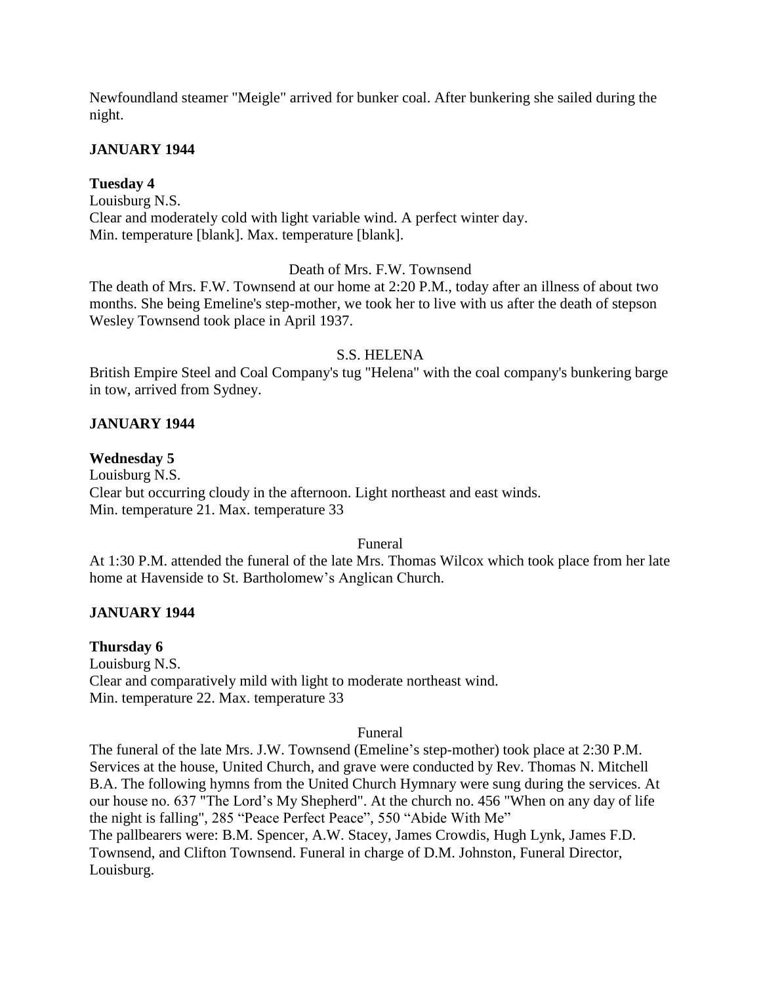Newfoundland steamer "Meigle" arrived for bunker coal. After bunkering she sailed during the night.

# **JANUARY 1944**

# **Tuesday 4**

Louisburg N.S. Clear and moderately cold with light variable wind. A perfect winter day. Min. temperature [blank]. Max. temperature [blank].

# Death of Mrs. F.W. Townsend

The death of Mrs. F.W. Townsend at our home at 2:20 P.M., today after an illness of about two months. She being Emeline's step-mother, we took her to live with us after the death of stepson Wesley Townsend took place in April 1937.

## S.S. HELENA

British Empire Steel and Coal Company's tug "Helena" with the coal company's bunkering barge in tow, arrived from Sydney.

# **JANUARY 1944**

## **Wednesday 5**

Louisburg N.S. Clear but occurring cloudy in the afternoon. Light northeast and east winds. Min. temperature 21. Max. temperature 33

## Funeral

At 1:30 P.M. attended the funeral of the late Mrs. Thomas Wilcox which took place from her late home at Havenside to St. Bartholomew's Anglican Church.

## **JANUARY 1944**

## **Thursday 6**

Louisburg N.S. Clear and comparatively mild with light to moderate northeast wind. Min. temperature 22. Max. temperature 33

## Funeral

The funeral of the late Mrs. J.W. Townsend (Emeline's step-mother) took place at 2:30 P.M. Services at the house, United Church, and grave were conducted by Rev. Thomas N. Mitchell B.A. The following hymns from the United Church Hymnary were sung during the services. At our house no. 637 "The Lord's My Shepherd". At the church no. 456 "When on any day of life the night is falling", 285 "Peace Perfect Peace", 550 "Abide With Me" The pallbearers were: B.M. Spencer, A.W. Stacey, James Crowdis, Hugh Lynk, James F.D. Townsend, and Clifton Townsend. Funeral in charge of D.M. Johnston, Funeral Director, Louisburg.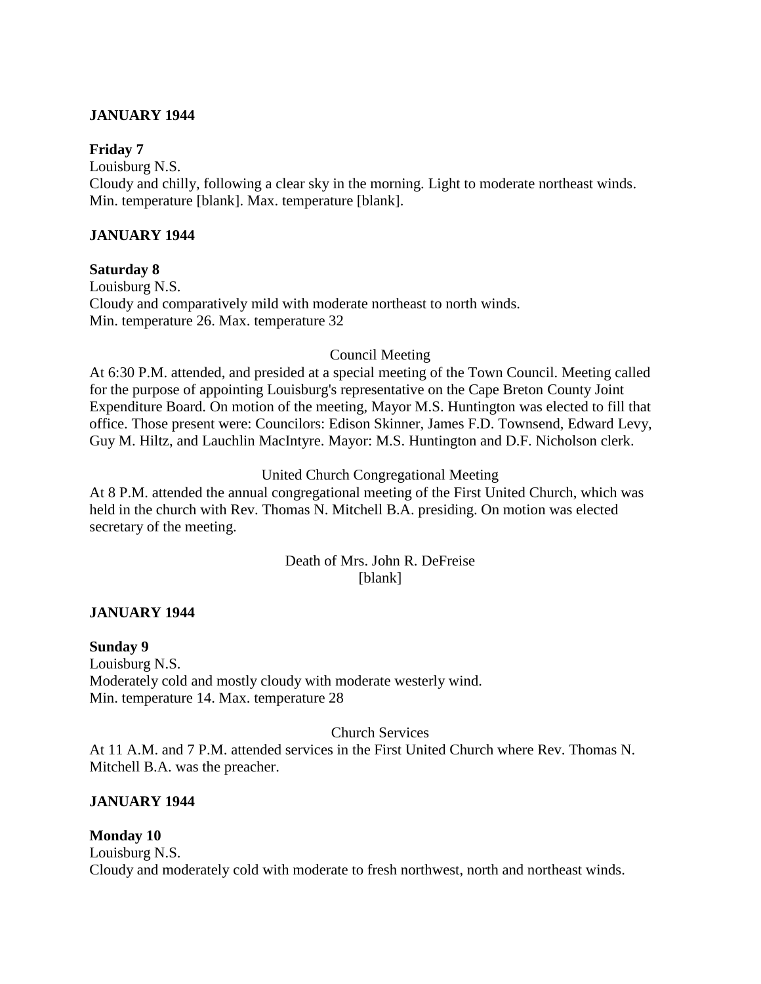# **JANUARY 1944**

## **Friday 7**

Louisburg N.S. Cloudy and chilly, following a clear sky in the morning. Light to moderate northeast winds. Min. temperature [blank]. Max. temperature [blank].

# **JANUARY 1944**

## **Saturday 8**

Louisburg N.S. Cloudy and comparatively mild with moderate northeast to north winds. Min. temperature 26. Max. temperature 32

## Council Meeting

At 6:30 P.M. attended, and presided at a special meeting of the Town Council. Meeting called for the purpose of appointing Louisburg's representative on the Cape Breton County Joint Expenditure Board. On motion of the meeting, Mayor M.S. Huntington was elected to fill that office. Those present were: Councilors: Edison Skinner, James F.D. Townsend, Edward Levy, Guy M. Hiltz, and Lauchlin MacIntyre. Mayor: M.S. Huntington and D.F. Nicholson clerk.

## United Church Congregational Meeting

At 8 P.M. attended the annual congregational meeting of the First United Church, which was held in the church with Rev. Thomas N. Mitchell B.A. presiding. On motion was elected secretary of the meeting.

# Death of Mrs. John R. DeFreise [blank]

## **JANUARY 1944**

**Sunday 9** Louisburg N.S. Moderately cold and mostly cloudy with moderate westerly wind. Min. temperature 14. Max. temperature 28

## Church Services

At 11 A.M. and 7 P.M. attended services in the First United Church where Rev. Thomas N. Mitchell B.A. was the preacher.

## **JANUARY 1944**

## **Monday 10**

Louisburg N.S. Cloudy and moderately cold with moderate to fresh northwest, north and northeast winds.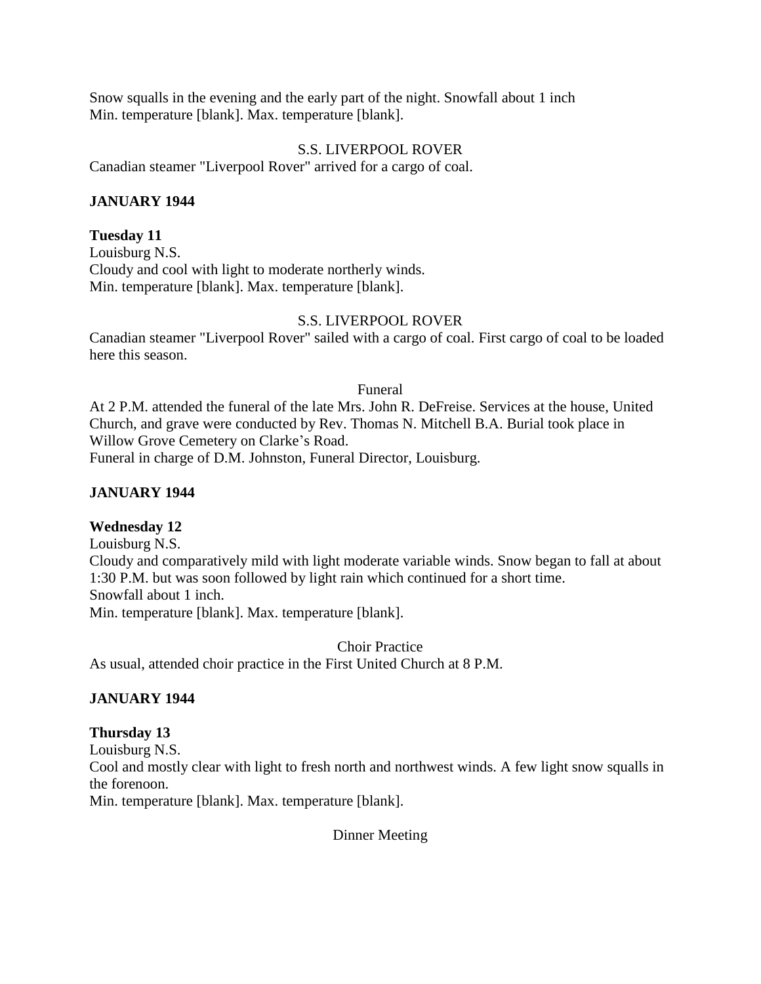Snow squalls in the evening and the early part of the night. Snowfall about 1 inch Min. temperature [blank]. Max. temperature [blank].

## S.S. LIVERPOOL ROVER

Canadian steamer "Liverpool Rover" arrived for a cargo of coal.

# **JANUARY 1944**

# **Tuesday 11**

Louisburg N.S. Cloudy and cool with light to moderate northerly winds. Min. temperature [blank]. Max. temperature [blank].

# S.S. LIVERPOOL ROVER

Canadian steamer "Liverpool Rover" sailed with a cargo of coal. First cargo of coal to be loaded here this season.

Funeral

At 2 P.M. attended the funeral of the late Mrs. John R. DeFreise. Services at the house, United Church, and grave were conducted by Rev. Thomas N. Mitchell B.A. Burial took place in Willow Grove Cemetery on Clarke's Road.

Funeral in charge of D.M. Johnston, Funeral Director, Louisburg.

# **JANUARY 1944**

# **Wednesday 12**

Louisburg N.S. Cloudy and comparatively mild with light moderate variable winds. Snow began to fall at about 1:30 P.M. but was soon followed by light rain which continued for a short time. Snowfall about 1 inch. Min. temperature [blank]. Max. temperature [blank].

Choir Practice As usual, attended choir practice in the First United Church at 8 P.M.

# **JANUARY 1944**

## **Thursday 13**

Louisburg N.S. Cool and mostly clear with light to fresh north and northwest winds. A few light snow squalls in the forenoon. Min. temperature [blank]. Max. temperature [blank].

Dinner Meeting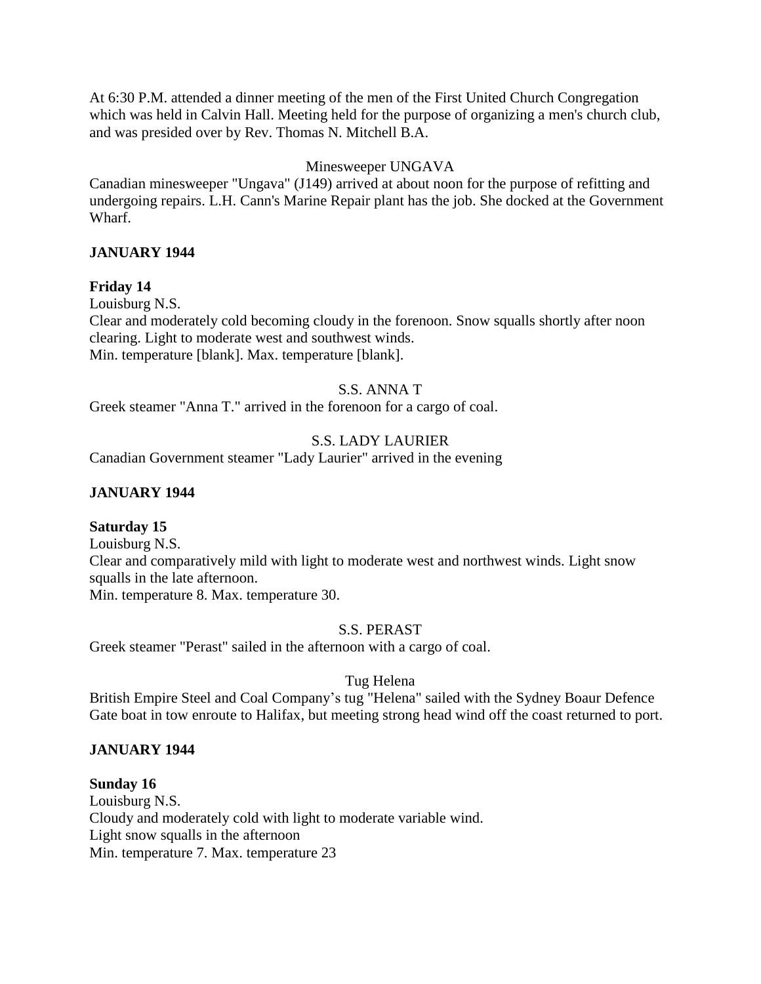At 6:30 P.M. attended a dinner meeting of the men of the First United Church Congregation which was held in Calvin Hall. Meeting held for the purpose of organizing a men's church club, and was presided over by Rev. Thomas N. Mitchell B.A.

# Minesweeper UNGAVA

Canadian minesweeper "Ungava" (J149) arrived at about noon for the purpose of refitting and undergoing repairs. L.H. Cann's Marine Repair plant has the job. She docked at the Government Wharf.

# **JANUARY 1944**

# **Friday 14**

Louisburg N.S.

Clear and moderately cold becoming cloudy in the forenoon. Snow squalls shortly after noon clearing. Light to moderate west and southwest winds. Min. temperature [blank]. Max. temperature [blank].

# S.S. ANNA T

Greek steamer "Anna T." arrived in the forenoon for a cargo of coal.

# S.S. LADY LAURIER

Canadian Government steamer "Lady Laurier" arrived in the evening

# **JANUARY 1944**

# **Saturday 15**

Louisburg N.S. Clear and comparatively mild with light to moderate west and northwest winds. Light snow squalls in the late afternoon. Min. temperature 8. Max. temperature 30.

# S.S. PERAST

Greek steamer "Perast" sailed in the afternoon with a cargo of coal.

# Tug Helena

British Empire Steel and Coal Company's tug "Helena" sailed with the Sydney Boaur Defence Gate boat in tow enroute to Halifax, but meeting strong head wind off the coast returned to port.

# **JANUARY 1944**

**Sunday 16** Louisburg N.S. Cloudy and moderately cold with light to moderate variable wind. Light snow squalls in the afternoon Min. temperature 7. Max. temperature 23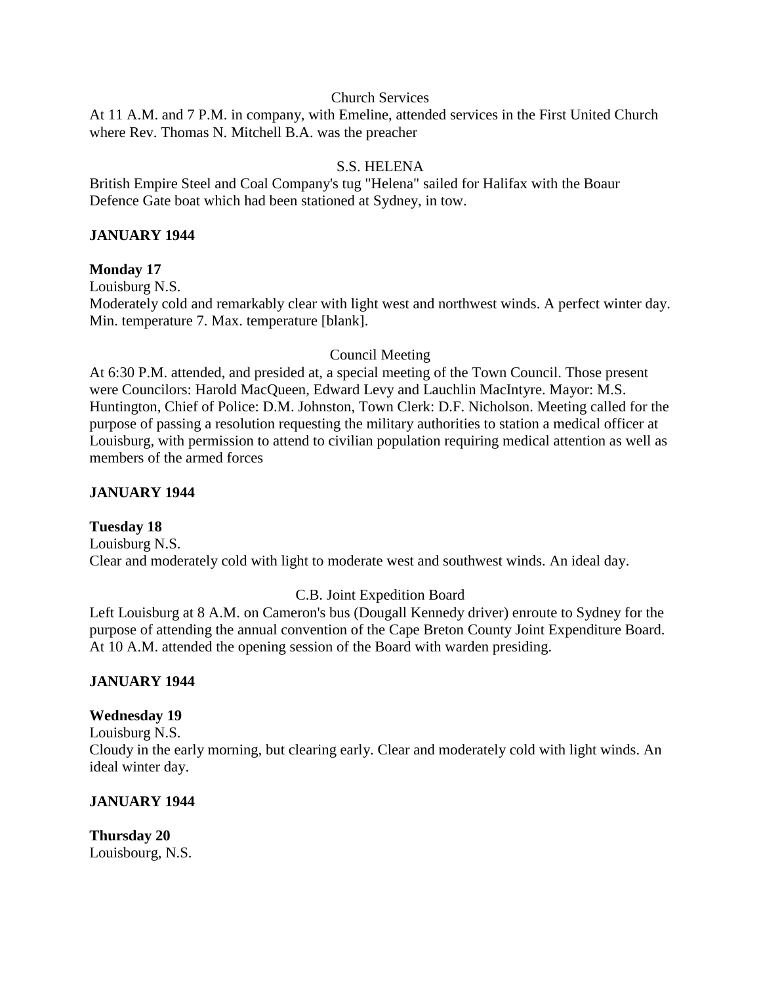#### Church Services

At 11 A.M. and 7 P.M. in company, with Emeline, attended services in the First United Church where Rev. Thomas N. Mitchell B.A. was the preacher

# S.S. HELENA

British Empire Steel and Coal Company's tug "Helena" sailed for Halifax with the Boaur Defence Gate boat which had been stationed at Sydney, in tow.

## **JANUARY 1944**

## **Monday 17**

Louisburg N.S. Moderately cold and remarkably clear with light west and northwest winds. A perfect winter day. Min. temperature 7. Max. temperature [blank].

## Council Meeting

At 6:30 P.M. attended, and presided at, a special meeting of the Town Council. Those present were Councilors: Harold MacQueen, Edward Levy and Lauchlin MacIntyre. Mayor: M.S. Huntington, Chief of Police: D.M. Johnston, Town Clerk: D.F. Nicholson. Meeting called for the purpose of passing a resolution requesting the military authorities to station a medical officer at Louisburg, with permission to attend to civilian population requiring medical attention as well as members of the armed forces

## **JANUARY 1944**

## **Tuesday 18**

Louisburg N.S. Clear and moderately cold with light to moderate west and southwest winds. An ideal day.

## C.B. Joint Expedition Board

Left Louisburg at 8 A.M. on Cameron's bus (Dougall Kennedy driver) enroute to Sydney for the purpose of attending the annual convention of the Cape Breton County Joint Expenditure Board. At 10 A.M. attended the opening session of the Board with warden presiding.

## **JANUARY 1944**

#### **Wednesday 19**

Louisburg N.S.

Cloudy in the early morning, but clearing early. Clear and moderately cold with light winds. An ideal winter day.

## **JANUARY 1944**

**Thursday 20** Louisbourg, N.S.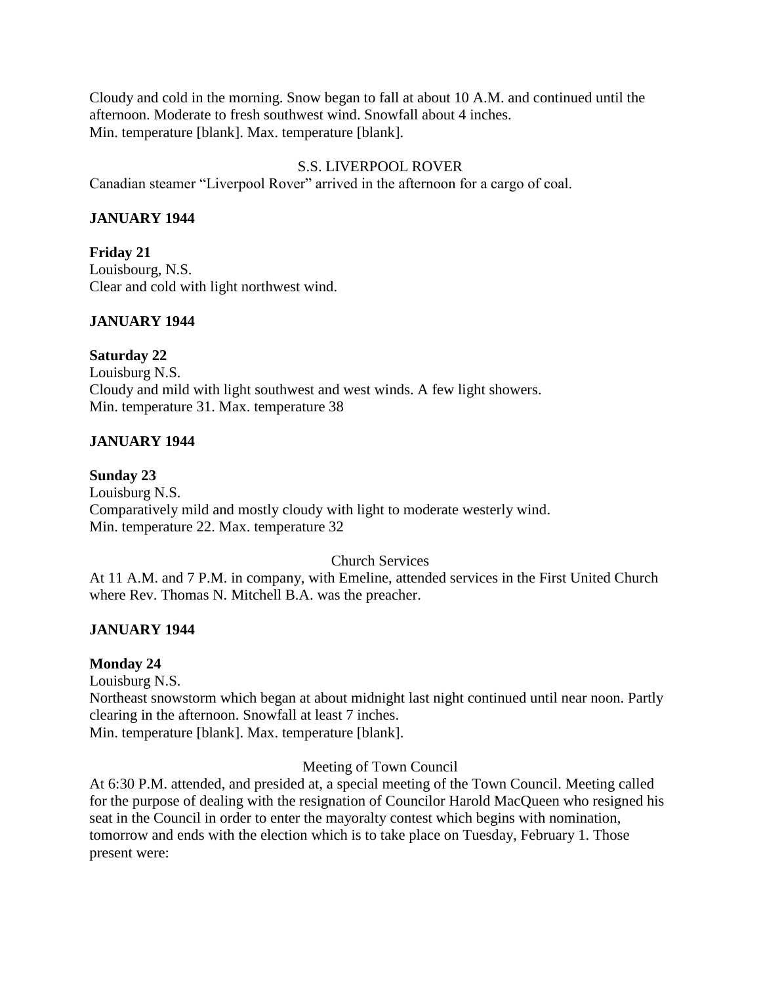Cloudy and cold in the morning. Snow began to fall at about 10 A.M. and continued until the afternoon. Moderate to fresh southwest wind. Snowfall about 4 inches. Min. temperature [blank]. Max. temperature [blank].

# S.S. LIVERPOOL ROVER

Canadian steamer "Liverpool Rover" arrived in the afternoon for a cargo of coal.

# **JANUARY 1944**

**Friday 21** Louisbourg, N.S. Clear and cold with light northwest wind.

# **JANUARY 1944**

**Saturday 22** Louisburg N.S. Cloudy and mild with light southwest and west winds. A few light showers. Min. temperature 31. Max. temperature 38

# **JANUARY 1944**

# **Sunday 23**

Louisburg N.S. Comparatively mild and mostly cloudy with light to moderate westerly wind. Min. temperature 22. Max. temperature 32

Church Services

At 11 A.M. and 7 P.M. in company, with Emeline, attended services in the First United Church where Rev. Thomas N. Mitchell B.A. was the preacher.

# **JANUARY 1944**

# **Monday 24**

Louisburg N.S.

Northeast snowstorm which began at about midnight last night continued until near noon. Partly clearing in the afternoon. Snowfall at least 7 inches. Min. temperature [blank]. Max. temperature [blank].

Meeting of Town Council

At 6:30 P.M. attended, and presided at, a special meeting of the Town Council. Meeting called for the purpose of dealing with the resignation of Councilor Harold MacQueen who resigned his seat in the Council in order to enter the mayoralty contest which begins with nomination, tomorrow and ends with the election which is to take place on Tuesday, February 1. Those present were: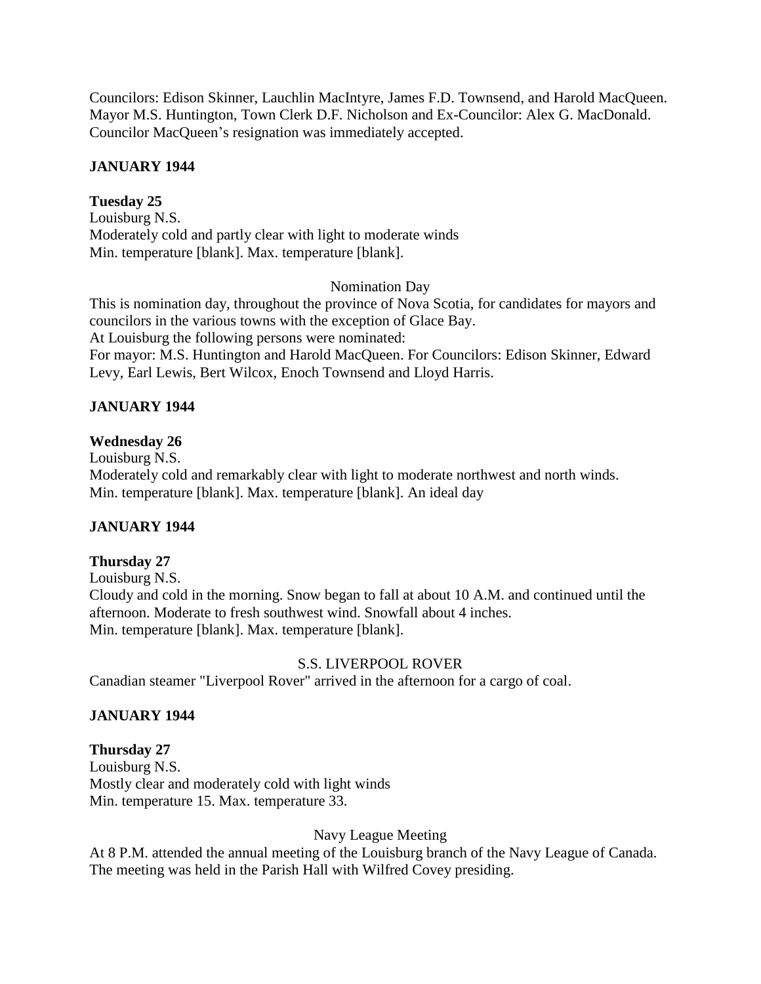Councilors: Edison Skinner, Lauchlin MacIntyre, James F.D. Townsend, and Harold MacQueen. Mayor M.S. Huntington, Town Clerk D.F. Nicholson and Ex-Councilor: Alex G. MacDonald. Councilor MacQueen's resignation was immediately accepted.

# **JANUARY 1944**

# **Tuesday 25**

Louisburg N.S. Moderately cold and partly clear with light to moderate winds Min. temperature [blank]. Max. temperature [blank].

# Nomination Day

This is nomination day, throughout the province of Nova Scotia, for candidates for mayors and councilors in the various towns with the exception of Glace Bay. At Louisburg the following persons were nominated: For mayor: M.S. Huntington and Harold MacQueen. For Councilors: Edison Skinner, Edward Levy, Earl Lewis, Bert Wilcox, Enoch Townsend and Lloyd Harris.

# **JANUARY 1944**

# **Wednesday 26**

Louisburg N.S. Moderately cold and remarkably clear with light to moderate northwest and north winds. Min. temperature [blank]. Max. temperature [blank]. An ideal day

# **JANUARY 1944**

# **Thursday 27**

Louisburg N.S. Cloudy and cold in the morning. Snow began to fall at about 10 A.M. and continued until the afternoon. Moderate to fresh southwest wind. Snowfall about 4 inches. Min. temperature [blank]. Max. temperature [blank].

# S.S. LIVERPOOL ROVER

Canadian steamer "Liverpool Rover" arrived in the afternoon for a cargo of coal.

# **JANUARY 1944**

# **Thursday 27**

Louisburg N.S. Mostly clear and moderately cold with light winds Min. temperature 15. Max. temperature 33.

Navy League Meeting

At 8 P.M. attended the annual meeting of the Louisburg branch of the Navy League of Canada. The meeting was held in the Parish Hall with Wilfred Covey presiding.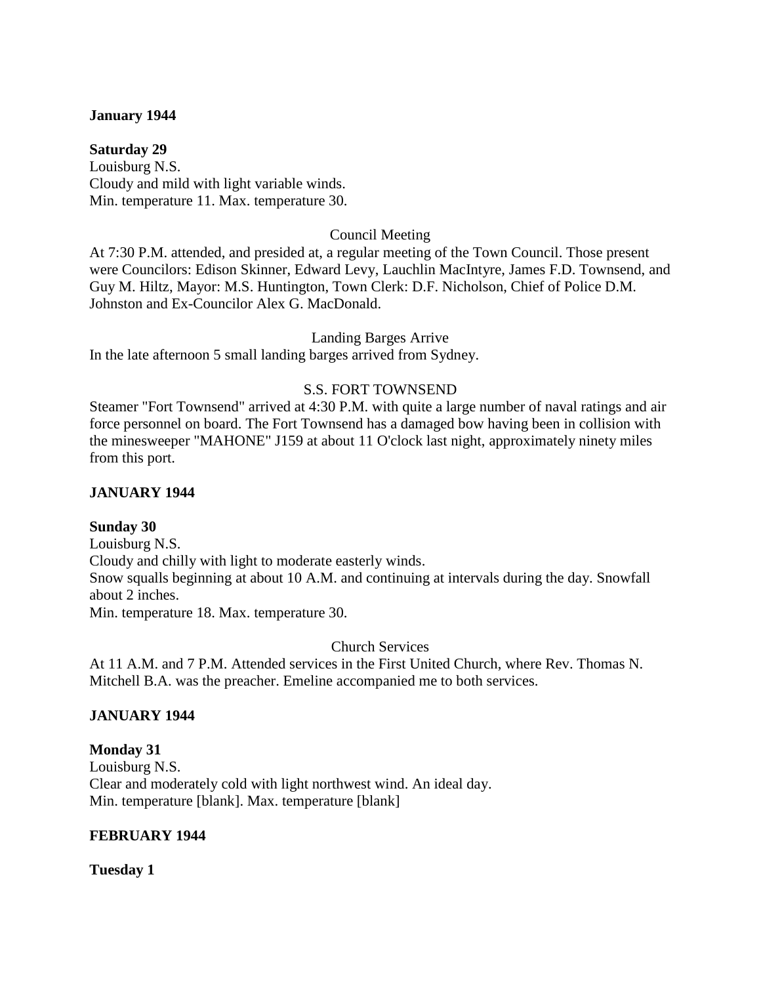## **January 1944**

**Saturday 29** Louisburg N.S. Cloudy and mild with light variable winds. Min. temperature 11. Max. temperature 30.

# Council Meeting

At 7:30 P.M. attended, and presided at, a regular meeting of the Town Council. Those present were Councilors: Edison Skinner, Edward Levy, Lauchlin MacIntyre, James F.D. Townsend, and Guy M. Hiltz, Mayor: M.S. Huntington, Town Clerk: D.F. Nicholson, Chief of Police D.M. Johnston and Ex-Councilor Alex G. MacDonald.

Landing Barges Arrive

In the late afternoon 5 small landing barges arrived from Sydney.

# S.S. FORT TOWNSEND

Steamer "Fort Townsend" arrived at 4:30 P.M. with quite a large number of naval ratings and air force personnel on board. The Fort Townsend has a damaged bow having been in collision with the minesweeper "MAHONE" J159 at about 11 O'clock last night, approximately ninety miles from this port.

# **JANUARY 1944**

## **Sunday 30**

Louisburg N.S. Cloudy and chilly with light to moderate easterly winds. Snow squalls beginning at about 10 A.M. and continuing at intervals during the day. Snowfall about 2 inches. Min. temperature 18. Max. temperature 30.

Church Services

At 11 A.M. and 7 P.M. Attended services in the First United Church, where Rev. Thomas N. Mitchell B.A. was the preacher. Emeline accompanied me to both services.

# **JANUARY 1944**

# **Monday 31**

Louisburg N.S. Clear and moderately cold with light northwest wind. An ideal day. Min. temperature [blank]. Max. temperature [blank]

## **FEBRUARY 1944**

**Tuesday 1**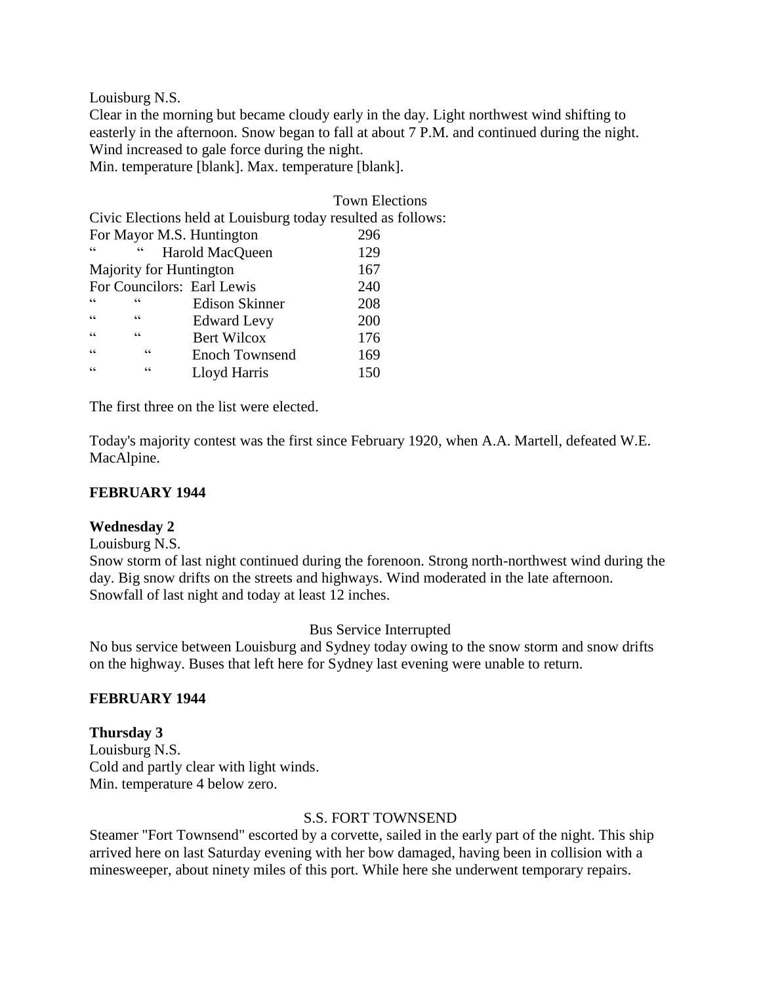Louisburg N.S.

Clear in the morning but became cloudy early in the day. Light northwest wind shifting to easterly in the afternoon. Snow began to fall at about 7 P.M. and continued during the night. Wind increased to gale force during the night.

Min. temperature [blank]. Max. temperature [blank].

|                                                              |                 |                            | <b>Town Elections</b> |
|--------------------------------------------------------------|-----------------|----------------------------|-----------------------|
| Civic Elections held at Louisburg today resulted as follows: |                 |                            |                       |
| For Mayor M.S. Huntington                                    |                 |                            | 296                   |
| C C                                                          | $\epsilon$      | Harold MacQueen            | 129                   |
| Majority for Huntington                                      |                 |                            | 167                   |
|                                                              |                 | For Councilors: Earl Lewis | 240                   |
| cc                                                           | $\epsilon$      | <b>Edison Skinner</b>      | 208                   |
| $\epsilon$                                                   | cc              | <b>Edward Levy</b>         | 200                   |
| $\epsilon$                                                   | $\zeta$ $\zeta$ | <b>Bert Wilcox</b>         | 176                   |
| $\epsilon$                                                   | C               | <b>Enoch Townsend</b>      | 169                   |
| $\epsilon$                                                   | C C             | Lloyd Harris               | 150                   |
|                                                              |                 |                            |                       |

The first three on the list were elected.

Today's majority contest was the first since February 1920, when A.A. Martell, defeated W.E. MacAlpine.

## **FEBRUARY 1944**

## **Wednesday 2**

Louisburg N.S.

Snow storm of last night continued during the forenoon. Strong north-northwest wind during the day. Big snow drifts on the streets and highways. Wind moderated in the late afternoon. Snowfall of last night and today at least 12 inches.

Bus Service Interrupted

No bus service between Louisburg and Sydney today owing to the snow storm and snow drifts on the highway. Buses that left here for Sydney last evening were unable to return.

## **FEBRUARY 1944**

# **Thursday 3**

Louisburg N.S. Cold and partly clear with light winds. Min. temperature 4 below zero.

## S.S. FORT TOWNSEND

Steamer "Fort Townsend" escorted by a corvette, sailed in the early part of the night. This ship arrived here on last Saturday evening with her bow damaged, having been in collision with a minesweeper, about ninety miles of this port. While here she underwent temporary repairs.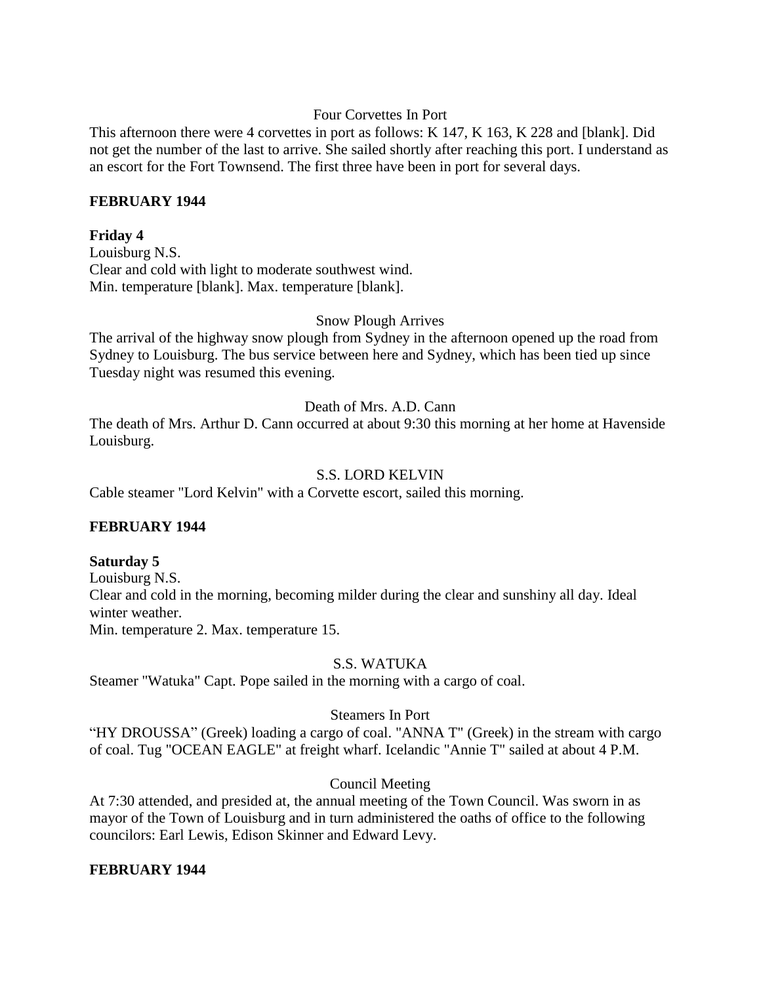# Four Corvettes In Port

This afternoon there were 4 corvettes in port as follows: K 147, K 163, K 228 and [blank]. Did not get the number of the last to arrive. She sailed shortly after reaching this port. I understand as an escort for the Fort Townsend. The first three have been in port for several days.

## **FEBRUARY 1944**

# **Friday 4**

Louisburg N.S. Clear and cold with light to moderate southwest wind. Min. temperature [blank]. Max. temperature [blank].

## Snow Plough Arrives

The arrival of the highway snow plough from Sydney in the afternoon opened up the road from Sydney to Louisburg. The bus service between here and Sydney, which has been tied up since Tuesday night was resumed this evening.

## Death of Mrs. A.D. Cann

The death of Mrs. Arthur D. Cann occurred at about 9:30 this morning at her home at Havenside Louisburg.

## S.S. LORD KELVIN

Cable steamer "Lord Kelvin" with a Corvette escort, sailed this morning.

## **FEBRUARY 1944**

## **Saturday 5**

Louisburg N.S. Clear and cold in the morning, becoming milder during the clear and sunshiny all day. Ideal winter weather. Min. temperature 2. Max. temperature 15.

## S.S. WATUKA

Steamer "Watuka" Capt. Pope sailed in the morning with a cargo of coal.

## Steamers In Port

"HY DROUSSA" (Greek) loading a cargo of coal. "ANNA T" (Greek) in the stream with cargo of coal. Tug "OCEAN EAGLE" at freight wharf. Icelandic "Annie T" sailed at about 4 P.M.

## Council Meeting

At 7:30 attended, and presided at, the annual meeting of the Town Council. Was sworn in as mayor of the Town of Louisburg and in turn administered the oaths of office to the following councilors: Earl Lewis, Edison Skinner and Edward Levy.

## **FEBRUARY 1944**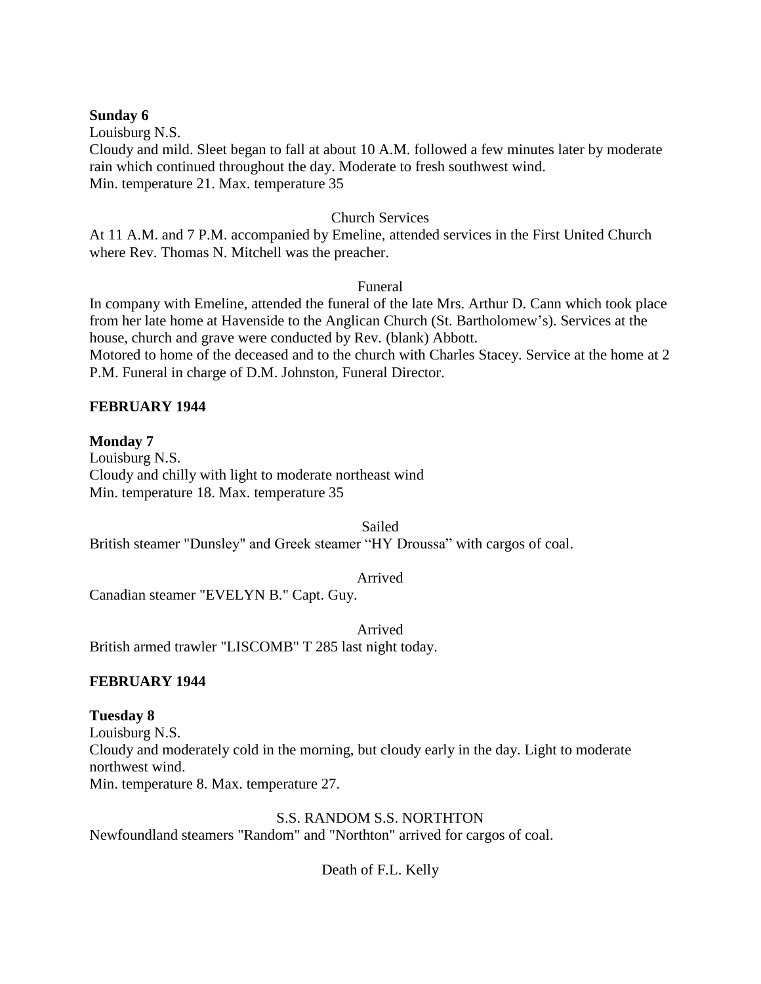#### **Sunday 6**

Louisburg N.S.

Cloudy and mild. Sleet began to fall at about 10 A.M. followed a few minutes later by moderate rain which continued throughout the day. Moderate to fresh southwest wind. Min. temperature 21. Max. temperature 35

# Church Services

At 11 A.M. and 7 P.M. accompanied by Emeline, attended services in the First United Church where Rev. Thomas N. Mitchell was the preacher.

Funeral

In company with Emeline, attended the funeral of the late Mrs. Arthur D. Cann which took place from her late home at Havenside to the Anglican Church (St. Bartholomew's). Services at the house, church and grave were conducted by Rev. (blank) Abbott. Motored to home of the deceased and to the church with Charles Stacey. Service at the home at 2

P.M. Funeral in charge of D.M. Johnston, Funeral Director.

# **FEBRUARY 1944**

# **Monday 7**

Louisburg N.S. Cloudy and chilly with light to moderate northeast wind Min. temperature 18. Max. temperature 35

Sailed

British steamer "Dunsley" and Greek steamer "HY Droussa" with cargos of coal.

Arrived

Canadian steamer "EVELYN B." Capt. Guy.

Arrived British armed trawler "LISCOMB" T 285 last night today.

## **FEBRUARY 1944**

## **Tuesday 8**

Louisburg N.S. Cloudy and moderately cold in the morning, but cloudy early in the day. Light to moderate northwest wind. Min. temperature 8. Max. temperature 27.

S.S. RANDOM S.S. NORTHTON

Newfoundland steamers "Random" and "Northton" arrived for cargos of coal.

Death of F.L. Kelly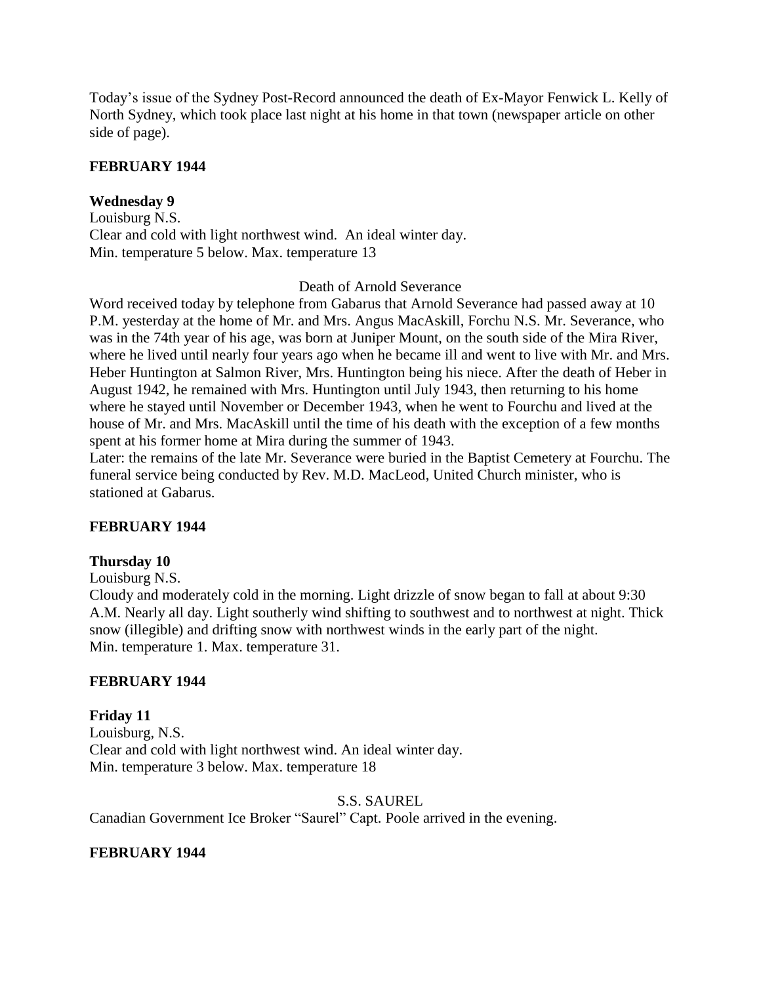Today's issue of the Sydney Post-Record announced the death of Ex-Mayor Fenwick L. Kelly of North Sydney, which took place last night at his home in that town (newspaper article on other side of page).

# **FEBRUARY 1944**

# **Wednesday 9**

Louisburg N.S. Clear and cold with light northwest wind. An ideal winter day. Min. temperature 5 below. Max. temperature 13

## Death of Arnold Severance

Word received today by telephone from Gabarus that Arnold Severance had passed away at 10 P.M. yesterday at the home of Mr. and Mrs. Angus MacAskill, Forchu N.S. Mr. Severance, who was in the 74th year of his age, was born at Juniper Mount, on the south side of the Mira River, where he lived until nearly four years ago when he became ill and went to live with Mr. and Mrs. Heber Huntington at Salmon River, Mrs. Huntington being his niece. After the death of Heber in August 1942, he remained with Mrs. Huntington until July 1943, then returning to his home where he stayed until November or December 1943, when he went to Fourchu and lived at the house of Mr. and Mrs. MacAskill until the time of his death with the exception of a few months spent at his former home at Mira during the summer of 1943.

Later: the remains of the late Mr. Severance were buried in the Baptist Cemetery at Fourchu. The funeral service being conducted by Rev. M.D. MacLeod, United Church minister, who is stationed at Gabarus.

## **FEBRUARY 1944**

## **Thursday 10**

Louisburg N.S.

Cloudy and moderately cold in the morning. Light drizzle of snow began to fall at about 9:30 A.M. Nearly all day. Light southerly wind shifting to southwest and to northwest at night. Thick snow (illegible) and drifting snow with northwest winds in the early part of the night. Min. temperature 1. Max. temperature 31.

## **FEBRUARY 1944**

**Friday 11** Louisburg, N.S. Clear and cold with light northwest wind. An ideal winter day. Min. temperature 3 below. Max. temperature 18

## S.S. SAUREL

Canadian Government Ice Broker "Saurel" Capt. Poole arrived in the evening.

## **FEBRUARY 1944**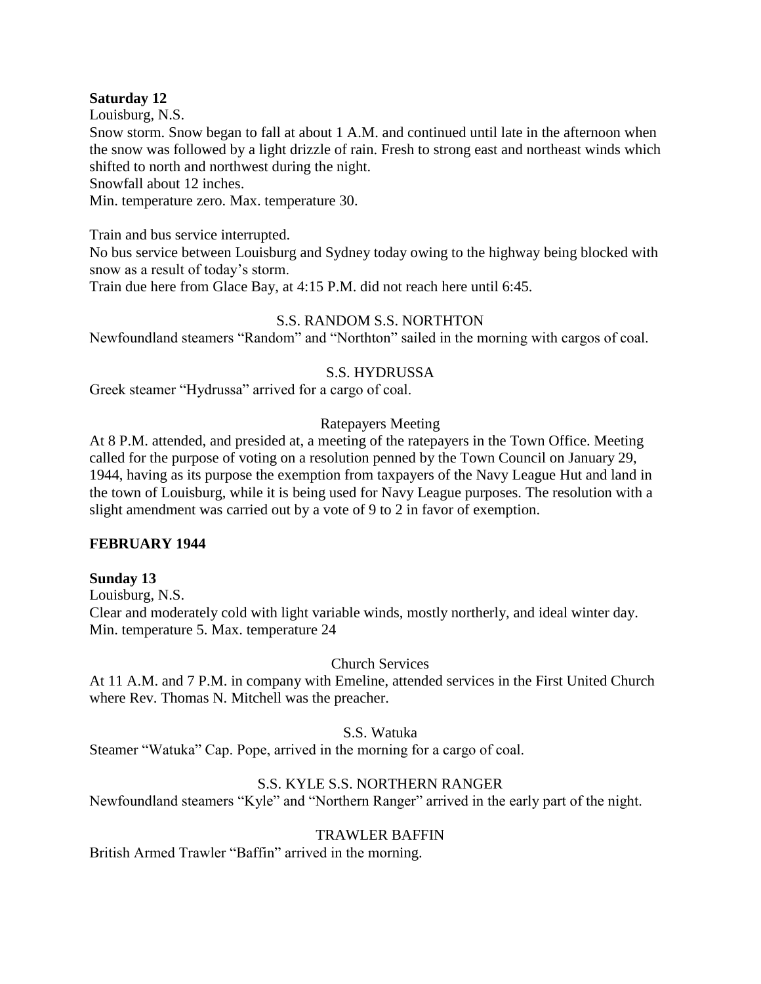# **Saturday 12**

Louisburg, N.S.

Snow storm. Snow began to fall at about 1 A.M. and continued until late in the afternoon when the snow was followed by a light drizzle of rain. Fresh to strong east and northeast winds which shifted to north and northwest during the night.

Snowfall about 12 inches.

Min. temperature zero. Max. temperature 30.

Train and bus service interrupted.

No bus service between Louisburg and Sydney today owing to the highway being blocked with snow as a result of today's storm.

Train due here from Glace Bay, at 4:15 P.M. did not reach here until 6:45.

# S.S. RANDOM S.S. NORTHTON

Newfoundland steamers "Random" and "Northton" sailed in the morning with cargos of coal.

# S.S. HYDRUSSA

Greek steamer "Hydrussa" arrived for a cargo of coal.

# Ratepayers Meeting

At 8 P.M. attended, and presided at, a meeting of the ratepayers in the Town Office. Meeting called for the purpose of voting on a resolution penned by the Town Council on January 29, 1944, having as its purpose the exemption from taxpayers of the Navy League Hut and land in the town of Louisburg, while it is being used for Navy League purposes. The resolution with a slight amendment was carried out by a vote of 9 to 2 in favor of exemption.

## **FEBRUARY 1944**

## **Sunday 13**

Louisburg, N.S. Clear and moderately cold with light variable winds, mostly northerly, and ideal winter day. Min. temperature 5. Max. temperature 24

# Church Services

At 11 A.M. and 7 P.M. in company with Emeline, attended services in the First United Church where Rev. Thomas N. Mitchell was the preacher.

# S.S. Watuka

Steamer "Watuka" Cap. Pope, arrived in the morning for a cargo of coal.

# S.S. KYLE S.S. NORTHERN RANGER

Newfoundland steamers "Kyle" and "Northern Ranger" arrived in the early part of the night.

## TRAWLER BAFFIN

British Armed Trawler "Baffin" arrived in the morning.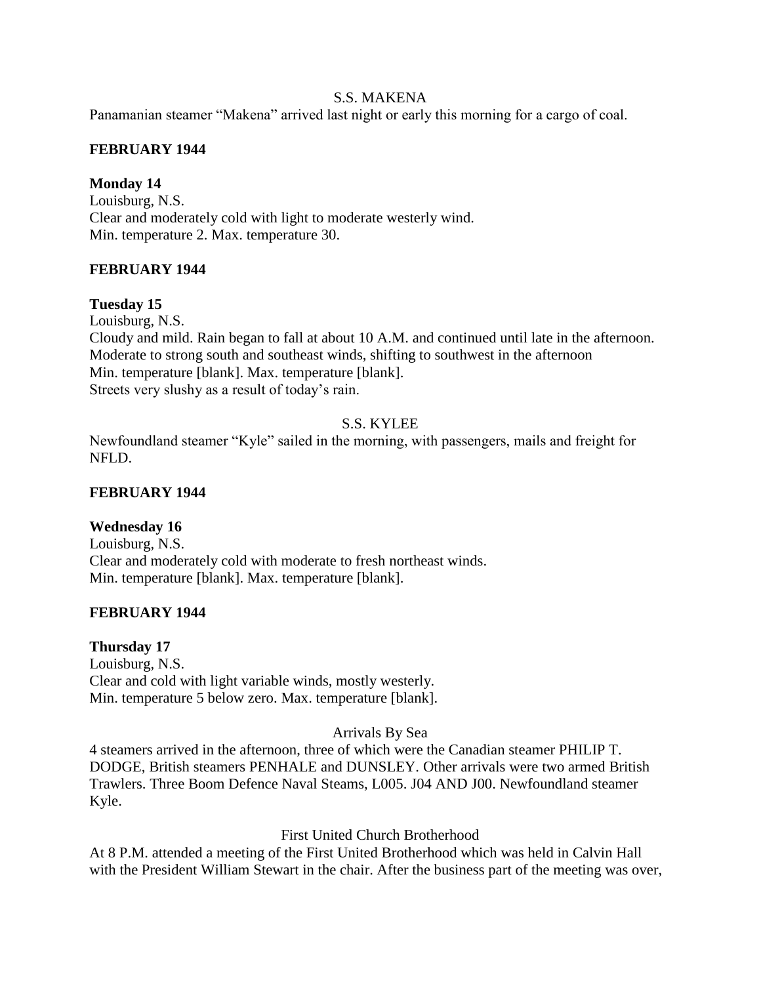# S.S. MAKENA

Panamanian steamer "Makena" arrived last night or early this morning for a cargo of coal.

# **FEBRUARY 1944**

# **Monday 14**

Louisburg, N.S. Clear and moderately cold with light to moderate westerly wind. Min. temperature 2. Max. temperature 30.

# **FEBRUARY 1944**

# **Tuesday 15**

Louisburg, N.S. Cloudy and mild. Rain began to fall at about 10 A.M. and continued until late in the afternoon. Moderate to strong south and southeast winds, shifting to southwest in the afternoon Min. temperature [blank]. Max. temperature [blank]. Streets very slushy as a result of today's rain.

# S.S. KYLEE

Newfoundland steamer "Kyle" sailed in the morning, with passengers, mails and freight for NFLD.

## **FEBRUARY 1944**

# **Wednesday 16**

Louisburg, N.S. Clear and moderately cold with moderate to fresh northeast winds. Min. temperature [blank]. Max. temperature [blank].

## **FEBRUARY 1944**

## **Thursday 17**

Louisburg, N.S. Clear and cold with light variable winds, mostly westerly. Min. temperature 5 below zero. Max. temperature [blank].

## Arrivals By Sea

4 steamers arrived in the afternoon, three of which were the Canadian steamer PHILIP T. DODGE, British steamers PENHALE and DUNSLEY. Other arrivals were two armed British Trawlers. Three Boom Defence Naval Steams, L005. J04 AND J00. Newfoundland steamer Kyle.

## First United Church Brotherhood

At 8 P.M. attended a meeting of the First United Brotherhood which was held in Calvin Hall with the President William Stewart in the chair. After the business part of the meeting was over,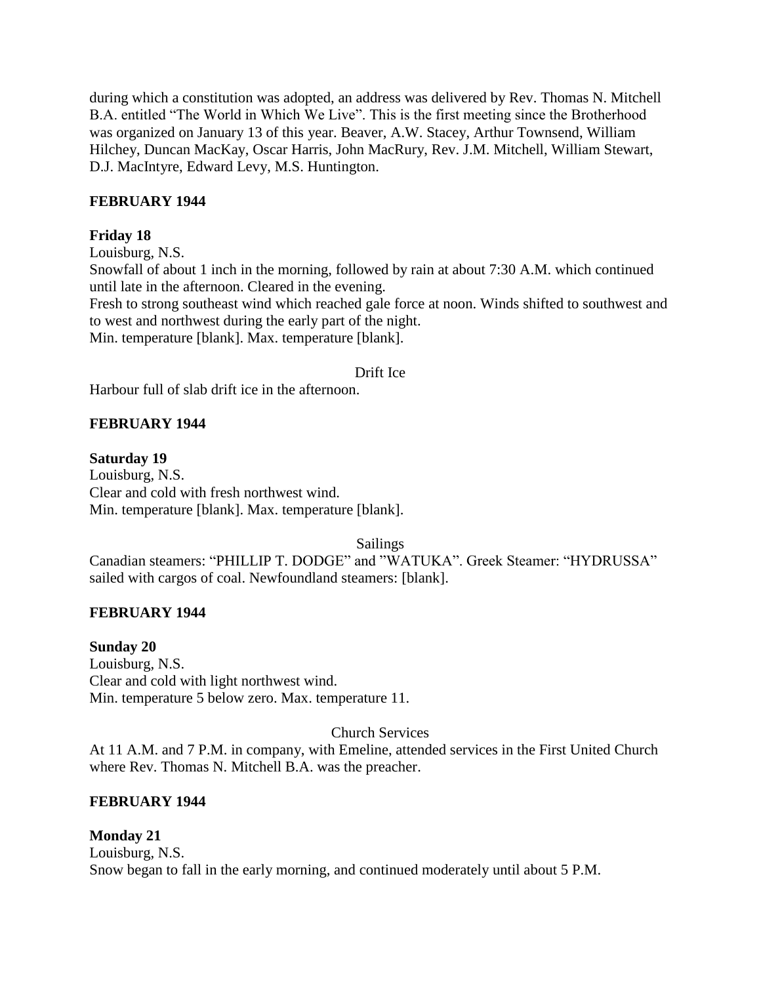during which a constitution was adopted, an address was delivered by Rev. Thomas N. Mitchell B.A. entitled "The World in Which We Live". This is the first meeting since the Brotherhood was organized on January 13 of this year. Beaver, A.W. Stacey, Arthur Townsend, William Hilchey, Duncan MacKay, Oscar Harris, John MacRury, Rev. J.M. Mitchell, William Stewart, D.J. MacIntyre, Edward Levy, M.S. Huntington.

# **FEBRUARY 1944**

# **Friday 18**

Louisburg, N.S. Snowfall of about 1 inch in the morning, followed by rain at about 7:30 A.M. which continued until late in the afternoon. Cleared in the evening. Fresh to strong southeast wind which reached gale force at noon. Winds shifted to southwest and to west and northwest during the early part of the night. Min. temperature [blank]. Max. temperature [blank].

## Drift Ice

Harbour full of slab drift ice in the afternoon.

# **FEBRUARY 1944**

#### **Saturday 19**

Louisburg, N.S. Clear and cold with fresh northwest wind. Min. temperature [blank]. Max. temperature [blank].

Sailings

Canadian steamers: "PHILLIP T. DODGE" and "WATUKA". Greek Steamer: "HYDRUSSA" sailed with cargos of coal. Newfoundland steamers: [blank].

## **FEBRUARY 1944**

**Sunday 20** Louisburg, N.S. Clear and cold with light northwest wind. Min. temperature 5 below zero. Max. temperature 11.

## Church Services

At 11 A.M. and 7 P.M. in company, with Emeline, attended services in the First United Church where Rev. Thomas N. Mitchell B.A. was the preacher.

## **FEBRUARY 1944**

## **Monday 21**

Louisburg, N.S. Snow began to fall in the early morning, and continued moderately until about 5 P.M.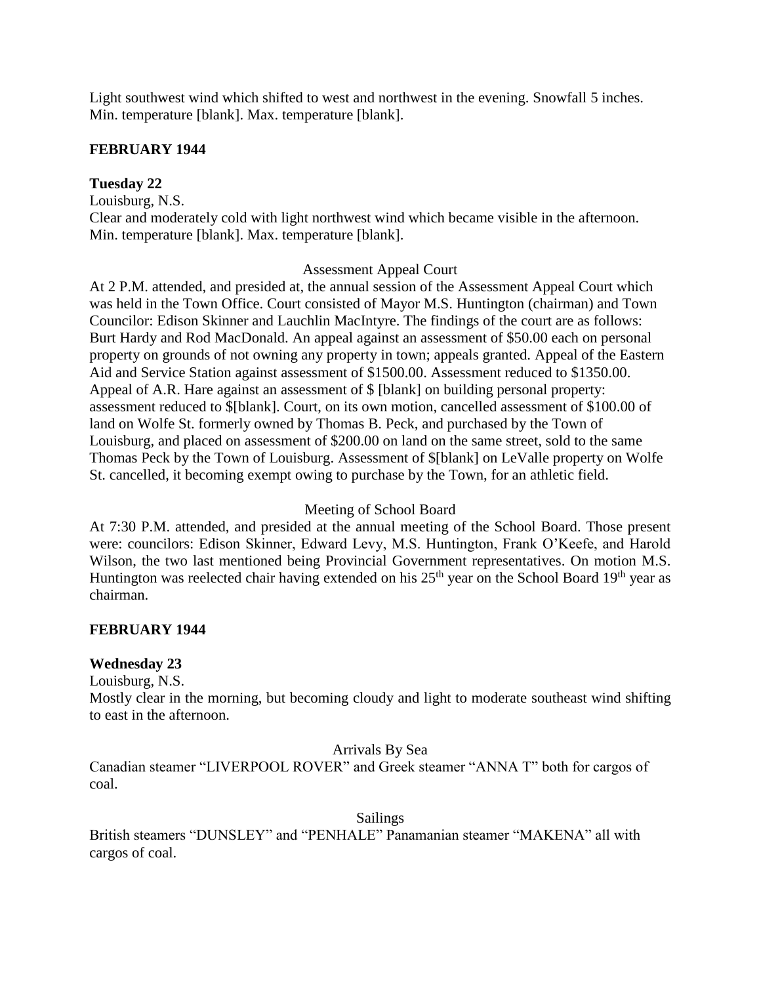Light southwest wind which shifted to west and northwest in the evening. Snowfall 5 inches. Min. temperature [blank]. Max. temperature [blank].

# **FEBRUARY 1944**

# **Tuesday 22**

Louisburg, N.S.

Clear and moderately cold with light northwest wind which became visible in the afternoon. Min. temperature [blank]. Max. temperature [blank].

## Assessment Appeal Court

At 2 P.M. attended, and presided at, the annual session of the Assessment Appeal Court which was held in the Town Office. Court consisted of Mayor M.S. Huntington (chairman) and Town Councilor: Edison Skinner and Lauchlin MacIntyre. The findings of the court are as follows: Burt Hardy and Rod MacDonald. An appeal against an assessment of \$50.00 each on personal property on grounds of not owning any property in town; appeals granted. Appeal of the Eastern Aid and Service Station against assessment of \$1500.00. Assessment reduced to \$1350.00. Appeal of A.R. Hare against an assessment of \$ [blank] on building personal property: assessment reduced to \$[blank]. Court, on its own motion, cancelled assessment of \$100.00 of land on Wolfe St. formerly owned by Thomas B. Peck, and purchased by the Town of Louisburg, and placed on assessment of \$200.00 on land on the same street, sold to the same Thomas Peck by the Town of Louisburg. Assessment of \$[blank] on LeValle property on Wolfe St. cancelled, it becoming exempt owing to purchase by the Town, for an athletic field.

## Meeting of School Board

At 7:30 P.M. attended, and presided at the annual meeting of the School Board. Those present were: councilors: Edison Skinner, Edward Levy, M.S. Huntington, Frank O'Keefe, and Harold Wilson, the two last mentioned being Provincial Government representatives. On motion M.S. Huntington was reelected chair having extended on his  $25<sup>th</sup>$  year on the School Board 19<sup>th</sup> year as chairman.

# **FEBRUARY 1944**

## **Wednesday 23**

Louisburg, N.S.

Mostly clear in the morning, but becoming cloudy and light to moderate southeast wind shifting to east in the afternoon.

## Arrivals By Sea

Canadian steamer "LIVERPOOL ROVER" and Greek steamer "ANNA T" both for cargos of coal.

## Sailings

British steamers "DUNSLEY" and "PENHALE" Panamanian steamer "MAKENA" all with cargos of coal.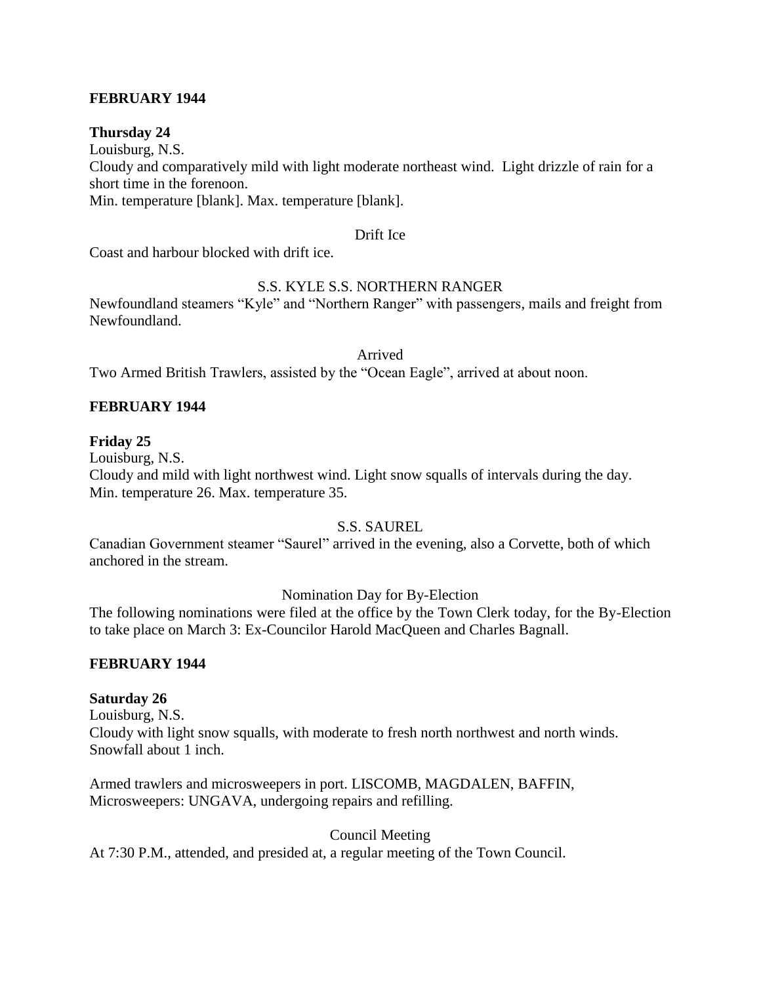# **FEBRUARY 1944**

## **Thursday 24**

Louisburg, N.S. Cloudy and comparatively mild with light moderate northeast wind. Light drizzle of rain for a short time in the forenoon. Min. temperature [blank]. Max. temperature [blank].

#### Drift Ice

Coast and harbour blocked with drift ice.

# S.S. KYLE S.S. NORTHERN RANGER

Newfoundland steamers "Kyle" and "Northern Ranger" with passengers, mails and freight from Newfoundland.

Arrived

Two Armed British Trawlers, assisted by the "Ocean Eagle", arrived at about noon.

# **FEBRUARY 1944**

## **Friday 25**

Louisburg, N.S.

Cloudy and mild with light northwest wind. Light snow squalls of intervals during the day. Min. temperature 26. Max. temperature 35.

## S.S. SAUREL

Canadian Government steamer "Saurel" arrived in the evening, also a Corvette, both of which anchored in the stream.

## Nomination Day for By-Election

The following nominations were filed at the office by the Town Clerk today, for the By-Election to take place on March 3: Ex-Councilor Harold MacQueen and Charles Bagnall.

## **FEBRUARY 1944**

## **Saturday 26**

Louisburg, N.S. Cloudy with light snow squalls, with moderate to fresh north northwest and north winds. Snowfall about 1 inch.

Armed trawlers and microsweepers in port. LISCOMB, MAGDALEN, BAFFIN, Microsweepers: UNGAVA, undergoing repairs and refilling.

Council Meeting At 7:30 P.M., attended, and presided at, a regular meeting of the Town Council.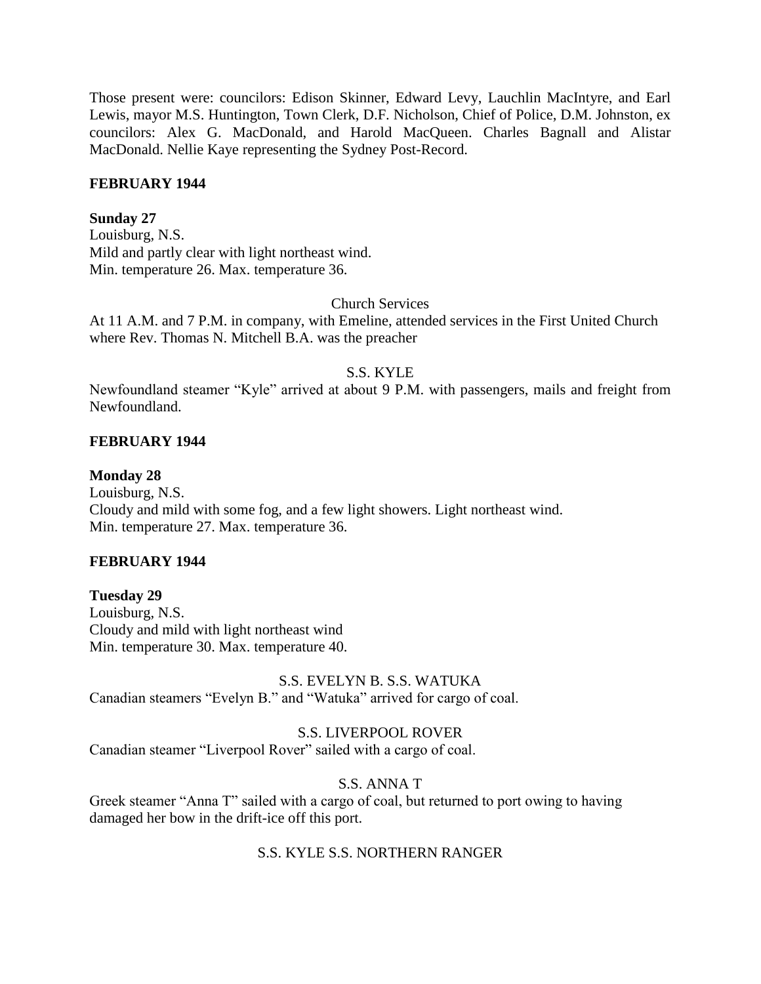Those present were: councilors: Edison Skinner, Edward Levy, Lauchlin MacIntyre, and Earl Lewis, mayor M.S. Huntington, Town Clerk, D.F. Nicholson, Chief of Police, D.M. Johnston, ex councilors: Alex G. MacDonald, and Harold MacQueen. Charles Bagnall and Alistar MacDonald. Nellie Kaye representing the Sydney Post-Record.

## **FEBRUARY 1944**

# **Sunday 27**

Louisburg, N.S. Mild and partly clear with light northeast wind. Min. temperature 26. Max. temperature 36.

## Church Services

At 11 A.M. and 7 P.M. in company, with Emeline, attended services in the First United Church where Rev. Thomas N. Mitchell B.A. was the preacher

## S.S. KYLE

Newfoundland steamer "Kyle" arrived at about 9 P.M. with passengers, mails and freight from Newfoundland.

# **FEBRUARY 1944**

**Monday 28** Louisburg, N.S. Cloudy and mild with some fog, and a few light showers. Light northeast wind. Min. temperature 27. Max. temperature 36.

## **FEBRUARY 1944**

**Tuesday 29** Louisburg, N.S. Cloudy and mild with light northeast wind Min. temperature 30. Max. temperature 40.

# S.S. EVELYN B. S.S. WATUKA

Canadian steamers "Evelyn B." and "Watuka" arrived for cargo of coal.

# S.S. LIVERPOOL ROVER

Canadian steamer "Liverpool Rover" sailed with a cargo of coal.

# S.S. ANNA T

Greek steamer "Anna T" sailed with a cargo of coal, but returned to port owing to having damaged her bow in the drift-ice off this port.

# S.S. KYLE S.S. NORTHERN RANGER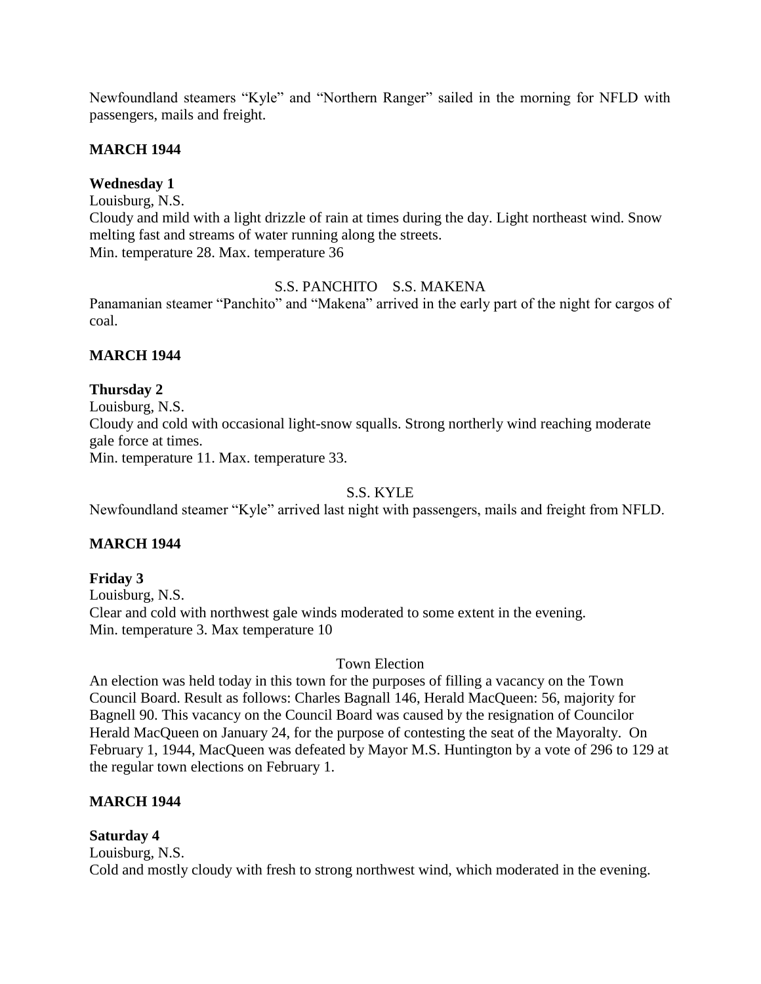Newfoundland steamers "Kyle" and "Northern Ranger" sailed in the morning for NFLD with passengers, mails and freight.

# **MARCH 1944**

# **Wednesday 1**

Louisburg, N.S. Cloudy and mild with a light drizzle of rain at times during the day. Light northeast wind. Snow melting fast and streams of water running along the streets. Min. temperature 28. Max. temperature 36

# S.S. PANCHITO S.S. MAKENA

Panamanian steamer "Panchito" and "Makena" arrived in the early part of the night for cargos of coal.

# **MARCH 1944**

# **Thursday 2**

Louisburg, N.S. Cloudy and cold with occasional light-snow squalls. Strong northerly wind reaching moderate gale force at times. Min. temperature 11. Max. temperature 33.

# S.S. KYLE

Newfoundland steamer "Kyle" arrived last night with passengers, mails and freight from NFLD.

# **MARCH 1944**

# **Friday 3**

Louisburg, N.S. Clear and cold with northwest gale winds moderated to some extent in the evening. Min. temperature 3. Max temperature 10

# Town Election

An election was held today in this town for the purposes of filling a vacancy on the Town Council Board. Result as follows: Charles Bagnall 146, Herald MacQueen: 56, majority for Bagnell 90. This vacancy on the Council Board was caused by the resignation of Councilor Herald MacQueen on January 24, for the purpose of contesting the seat of the Mayoralty. On February 1, 1944, MacQueen was defeated by Mayor M.S. Huntington by a vote of 296 to 129 at the regular town elections on February 1.

# **MARCH 1944**

# **Saturday 4**

Louisburg, N.S. Cold and mostly cloudy with fresh to strong northwest wind, which moderated in the evening.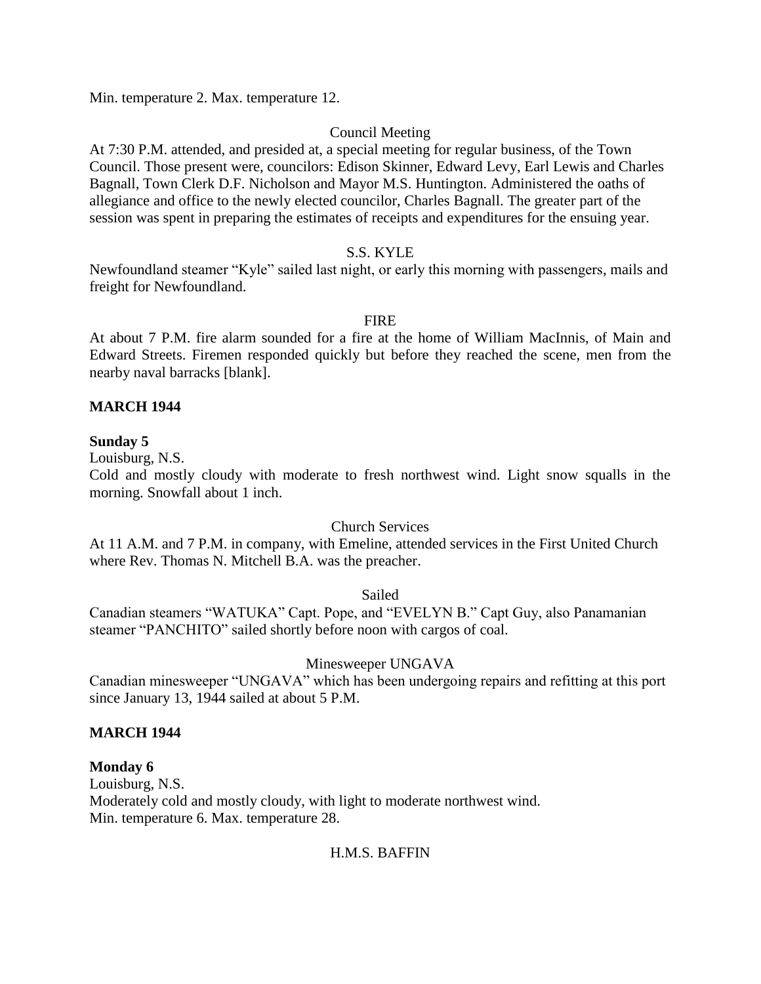Min. temperature 2. Max. temperature 12.

# Council Meeting

At 7:30 P.M. attended, and presided at, a special meeting for regular business, of the Town Council. Those present were, councilors: Edison Skinner, Edward Levy, Earl Lewis and Charles Bagnall, Town Clerk D.F. Nicholson and Mayor M.S. Huntington. Administered the oaths of allegiance and office to the newly elected councilor, Charles Bagnall. The greater part of the session was spent in preparing the estimates of receipts and expenditures for the ensuing year.

## S.S. KYLE

Newfoundland steamer "Kyle" sailed last night, or early this morning with passengers, mails and freight for Newfoundland.

## FIRE

At about 7 P.M. fire alarm sounded for a fire at the home of William MacInnis, of Main and Edward Streets. Firemen responded quickly but before they reached the scene, men from the nearby naval barracks [blank].

## **MARCH 1944**

## **Sunday 5**

Louisburg, N.S.

Cold and mostly cloudy with moderate to fresh northwest wind. Light snow squalls in the morning. Snowfall about 1 inch.

## Church Services

At 11 A.M. and 7 P.M. in company, with Emeline, attended services in the First United Church where Rev. Thomas N. Mitchell B.A. was the preacher.

#### Sailed

Canadian steamers "WATUKA" Capt. Pope, and "EVELYN B." Capt Guy, also Panamanian steamer "PANCHITO" sailed shortly before noon with cargos of coal.

## Minesweeper UNGAVA

Canadian minesweeper "UNGAVA" which has been undergoing repairs and refitting at this port since January 13, 1944 sailed at about 5 P.M.

## **MARCH 1944**

## **Monday 6**

Louisburg, N.S. Moderately cold and mostly cloudy, with light to moderate northwest wind. Min. temperature 6. Max. temperature 28.

## H.M.S. BAFFIN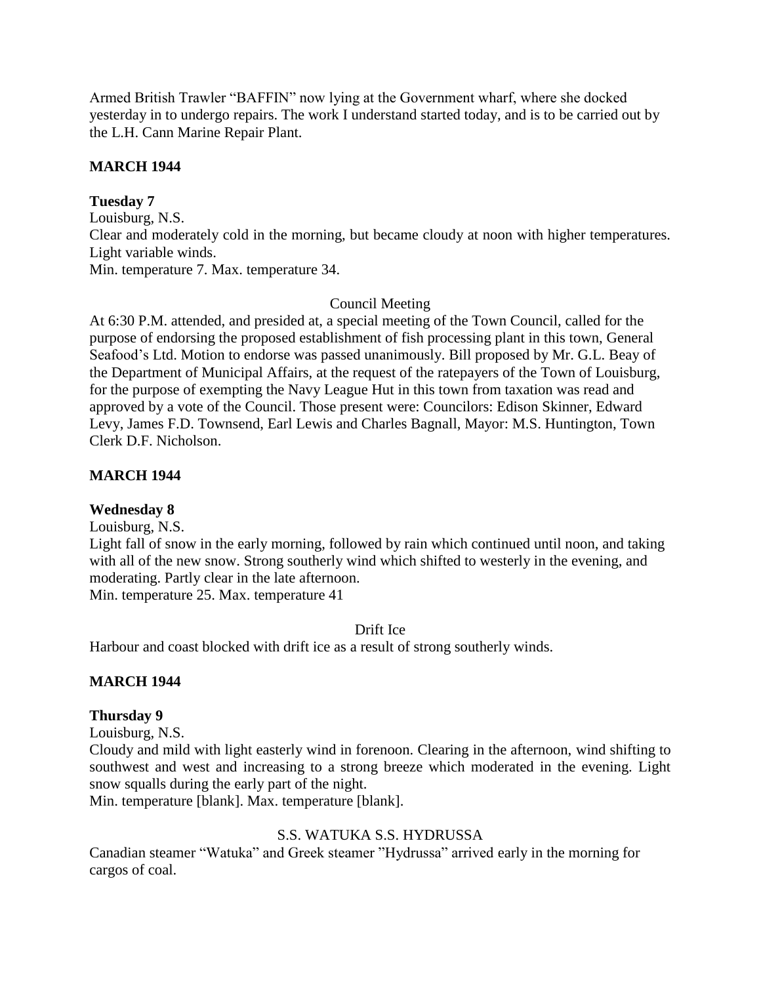Armed British Trawler "BAFFIN" now lying at the Government wharf, where she docked yesterday in to undergo repairs. The work I understand started today, and is to be carried out by the L.H. Cann Marine Repair Plant.

# **MARCH 1944**

# **Tuesday 7**

Louisburg, N.S. Clear and moderately cold in the morning, but became cloudy at noon with higher temperatures. Light variable winds. Min. temperature 7. Max. temperature 34.

# Council Meeting

At 6:30 P.M. attended, and presided at, a special meeting of the Town Council, called for the purpose of endorsing the proposed establishment of fish processing plant in this town, General Seafood's Ltd. Motion to endorse was passed unanimously. Bill proposed by Mr. G.L. Beay of the Department of Municipal Affairs, at the request of the ratepayers of the Town of Louisburg, for the purpose of exempting the Navy League Hut in this town from taxation was read and approved by a vote of the Council. Those present were: Councilors: Edison Skinner, Edward Levy, James F.D. Townsend, Earl Lewis and Charles Bagnall, Mayor: M.S. Huntington, Town Clerk D.F. Nicholson.

# **MARCH 1944**

## **Wednesday 8**

Louisburg, N.S.

Light fall of snow in the early morning, followed by rain which continued until noon, and taking with all of the new snow. Strong southerly wind which shifted to westerly in the evening, and moderating. Partly clear in the late afternoon.

Min. temperature 25. Max. temperature 41

## Drift Ice

Harbour and coast blocked with drift ice as a result of strong southerly winds.

# **MARCH 1944**

## **Thursday 9**

Louisburg, N.S.

Cloudy and mild with light easterly wind in forenoon. Clearing in the afternoon, wind shifting to southwest and west and increasing to a strong breeze which moderated in the evening. Light snow squalls during the early part of the night.

Min. temperature [blank]. Max. temperature [blank].

# S.S. WATUKA S.S. HYDRUSSA

Canadian steamer "Watuka" and Greek steamer "Hydrussa" arrived early in the morning for cargos of coal.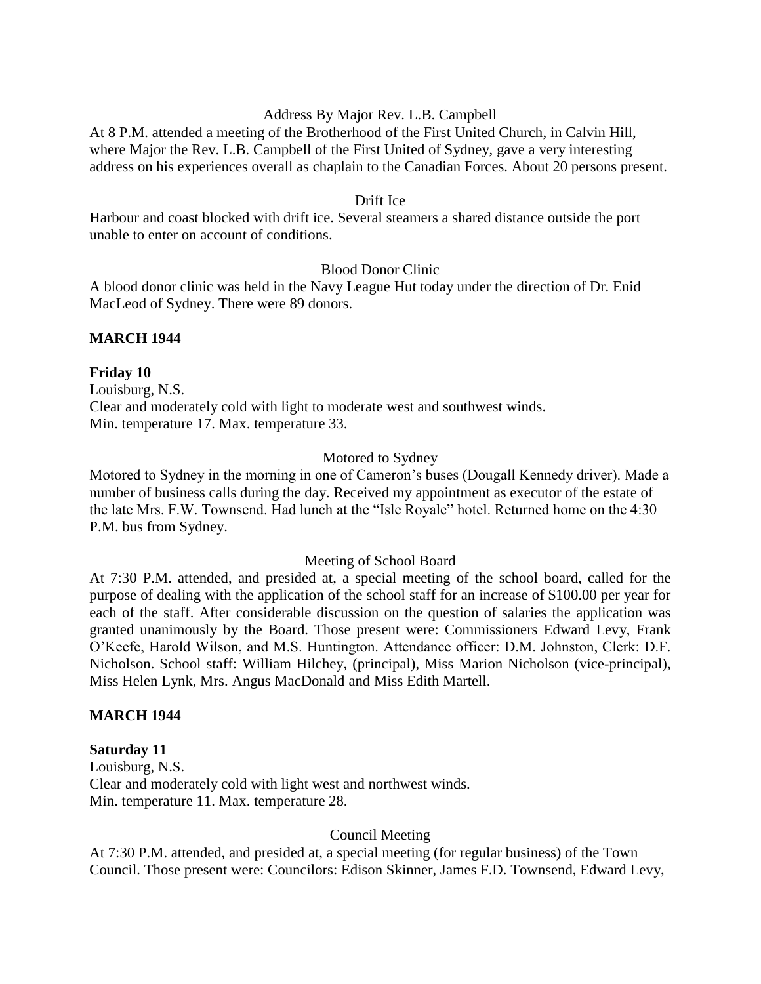## Address By Major Rev. L.B. Campbell

At 8 P.M. attended a meeting of the Brotherhood of the First United Church, in Calvin Hill, where Major the Rev. L.B. Campbell of the First United of Sydney, gave a very interesting address on his experiences overall as chaplain to the Canadian Forces. About 20 persons present.

#### Drift Ice

Harbour and coast blocked with drift ice. Several steamers a shared distance outside the port unable to enter on account of conditions.

#### Blood Donor Clinic

A blood donor clinic was held in the Navy League Hut today under the direction of Dr. Enid MacLeod of Sydney. There were 89 donors.

#### **MARCH 1944**

#### **Friday 10**

Louisburg, N.S. Clear and moderately cold with light to moderate west and southwest winds. Min. temperature 17. Max. temperature 33.

#### Motored to Sydney

Motored to Sydney in the morning in one of Cameron's buses (Dougall Kennedy driver). Made a number of business calls during the day. Received my appointment as executor of the estate of the late Mrs. F.W. Townsend. Had lunch at the "Isle Royale" hotel. Returned home on the 4:30 P.M. bus from Sydney.

#### Meeting of School Board

At 7:30 P.M. attended, and presided at, a special meeting of the school board, called for the purpose of dealing with the application of the school staff for an increase of \$100.00 per year for each of the staff. After considerable discussion on the question of salaries the application was granted unanimously by the Board. Those present were: Commissioners Edward Levy, Frank O'Keefe, Harold Wilson, and M.S. Huntington. Attendance officer: D.M. Johnston, Clerk: D.F. Nicholson. School staff: William Hilchey, (principal), Miss Marion Nicholson (vice-principal), Miss Helen Lynk, Mrs. Angus MacDonald and Miss Edith Martell.

#### **MARCH 1944**

#### **Saturday 11**

Louisburg, N.S. Clear and moderately cold with light west and northwest winds. Min. temperature 11. Max. temperature 28.

#### Council Meeting

At 7:30 P.M. attended, and presided at, a special meeting (for regular business) of the Town Council. Those present were: Councilors: Edison Skinner, James F.D. Townsend, Edward Levy,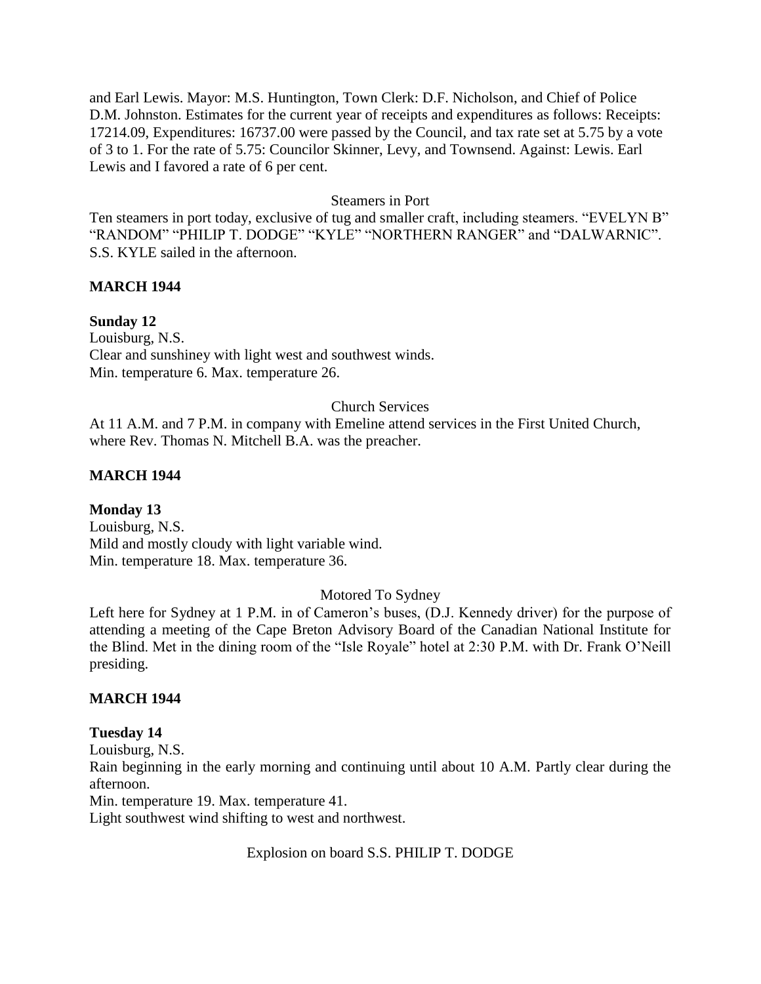and Earl Lewis. Mayor: M.S. Huntington, Town Clerk: D.F. Nicholson, and Chief of Police D.M. Johnston. Estimates for the current year of receipts and expenditures as follows: Receipts: 17214.09, Expenditures: 16737.00 were passed by the Council, and tax rate set at 5.75 by a vote of 3 to 1. For the rate of 5.75: Councilor Skinner, Levy, and Townsend. Against: Lewis. Earl Lewis and I favored a rate of 6 per cent.

#### Steamers in Port

Ten steamers in port today, exclusive of tug and smaller craft, including steamers. "EVELYN B" "RANDOM" "PHILIP T. DODGE" "KYLE" "NORTHERN RANGER" and "DALWARNIC". S.S. KYLE sailed in the afternoon.

# **MARCH 1944**

# **Sunday 12**

Louisburg, N.S. Clear and sunshiney with light west and southwest winds. Min. temperature 6. Max. temperature 26.

## Church Services

At 11 A.M. and 7 P.M. in company with Emeline attend services in the First United Church, where Rev. Thomas N. Mitchell B.A. was the preacher.

## **MARCH 1944**

## **Monday 13**

Louisburg, N.S. Mild and mostly cloudy with light variable wind. Min. temperature 18. Max. temperature 36.

# Motored To Sydney

Left here for Sydney at 1 P.M. in of Cameron's buses, (D.J. Kennedy driver) for the purpose of attending a meeting of the Cape Breton Advisory Board of the Canadian National Institute for the Blind. Met in the dining room of the "Isle Royale" hotel at 2:30 P.M. with Dr. Frank O'Neill presiding.

## **MARCH 1944**

## **Tuesday 14**

Louisburg, N.S. Rain beginning in the early morning and continuing until about 10 A.M. Partly clear during the afternoon. Min. temperature 19. Max. temperature 41. Light southwest wind shifting to west and northwest.

Explosion on board S.S. PHILIP T. DODGE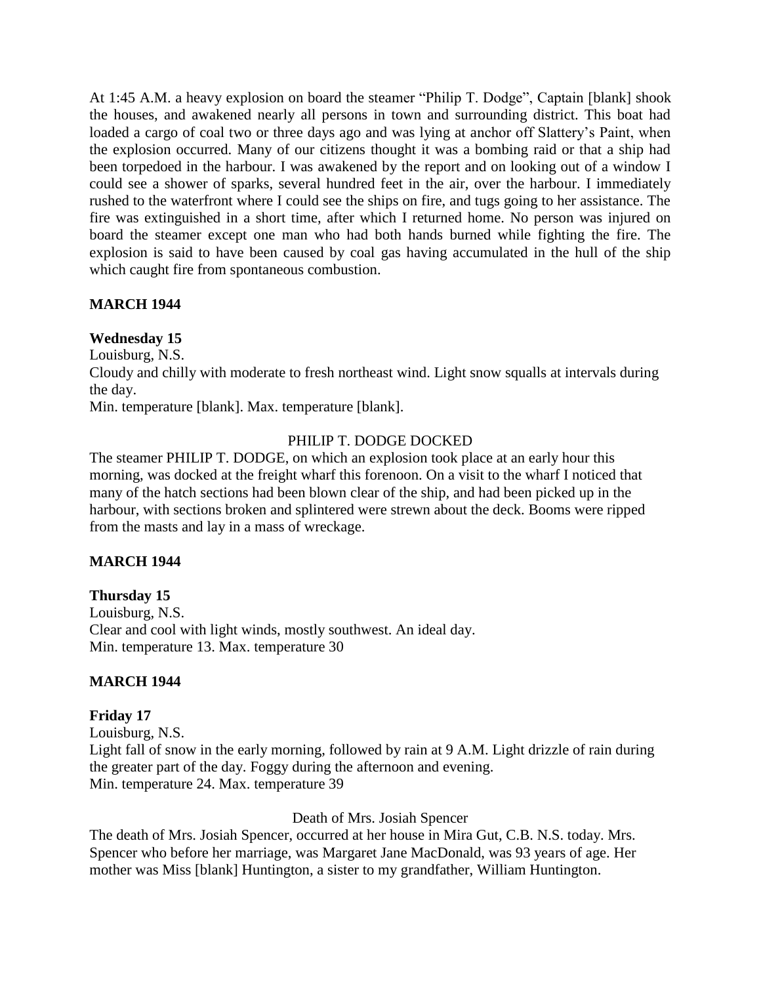At 1:45 A.M. a heavy explosion on board the steamer "Philip T. Dodge", Captain [blank] shook the houses, and awakened nearly all persons in town and surrounding district. This boat had loaded a cargo of coal two or three days ago and was lying at anchor off Slattery's Paint, when the explosion occurred. Many of our citizens thought it was a bombing raid or that a ship had been torpedoed in the harbour. I was awakened by the report and on looking out of a window I could see a shower of sparks, several hundred feet in the air, over the harbour. I immediately rushed to the waterfront where I could see the ships on fire, and tugs going to her assistance. The fire was extinguished in a short time, after which I returned home. No person was injured on board the steamer except one man who had both hands burned while fighting the fire. The explosion is said to have been caused by coal gas having accumulated in the hull of the ship which caught fire from spontaneous combustion.

# **MARCH 1944**

# **Wednesday 15**

Louisburg, N.S.

Cloudy and chilly with moderate to fresh northeast wind. Light snow squalls at intervals during the day.

Min. temperature [blank]. Max. temperature [blank].

# PHILIP T. DODGE DOCKED

The steamer PHILIP T. DODGE, on which an explosion took place at an early hour this morning, was docked at the freight wharf this forenoon. On a visit to the wharf I noticed that many of the hatch sections had been blown clear of the ship, and had been picked up in the harbour, with sections broken and splintered were strewn about the deck. Booms were ripped from the masts and lay in a mass of wreckage.

# **MARCH 1944**

**Thursday 15** Louisburg, N.S. Clear and cool with light winds, mostly southwest. An ideal day. Min. temperature 13. Max. temperature 30

# **MARCH 1944**

## **Friday 17**

Louisburg, N.S. Light fall of snow in the early morning, followed by rain at 9 A.M. Light drizzle of rain during the greater part of the day. Foggy during the afternoon and evening. Min. temperature 24. Max. temperature 39

## Death of Mrs. Josiah Spencer

The death of Mrs. Josiah Spencer, occurred at her house in Mira Gut, C.B. N.S. today. Mrs. Spencer who before her marriage, was Margaret Jane MacDonald, was 93 years of age. Her mother was Miss [blank] Huntington, a sister to my grandfather, William Huntington.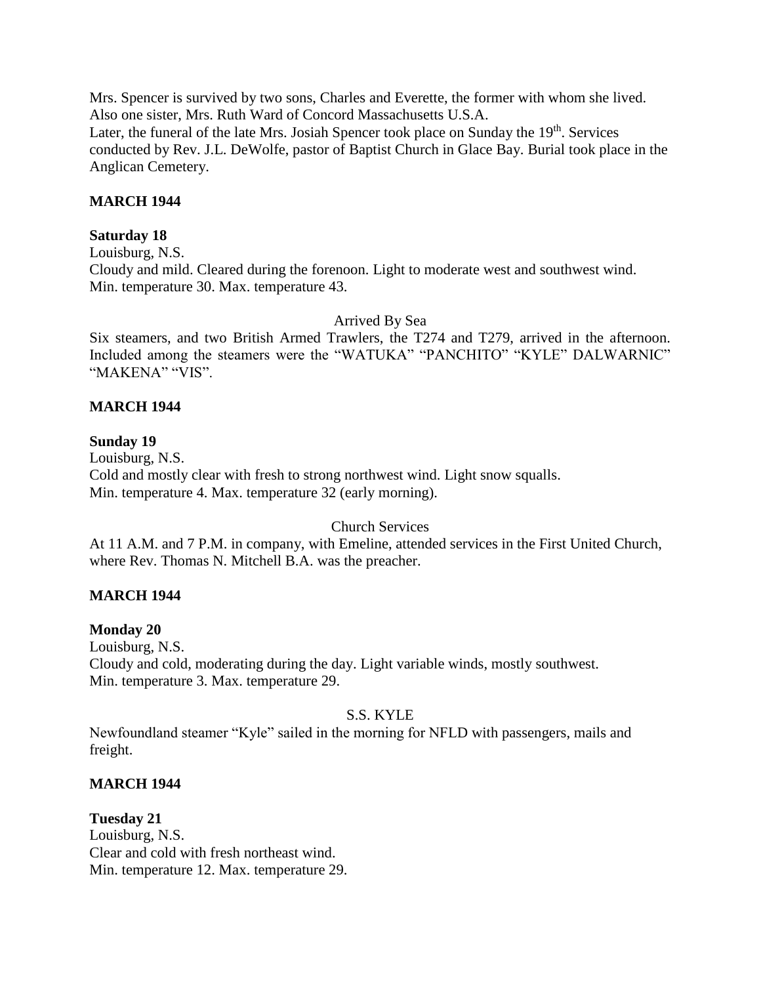Mrs. Spencer is survived by two sons, Charles and Everette, the former with whom she lived. Also one sister, Mrs. Ruth Ward of Concord Massachusetts U.S.A. Later, the funeral of the late Mrs. Josiah Spencer took place on Sunday the  $19<sup>th</sup>$ . Services conducted by Rev. J.L. DeWolfe, pastor of Baptist Church in Glace Bay. Burial took place in the Anglican Cemetery.

## **MARCH 1944**

#### **Saturday 18**

Louisburg, N.S.

Cloudy and mild. Cleared during the forenoon. Light to moderate west and southwest wind. Min. temperature 30. Max. temperature 43.

Arrived By Sea

Six steamers, and two British Armed Trawlers, the T274 and T279, arrived in the afternoon. Included among the steamers were the "WATUKA" "PANCHITO" "KYLE" DALWARNIC" "MAKENA" "VIS".

#### **MARCH 1944**

#### **Sunday 19**

Louisburg, N.S. Cold and mostly clear with fresh to strong northwest wind. Light snow squalls. Min. temperature 4. Max. temperature 32 (early morning).

#### Church Services

At 11 A.M. and 7 P.M. in company, with Emeline, attended services in the First United Church, where Rev. Thomas N. Mitchell B.A. was the preacher.

## **MARCH 1944**

#### **Monday 20**

Louisburg, N.S. Cloudy and cold, moderating during the day. Light variable winds, mostly southwest. Min. temperature 3. Max. temperature 29.

#### S.S. KYLE

Newfoundland steamer "Kyle" sailed in the morning for NFLD with passengers, mails and freight.

#### **MARCH 1944**

**Tuesday 21** Louisburg, N.S. Clear and cold with fresh northeast wind. Min. temperature 12. Max. temperature 29.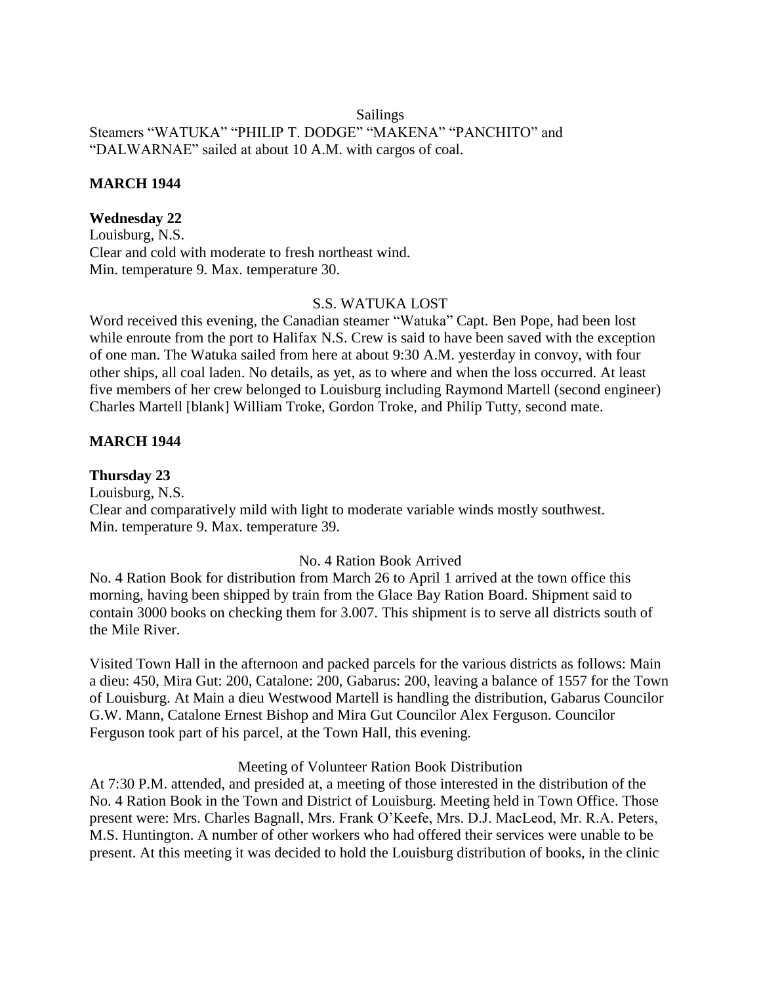## Sailings Steamers "WATUKA" "PHILIP T. DODGE" "MAKENA" "PANCHITO" and "DALWARNAE" sailed at about 10 A.M. with cargos of coal.

## **MARCH 1944**

# **Wednesday 22**

Louisburg, N.S. Clear and cold with moderate to fresh northeast wind. Min. temperature 9. Max. temperature 30.

## S.S. WATUKA LOST

Word received this evening, the Canadian steamer "Watuka" Capt. Ben Pope, had been lost while enroute from the port to Halifax N.S. Crew is said to have been saved with the exception of one man. The Watuka sailed from here at about 9:30 A.M. yesterday in convoy, with four other ships, all coal laden. No details, as yet, as to where and when the loss occurred. At least five members of her crew belonged to Louisburg including Raymond Martell (second engineer) Charles Martell [blank] William Troke, Gordon Troke, and Philip Tutty, second mate.

# **MARCH 1944**

## **Thursday 23**

Louisburg, N.S. Clear and comparatively mild with light to moderate variable winds mostly southwest. Min. temperature 9. Max. temperature 39.

## No. 4 Ration Book Arrived

No. 4 Ration Book for distribution from March 26 to April 1 arrived at the town office this morning, having been shipped by train from the Glace Bay Ration Board. Shipment said to contain 3000 books on checking them for 3.007. This shipment is to serve all districts south of the Mile River.

Visited Town Hall in the afternoon and packed parcels for the various districts as follows: Main a dieu: 450, Mira Gut: 200, Catalone: 200, Gabarus: 200, leaving a balance of 1557 for the Town of Louisburg. At Main a dieu Westwood Martell is handling the distribution, Gabarus Councilor G.W. Mann, Catalone Ernest Bishop and Mira Gut Councilor Alex Ferguson. Councilor Ferguson took part of his parcel, at the Town Hall, this evening.

#### Meeting of Volunteer Ration Book Distribution

At 7:30 P.M. attended, and presided at, a meeting of those interested in the distribution of the No. 4 Ration Book in the Town and District of Louisburg. Meeting held in Town Office. Those present were: Mrs. Charles Bagnall, Mrs. Frank O'Keefe, Mrs. D.J. MacLeod, Mr. R.A. Peters, M.S. Huntington. A number of other workers who had offered their services were unable to be present. At this meeting it was decided to hold the Louisburg distribution of books, in the clinic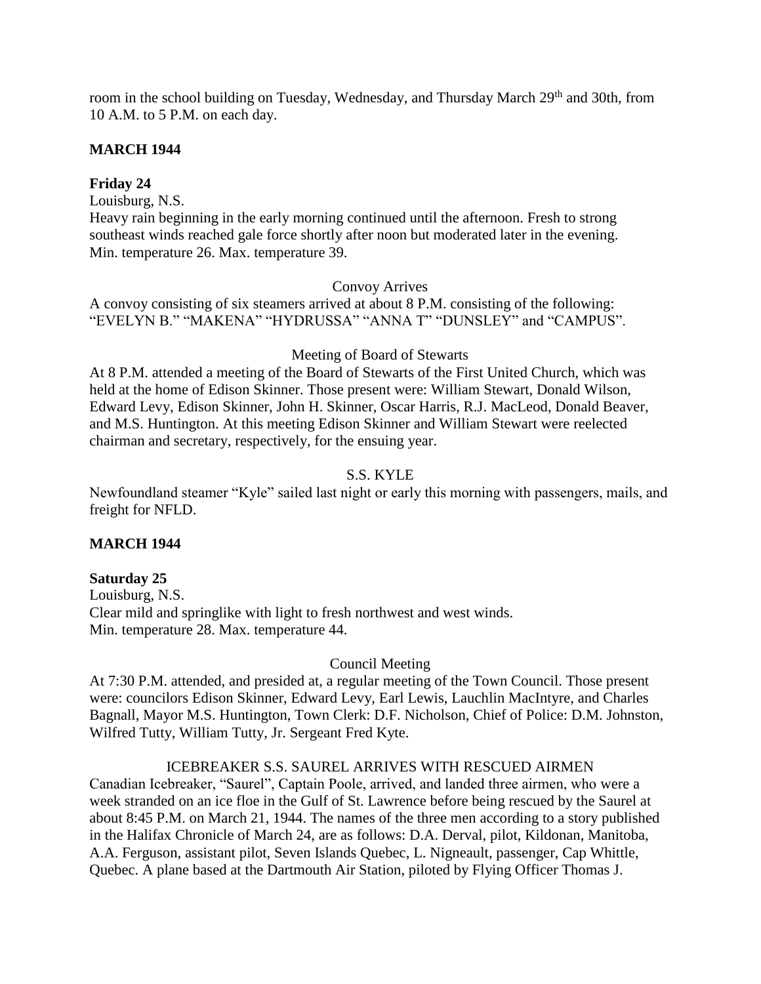room in the school building on Tuesday, Wednesday, and Thursday March 29<sup>th</sup> and 30th, from 10 A.M. to 5 P.M. on each day.

# **MARCH 1944**

# **Friday 24**

Louisburg, N.S.

Heavy rain beginning in the early morning continued until the afternoon. Fresh to strong southeast winds reached gale force shortly after noon but moderated later in the evening. Min. temperature 26. Max. temperature 39.

## Convoy Arrives

A convoy consisting of six steamers arrived at about 8 P.M. consisting of the following: "EVELYN B." "MAKENA" "HYDRUSSA" "ANNA T" "DUNSLEY" and "CAMPUS".

## Meeting of Board of Stewarts

At 8 P.M. attended a meeting of the Board of Stewarts of the First United Church, which was held at the home of Edison Skinner. Those present were: William Stewart, Donald Wilson, Edward Levy, Edison Skinner, John H. Skinner, Oscar Harris, R.J. MacLeod, Donald Beaver, and M.S. Huntington. At this meeting Edison Skinner and William Stewart were reelected chairman and secretary, respectively, for the ensuing year.

# S.S. KYLE

Newfoundland steamer "Kyle" sailed last night or early this morning with passengers, mails, and freight for NFLD.

## **MARCH 1944**

## **Saturday 25**

Louisburg, N.S. Clear mild and springlike with light to fresh northwest and west winds. Min. temperature 28. Max. temperature 44.

## Council Meeting

At 7:30 P.M. attended, and presided at, a regular meeting of the Town Council. Those present were: councilors Edison Skinner, Edward Levy, Earl Lewis, Lauchlin MacIntyre, and Charles Bagnall, Mayor M.S. Huntington, Town Clerk: D.F. Nicholson, Chief of Police: D.M. Johnston, Wilfred Tutty, William Tutty, Jr. Sergeant Fred Kyte.

# ICEBREAKER S.S. SAUREL ARRIVES WITH RESCUED AIRMEN

Canadian Icebreaker, "Saurel", Captain Poole, arrived, and landed three airmen, who were a week stranded on an ice floe in the Gulf of St. Lawrence before being rescued by the Saurel at about 8:45 P.M. on March 21, 1944. The names of the three men according to a story published in the Halifax Chronicle of March 24, are as follows: D.A. Derval, pilot, Kildonan, Manitoba, A.A. Ferguson, assistant pilot, Seven Islands Quebec, L. Nigneault, passenger, Cap Whittle, Quebec. A plane based at the Dartmouth Air Station, piloted by Flying Officer Thomas J.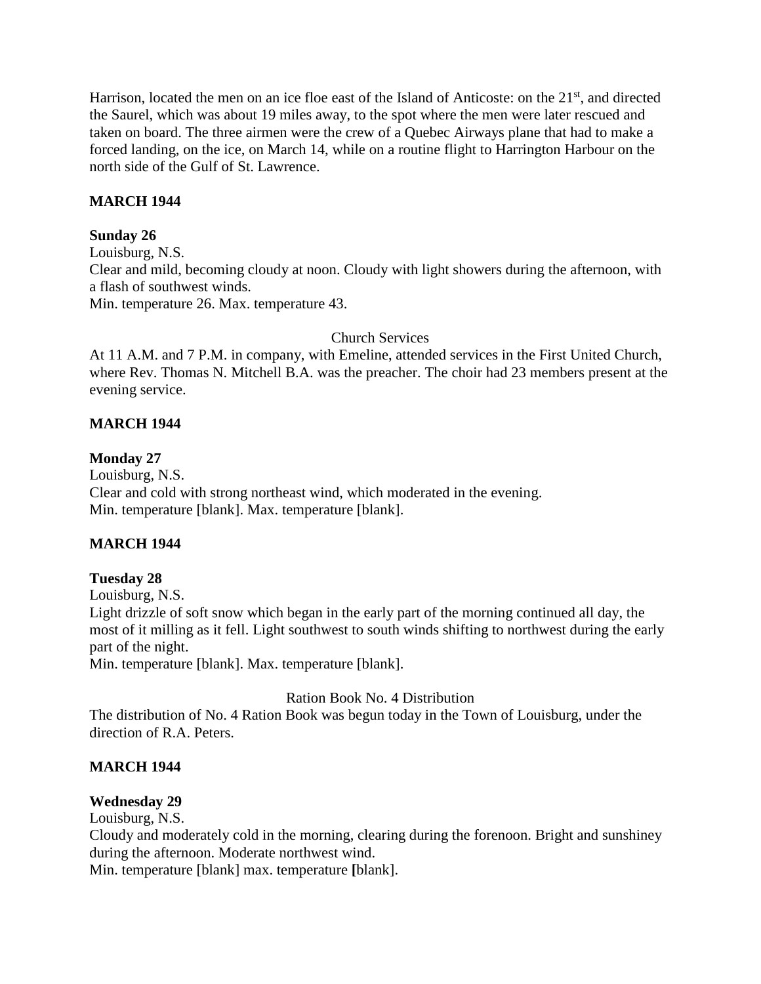Harrison, located the men on an ice floe east of the Island of Anticoste: on the 21<sup>st</sup>, and directed the Saurel, which was about 19 miles away, to the spot where the men were later rescued and taken on board. The three airmen were the crew of a Quebec Airways plane that had to make a forced landing, on the ice, on March 14, while on a routine flight to Harrington Harbour on the north side of the Gulf of St. Lawrence.

# **MARCH 1944**

# **Sunday 26**

Louisburg, N.S. Clear and mild, becoming cloudy at noon. Cloudy with light showers during the afternoon, with a flash of southwest winds. Min. temperature 26. Max. temperature 43.

# Church Services

At 11 A.M. and 7 P.M. in company, with Emeline, attended services in the First United Church, where Rev. Thomas N. Mitchell B.A. was the preacher. The choir had 23 members present at the evening service.

# **MARCH 1944**

# **Monday 27**

Louisburg, N.S. Clear and cold with strong northeast wind, which moderated in the evening. Min. temperature [blank]. Max. temperature [blank].

# **MARCH 1944**

# **Tuesday 28**

Louisburg, N.S. Light drizzle of soft snow which began in the early part of the morning continued all day, the most of it milling as it fell. Light southwest to south winds shifting to northwest during the early part of the night.

Min. temperature [blank]. Max. temperature [blank].

Ration Book No. 4 Distribution

The distribution of No. 4 Ration Book was begun today in the Town of Louisburg, under the direction of R.A. Peters.

# **MARCH 1944**

# **Wednesday 29**

Louisburg, N.S.

Cloudy and moderately cold in the morning, clearing during the forenoon. Bright and sunshiney during the afternoon. Moderate northwest wind.

Min. temperature [blank] max. temperature **[**blank].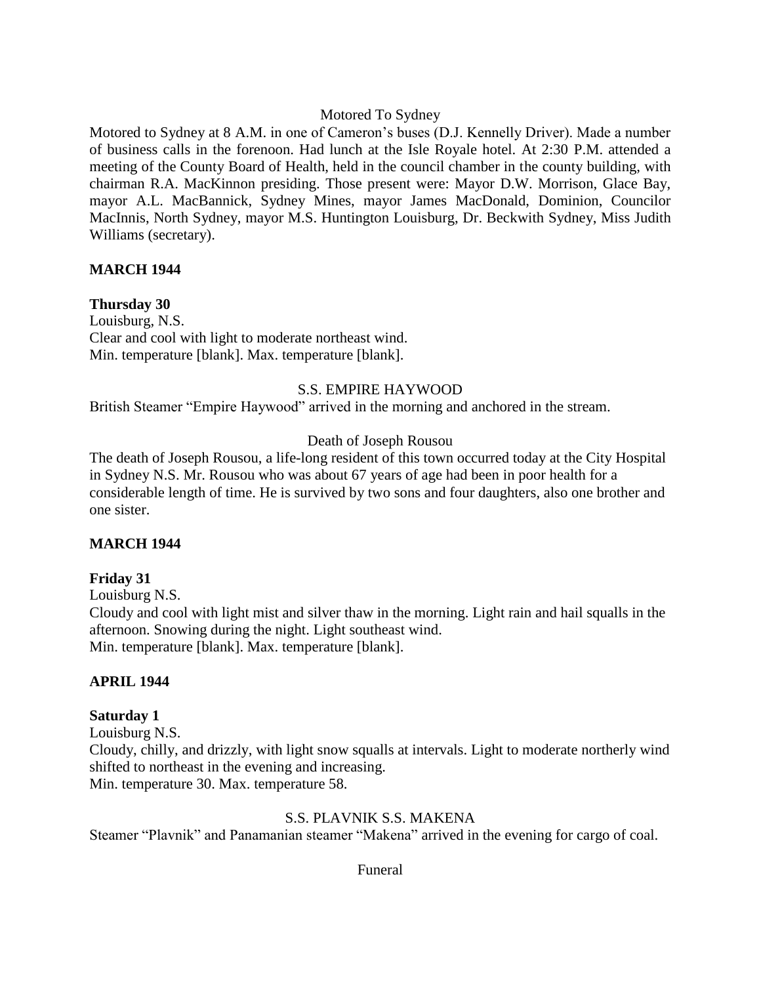## Motored To Sydney

Motored to Sydney at 8 A.M. in one of Cameron's buses (D.J. Kennelly Driver). Made a number of business calls in the forenoon. Had lunch at the Isle Royale hotel. At 2:30 P.M. attended a meeting of the County Board of Health, held in the council chamber in the county building, with chairman R.A. MacKinnon presiding. Those present were: Mayor D.W. Morrison, Glace Bay, mayor A.L. MacBannick, Sydney Mines, mayor James MacDonald, Dominion, Councilor MacInnis, North Sydney, mayor M.S. Huntington Louisburg, Dr. Beckwith Sydney, Miss Judith Williams (secretary).

# **MARCH 1944**

# **Thursday 30**

Louisburg, N.S. Clear and cool with light to moderate northeast wind. Min. temperature [blank]. Max. temperature [blank].

# S.S. EMPIRE HAYWOOD

British Steamer "Empire Haywood" arrived in the morning and anchored in the stream.

# Death of Joseph Rousou

The death of Joseph Rousou, a life-long resident of this town occurred today at the City Hospital in Sydney N.S. Mr. Rousou who was about 67 years of age had been in poor health for a considerable length of time. He is survived by two sons and four daughters, also one brother and one sister.

## **MARCH 1944**

## **Friday 31**

Louisburg N.S.

Cloudy and cool with light mist and silver thaw in the morning. Light rain and hail squalls in the afternoon. Snowing during the night. Light southeast wind. Min. temperature [blank]. Max. temperature [blank].

# **APRIL 1944**

## **Saturday 1**

Louisburg N.S.

Cloudy, chilly, and drizzly, with light snow squalls at intervals. Light to moderate northerly wind shifted to northeast in the evening and increasing.

Min. temperature 30. Max. temperature 58.

## S.S. PLAVNIK S.S. MAKENA

Steamer "Plavnik" and Panamanian steamer "Makena" arrived in the evening for cargo of coal.

Funeral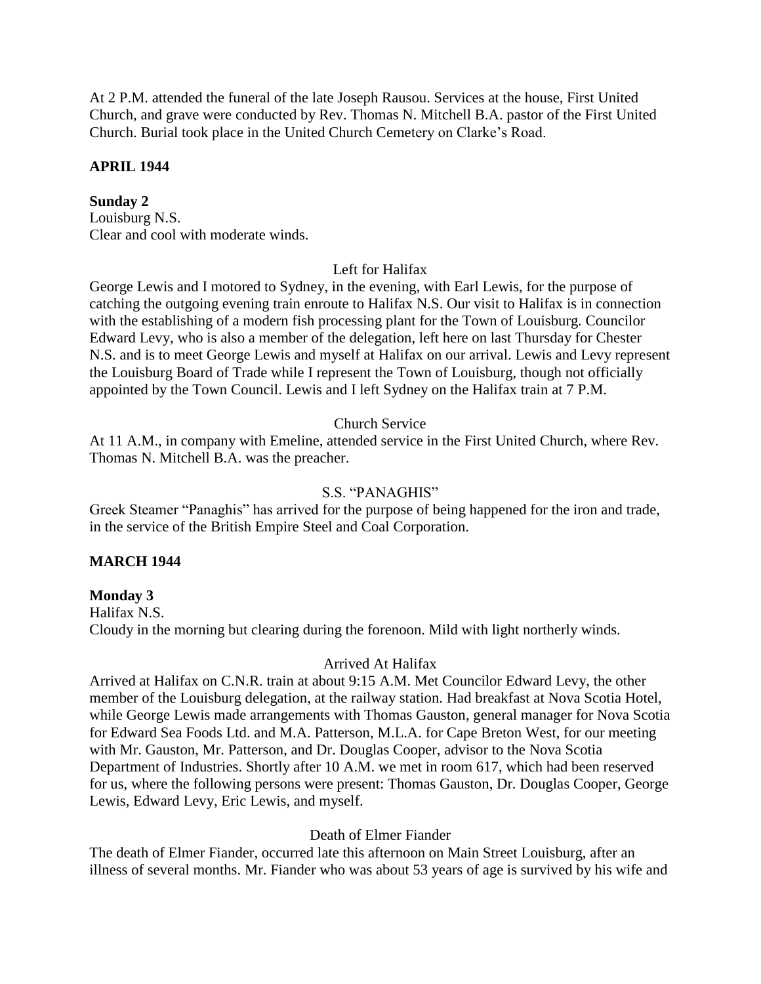At 2 P.M. attended the funeral of the late Joseph Rausou. Services at the house, First United Church, and grave were conducted by Rev. Thomas N. Mitchell B.A. pastor of the First United Church. Burial took place in the United Church Cemetery on Clarke's Road.

# **APRIL 1944**

# **Sunday 2**

Louisburg N.S. Clear and cool with moderate winds.

# Left for Halifax

George Lewis and I motored to Sydney, in the evening, with Earl Lewis, for the purpose of catching the outgoing evening train enroute to Halifax N.S. Our visit to Halifax is in connection with the establishing of a modern fish processing plant for the Town of Louisburg. Councilor Edward Levy, who is also a member of the delegation, left here on last Thursday for Chester N.S. and is to meet George Lewis and myself at Halifax on our arrival. Lewis and Levy represent the Louisburg Board of Trade while I represent the Town of Louisburg, though not officially appointed by the Town Council. Lewis and I left Sydney on the Halifax train at 7 P.M.

# Church Service

At 11 A.M., in company with Emeline, attended service in the First United Church, where Rev. Thomas N. Mitchell B.A. was the preacher.

## S.S. "PANAGHIS"

Greek Steamer "Panaghis" has arrived for the purpose of being happened for the iron and trade, in the service of the British Empire Steel and Coal Corporation.

## **MARCH 1944**

# **Monday 3**

Halifax N.S. Cloudy in the morning but clearing during the forenoon. Mild with light northerly winds.

## Arrived At Halifax

Arrived at Halifax on C.N.R. train at about 9:15 A.M. Met Councilor Edward Levy, the other member of the Louisburg delegation, at the railway station. Had breakfast at Nova Scotia Hotel, while George Lewis made arrangements with Thomas Gauston, general manager for Nova Scotia for Edward Sea Foods Ltd. and M.A. Patterson, M.L.A. for Cape Breton West, for our meeting with Mr. Gauston, Mr. Patterson, and Dr. Douglas Cooper, advisor to the Nova Scotia Department of Industries. Shortly after 10 A.M. we met in room 617, which had been reserved for us, where the following persons were present: Thomas Gauston, Dr. Douglas Cooper, George Lewis, Edward Levy, Eric Lewis, and myself.

## Death of Elmer Fiander

The death of Elmer Fiander, occurred late this afternoon on Main Street Louisburg, after an illness of several months. Mr. Fiander who was about 53 years of age is survived by his wife and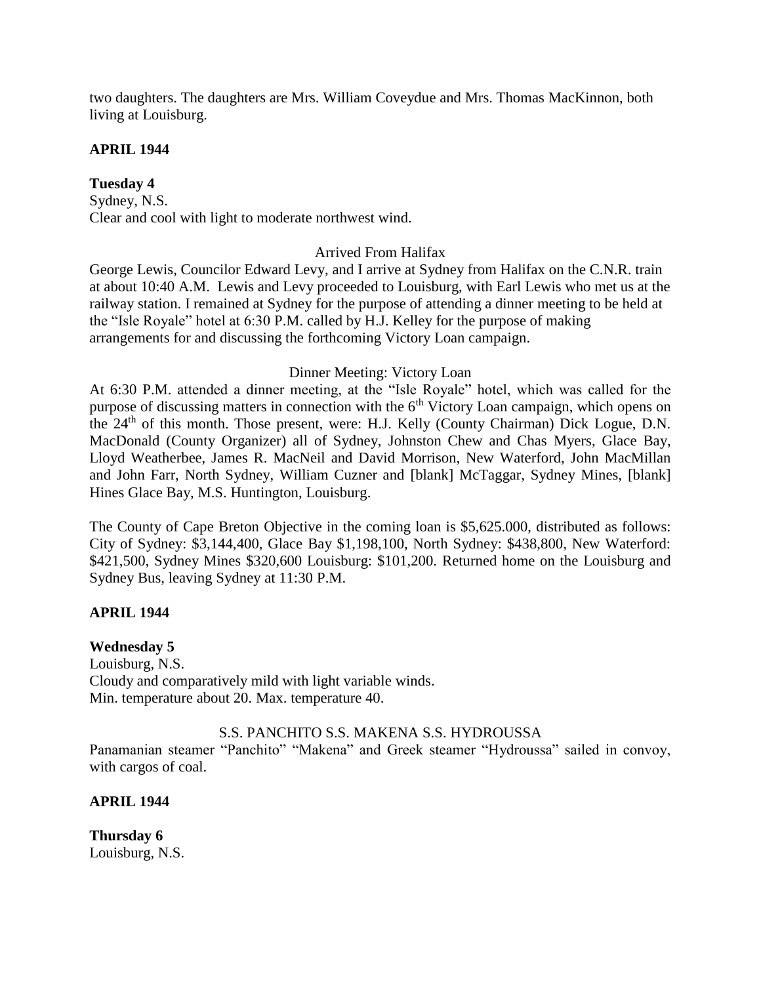two daughters. The daughters are Mrs. William Coveydue and Mrs. Thomas MacKinnon, both living at Louisburg.

# **APRIL 1944**

# **Tuesday 4**

Sydney, N.S. Clear and cool with light to moderate northwest wind.

# Arrived From Halifax

George Lewis, Councilor Edward Levy, and I arrive at Sydney from Halifax on the C.N.R. train at about 10:40 A.M. Lewis and Levy proceeded to Louisburg, with Earl Lewis who met us at the railway station. I remained at Sydney for the purpose of attending a dinner meeting to be held at the "Isle Royale" hotel at 6:30 P.M. called by H.J. Kelley for the purpose of making arrangements for and discussing the forthcoming Victory Loan campaign.

# Dinner Meeting: Victory Loan

At 6:30 P.M. attended a dinner meeting, at the "Isle Royale" hotel, which was called for the purpose of discussing matters in connection with the  $6<sup>th</sup>$  Victory Loan campaign, which opens on the 24<sup>th</sup> of this month. Those present, were: H.J. Kelly (County Chairman) Dick Logue, D.N. MacDonald (County Organizer) all of Sydney, Johnston Chew and Chas Myers, Glace Bay, Lloyd Weatherbee, James R. MacNeil and David Morrison, New Waterford, John MacMillan and John Farr, North Sydney, William Cuzner and [blank] McTaggar, Sydney Mines, [blank] Hines Glace Bay, M.S. Huntington, Louisburg.

The County of Cape Breton Objective in the coming loan is \$5,625.000, distributed as follows: City of Sydney: \$3,144,400, Glace Bay \$1,198,100, North Sydney: \$438,800, New Waterford: \$421,500, Sydney Mines \$320,600 Louisburg: \$101,200. Returned home on the Louisburg and Sydney Bus, leaving Sydney at 11:30 P.M.

# **APRIL 1944**

## **Wednesday 5**

Louisburg, N.S. Cloudy and comparatively mild with light variable winds. Min. temperature about 20. Max. temperature 40.

## S.S. PANCHITO S.S. MAKENA S.S. HYDROUSSA

Panamanian steamer "Panchito" "Makena" and Greek steamer "Hydroussa" sailed in convoy, with cargos of coal.

# **APRIL 1944**

**Thursday 6** Louisburg, N.S.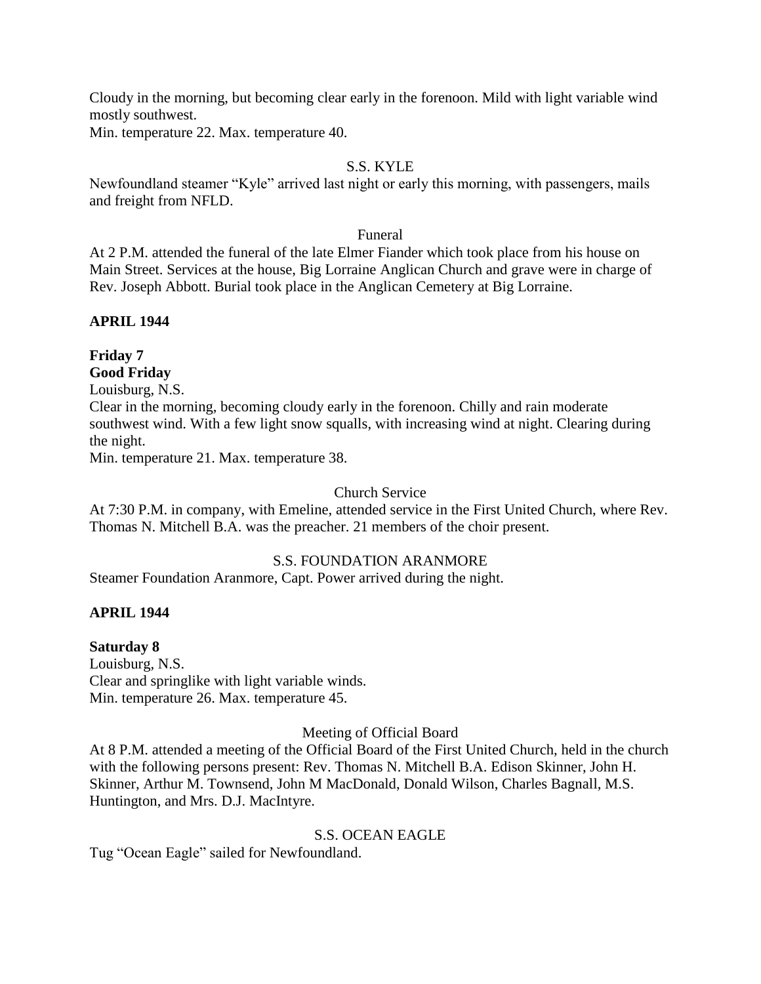Cloudy in the morning, but becoming clear early in the forenoon. Mild with light variable wind mostly southwest.

Min. temperature 22. Max. temperature 40.

# S.S. KYLE

Newfoundland steamer "Kyle" arrived last night or early this morning, with passengers, mails and freight from NFLD.

## Funeral

At 2 P.M. attended the funeral of the late Elmer Fiander which took place from his house on Main Street. Services at the house, Big Lorraine Anglican Church and grave were in charge of Rev. Joseph Abbott. Burial took place in the Anglican Cemetery at Big Lorraine.

# **APRIL 1944**

# **Friday 7 Good Friday**

Louisburg, N.S.

Clear in the morning, becoming cloudy early in the forenoon. Chilly and rain moderate southwest wind. With a few light snow squalls, with increasing wind at night. Clearing during the night.

Min. temperature 21. Max. temperature 38.

# Church Service

At 7:30 P.M. in company, with Emeline, attended service in the First United Church, where Rev. Thomas N. Mitchell B.A. was the preacher. 21 members of the choir present.

## S.S. FOUNDATION ARANMORE

Steamer Foundation Aranmore, Capt. Power arrived during the night.

# **APRIL 1944**

# **Saturday 8**

Louisburg, N.S. Clear and springlike with light variable winds. Min. temperature 26. Max. temperature 45.

## Meeting of Official Board

At 8 P.M. attended a meeting of the Official Board of the First United Church, held in the church with the following persons present: Rev. Thomas N. Mitchell B.A. Edison Skinner, John H. Skinner, Arthur M. Townsend, John M MacDonald, Donald Wilson, Charles Bagnall, M.S. Huntington, and Mrs. D.J. MacIntyre.

# S.S. OCEAN EAGLE

Tug "Ocean Eagle" sailed for Newfoundland.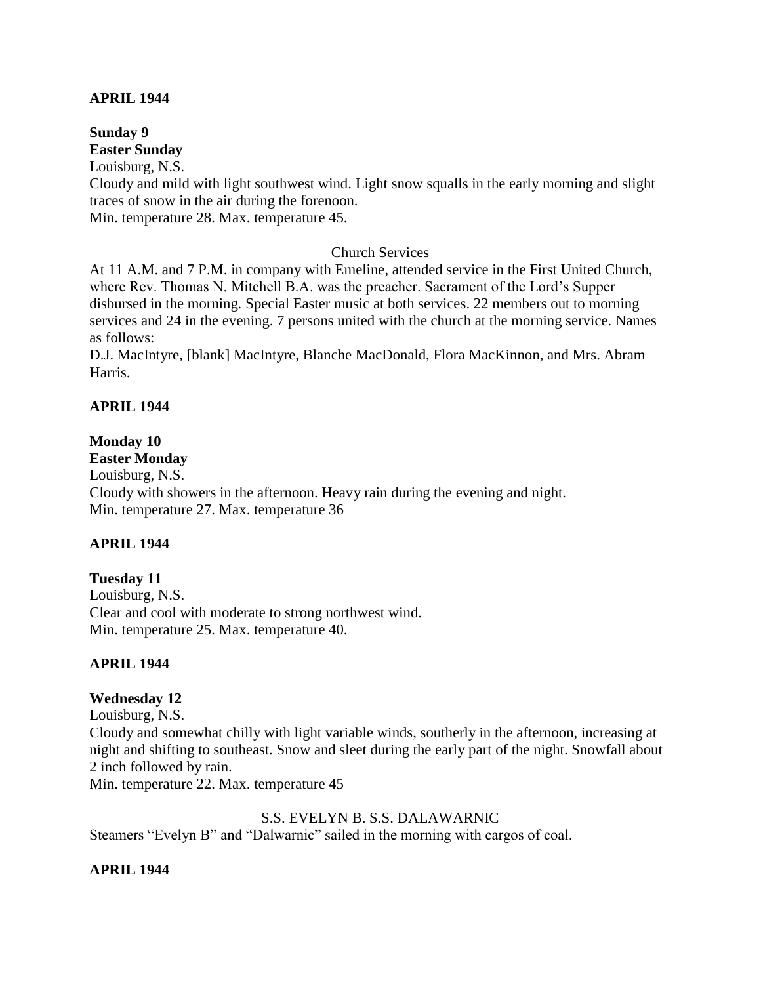## **APRIL 1944**

#### **Sunday 9 Easter Sunday**

Louisburg, N.S. Cloudy and mild with light southwest wind. Light snow squalls in the early morning and slight traces of snow in the air during the forenoon. Min. temperature 28. Max. temperature 45.

# Church Services

At 11 A.M. and 7 P.M. in company with Emeline, attended service in the First United Church, where Rev. Thomas N. Mitchell B.A. was the preacher. Sacrament of the Lord's Supper disbursed in the morning. Special Easter music at both services. 22 members out to morning services and 24 in the evening. 7 persons united with the church at the morning service. Names as follows:

D.J. MacIntyre, [blank] MacIntyre, Blanche MacDonald, Flora MacKinnon, and Mrs. Abram Harris.

# **APRIL 1944**

# **Monday 10**

**Easter Monday**

Louisburg, N.S. Cloudy with showers in the afternoon. Heavy rain during the evening and night. Min. temperature 27. Max. temperature 36

## **APRIL 1944**

## **Tuesday 11**

Louisburg, N.S. Clear and cool with moderate to strong northwest wind. Min. temperature 25. Max. temperature 40.

## **APRIL 1944**

# **Wednesday 12**

Louisburg, N.S.

Cloudy and somewhat chilly with light variable winds, southerly in the afternoon, increasing at night and shifting to southeast. Snow and sleet during the early part of the night. Snowfall about 2 inch followed by rain.

Min. temperature 22. Max. temperature 45

## S.S. EVELYN B. S.S. DALAWARNIC

Steamers "Evelyn B" and "Dalwarnic" sailed in the morning with cargos of coal.

## **APRIL 1944**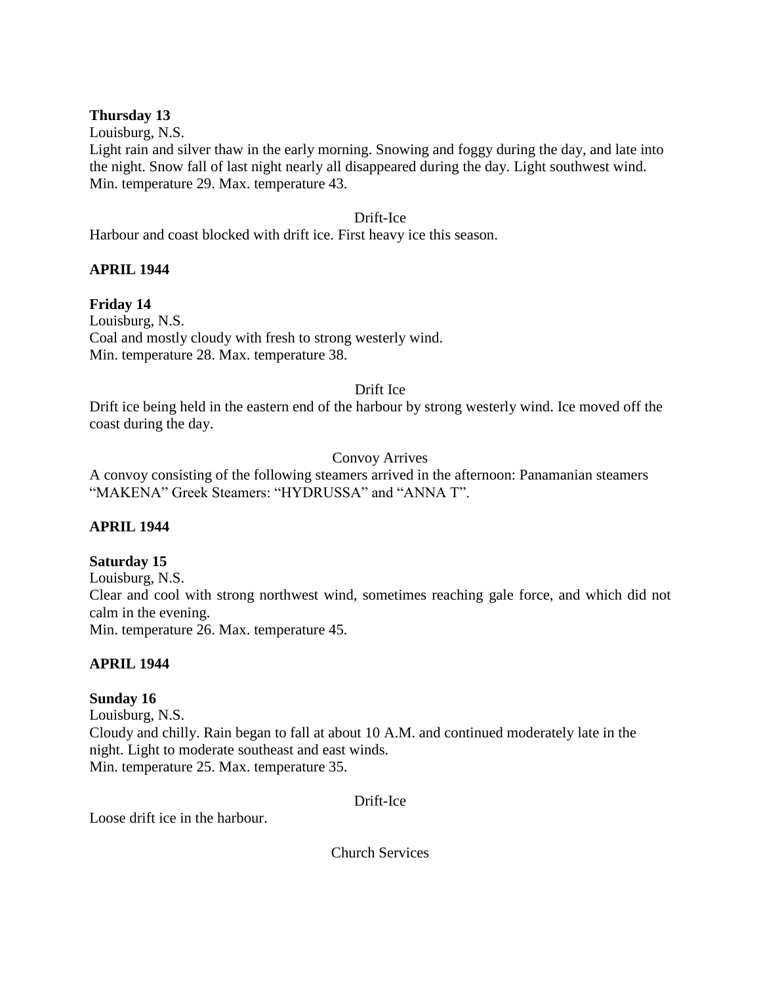# **Thursday 13**

Louisburg, N.S.

Light rain and silver thaw in the early morning. Snowing and foggy during the day, and late into the night. Snow fall of last night nearly all disappeared during the day. Light southwest wind. Min. temperature 29. Max. temperature 43.

# Drift-Ice

Harbour and coast blocked with drift ice. First heavy ice this season.

# **APRIL 1944**

# **Friday 14**

Louisburg, N.S. Coal and mostly cloudy with fresh to strong westerly wind. Min. temperature 28. Max. temperature 38.

## Drift Ice

Drift ice being held in the eastern end of the harbour by strong westerly wind. Ice moved off the coast during the day.

# Convoy Arrives

A convoy consisting of the following steamers arrived in the afternoon: Panamanian steamers "MAKENA" Greek Steamers: "HYDRUSSA" and "ANNA T".

# **APRIL 1944**

## **Saturday 15**

Louisburg, N.S. Clear and cool with strong northwest wind, sometimes reaching gale force, and which did not calm in the evening. Min. temperature 26. Max. temperature 45.

## **APRIL 1944**

# **Sunday 16**

Louisburg, N.S. Cloudy and chilly. Rain began to fall at about 10 A.M. and continued moderately late in the night. Light to moderate southeast and east winds. Min. temperature 25. Max. temperature 35.

Drift-Ice

Loose drift ice in the harbour.

Church Services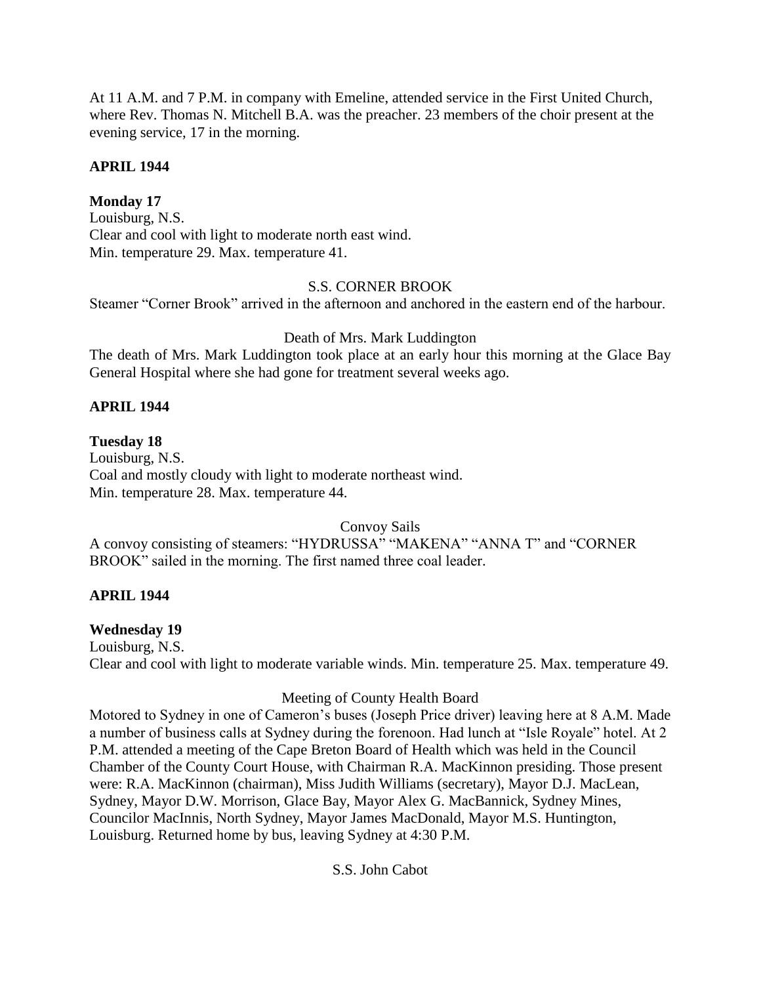At 11 A.M. and 7 P.M. in company with Emeline, attended service in the First United Church, where Rev. Thomas N. Mitchell B.A. was the preacher. 23 members of the choir present at the evening service, 17 in the morning.

# **APRIL 1944**

# **Monday 17**

Louisburg, N.S. Clear and cool with light to moderate north east wind. Min. temperature 29. Max. temperature 41.

# S.S. CORNER BROOK

Steamer "Corner Brook" arrived in the afternoon and anchored in the eastern end of the harbour.

# Death of Mrs. Mark Luddington

The death of Mrs. Mark Luddington took place at an early hour this morning at the Glace Bay General Hospital where she had gone for treatment several weeks ago.

# **APRIL 1944**

# **Tuesday 18**

Louisburg, N.S. Coal and mostly cloudy with light to moderate northeast wind. Min. temperature 28. Max. temperature 44.

Convoy Sails

A convoy consisting of steamers: "HYDRUSSA" "MAKENA" "ANNA T" and "CORNER BROOK" sailed in the morning. The first named three coal leader.

# **APRIL 1944**

## **Wednesday 19**

Louisburg, N.S. Clear and cool with light to moderate variable winds. Min. temperature 25. Max. temperature 49.

# Meeting of County Health Board

Motored to Sydney in one of Cameron's buses (Joseph Price driver) leaving here at 8 A.M. Made a number of business calls at Sydney during the forenoon. Had lunch at "Isle Royale" hotel. At 2 P.M. attended a meeting of the Cape Breton Board of Health which was held in the Council Chamber of the County Court House, with Chairman R.A. MacKinnon presiding. Those present were: R.A. MacKinnon (chairman), Miss Judith Williams (secretary), Mayor D.J. MacLean, Sydney, Mayor D.W. Morrison, Glace Bay, Mayor Alex G. MacBannick, Sydney Mines, Councilor MacInnis, North Sydney, Mayor James MacDonald, Mayor M.S. Huntington, Louisburg. Returned home by bus, leaving Sydney at 4:30 P.M.

S.S. John Cabot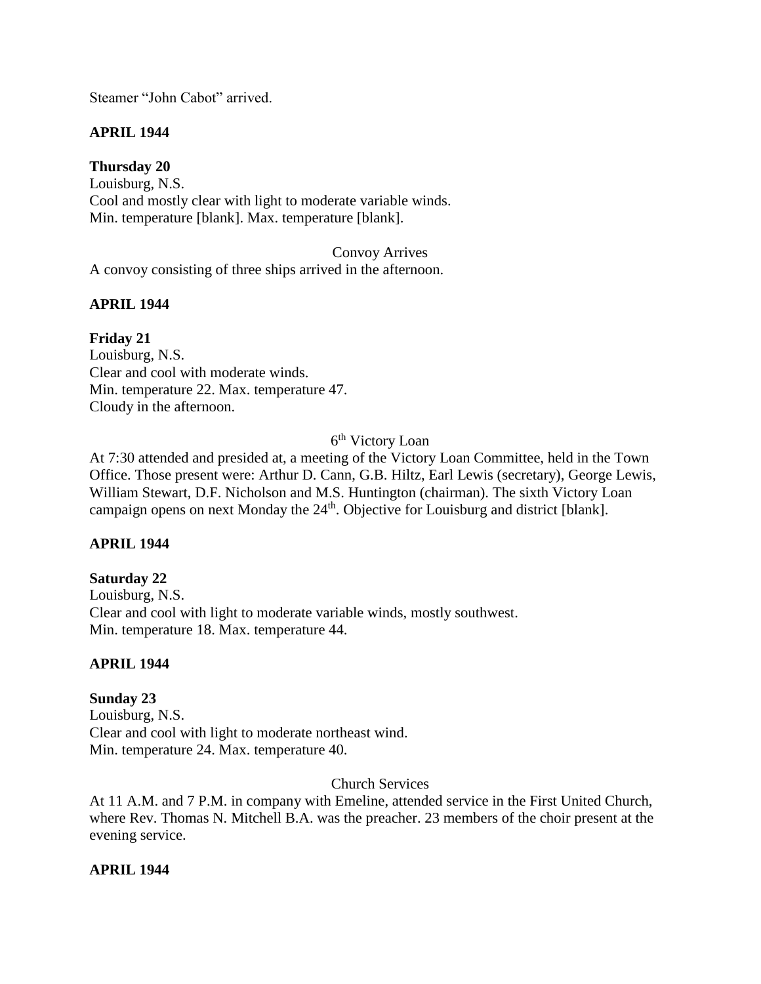Steamer "John Cabot" arrived.

# **APRIL 1944**

**Thursday 20** Louisburg, N.S. Cool and mostly clear with light to moderate variable winds. Min. temperature [blank]. Max. temperature [blank].

Convoy Arrives A convoy consisting of three ships arrived in the afternoon.

## **APRIL 1944**

**Friday 21** Louisburg, N.S. Clear and cool with moderate winds. Min. temperature 22. Max. temperature 47. Cloudy in the afternoon.

### 6<sup>th</sup> Victory Loan

At 7:30 attended and presided at, a meeting of the Victory Loan Committee, held in the Town Office. Those present were: Arthur D. Cann, G.B. Hiltz, Earl Lewis (secretary), George Lewis, William Stewart, D.F. Nicholson and M.S. Huntington (chairman). The sixth Victory Loan campaign opens on next Monday the 24<sup>th</sup>. Objective for Louisburg and district [blank].

# **APRIL 1944**

#### **Saturday 22**

Louisburg, N.S. Clear and cool with light to moderate variable winds, mostly southwest. Min. temperature 18. Max. temperature 44.

#### **APRIL 1944**

# **Sunday 23** Louisburg, N.S. Clear and cool with light to moderate northeast wind. Min. temperature 24. Max. temperature 40.

#### Church Services

At 11 A.M. and 7 P.M. in company with Emeline, attended service in the First United Church, where Rev. Thomas N. Mitchell B.A. was the preacher. 23 members of the choir present at the evening service.

#### **APRIL 1944**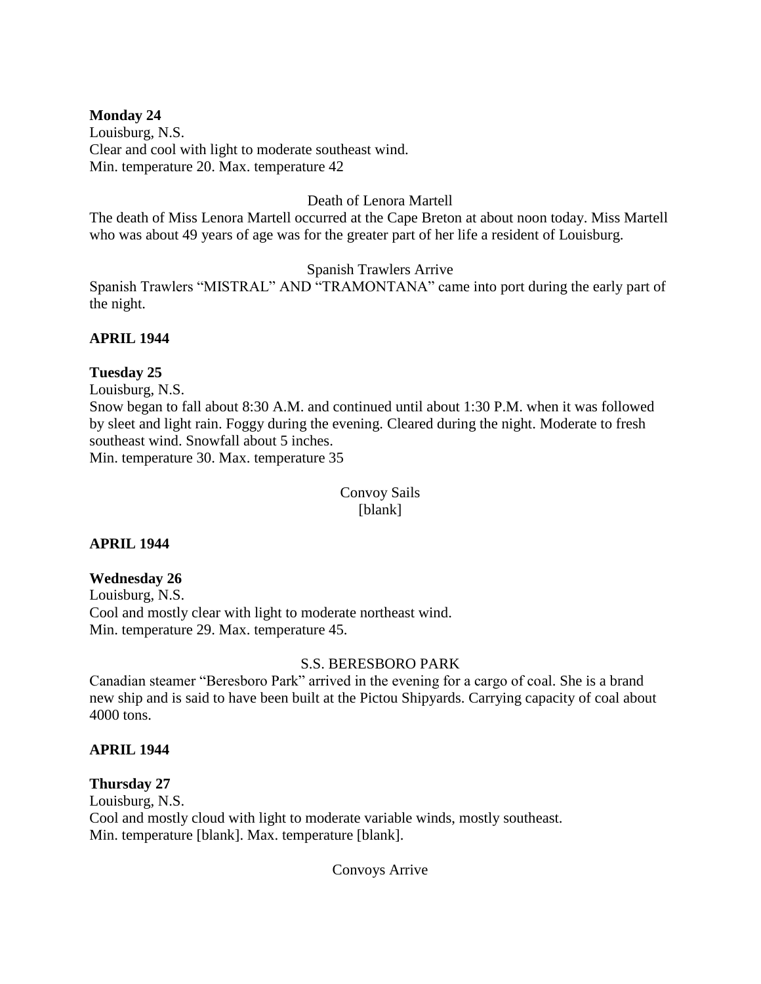## **Monday 24**

Louisburg, N.S. Clear and cool with light to moderate southeast wind. Min. temperature 20. Max. temperature 42

### Death of Lenora Martell

The death of Miss Lenora Martell occurred at the Cape Breton at about noon today. Miss Martell who was about 49 years of age was for the greater part of her life a resident of Louisburg.

Spanish Trawlers Arrive

Spanish Trawlers "MISTRAL" AND "TRAMONTANA" came into port during the early part of the night.

## **APRIL 1944**

## **Tuesday 25**

Louisburg, N.S.

Snow began to fall about 8:30 A.M. and continued until about 1:30 P.M. when it was followed by sleet and light rain. Foggy during the evening. Cleared during the night. Moderate to fresh southeast wind. Snowfall about 5 inches.

Min. temperature 30. Max. temperature 35

Convoy Sails [blank]

#### **APRIL 1944**

# **Wednesday 26**

Louisburg, N.S. Cool and mostly clear with light to moderate northeast wind. Min. temperature 29. Max. temperature 45.

#### S.S. BERESBORO PARK

Canadian steamer "Beresboro Park" arrived in the evening for a cargo of coal. She is a brand new ship and is said to have been built at the Pictou Shipyards. Carrying capacity of coal about 4000 tons.

#### **APRIL 1944**

# **Thursday 27**

Louisburg, N.S. Cool and mostly cloud with light to moderate variable winds, mostly southeast. Min. temperature [blank]. Max. temperature [blank].

Convoys Arrive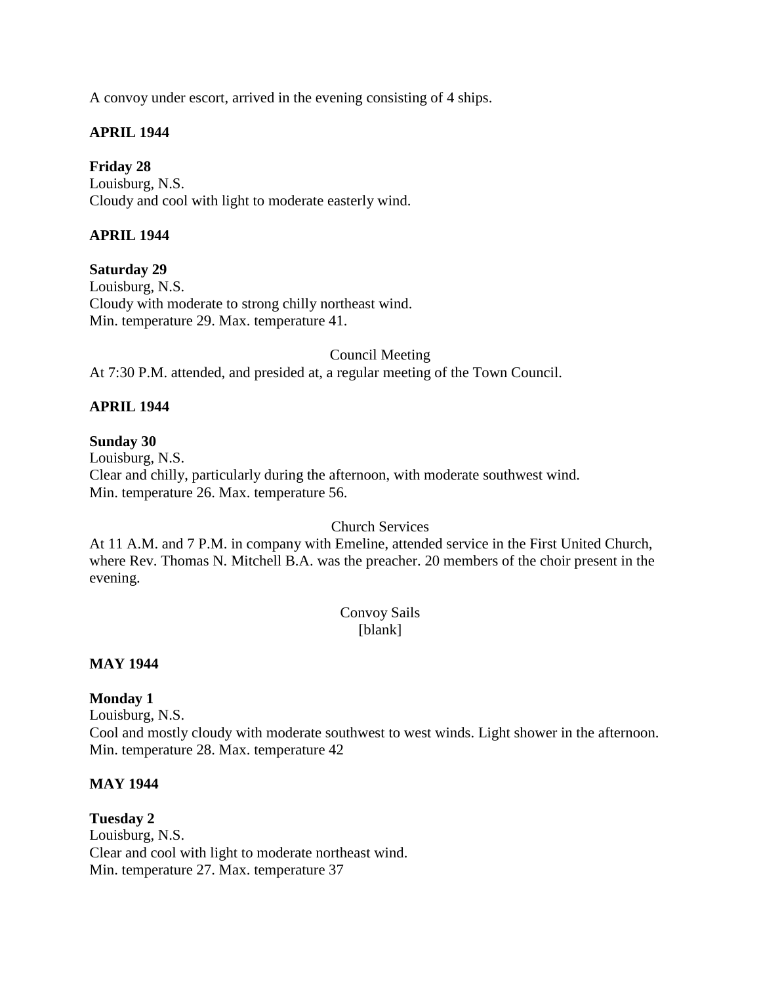A convoy under escort, arrived in the evening consisting of 4 ships.

# **APRIL 1944**

**Friday 28** Louisburg, N.S. Cloudy and cool with light to moderate easterly wind.

# **APRIL 1944**

**Saturday 29**

Louisburg, N.S. Cloudy with moderate to strong chilly northeast wind. Min. temperature 29. Max. temperature 41.

Council Meeting

At 7:30 P.M. attended, and presided at, a regular meeting of the Town Council.

# **APRIL 1944**

#### **Sunday 30**

Louisburg, N.S. Clear and chilly, particularly during the afternoon, with moderate southwest wind. Min. temperature 26. Max. temperature 56.

#### Church Services

At 11 A.M. and 7 P.M. in company with Emeline, attended service in the First United Church, where Rev. Thomas N. Mitchell B.A. was the preacher. 20 members of the choir present in the evening.

## Convoy Sails [blank]

# **MAY 1944**

**Monday 1**

Louisburg, N.S. Cool and mostly cloudy with moderate southwest to west winds. Light shower in the afternoon. Min. temperature 28. Max. temperature 42

#### **MAY 1944**

**Tuesday 2**  Louisburg, N.S. Clear and cool with light to moderate northeast wind. Min. temperature 27. Max. temperature 37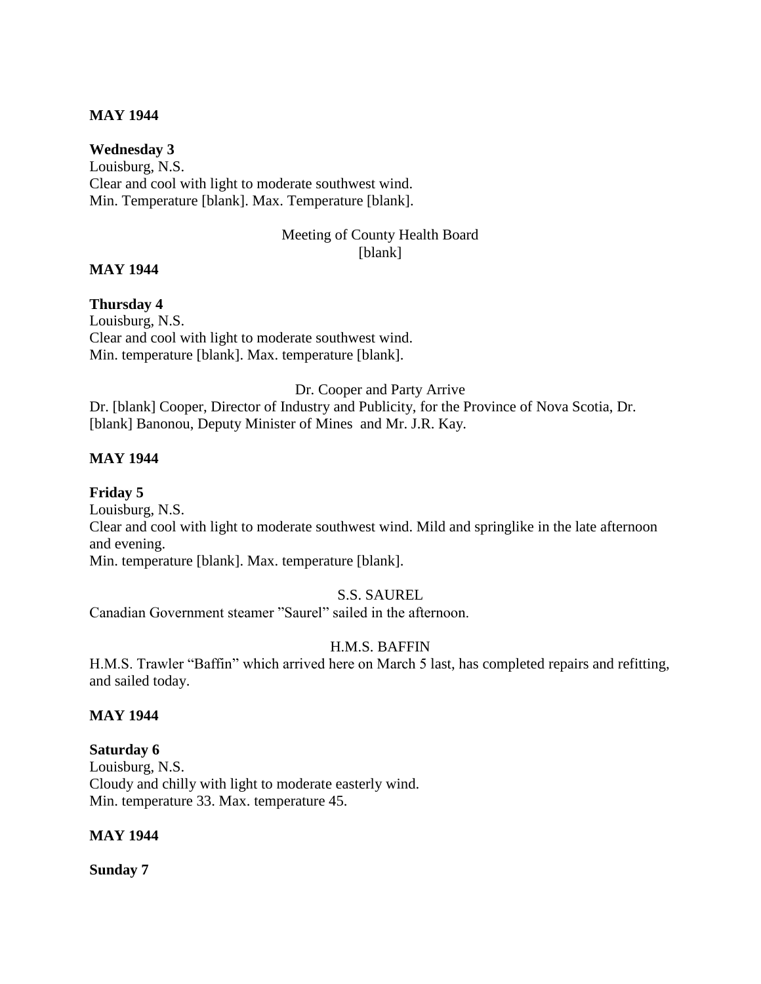## **MAY 1944**

**Wednesday 3** Louisburg, N.S. Clear and cool with light to moderate southwest wind. Min. Temperature [blank]. Max. Temperature [blank].

## Meeting of County Health Board [blank]

#### **MAY 1944**

#### **Thursday 4**

Louisburg, N.S. Clear and cool with light to moderate southwest wind. Min. temperature [blank]. Max. temperature [blank].

#### Dr. Cooper and Party Arrive

Dr. [blank] Cooper, Director of Industry and Publicity, for the Province of Nova Scotia, Dr. [blank] Banonou, Deputy Minister of Mines and Mr. J.R. Kay.

## **MAY 1944**

**Friday 5**  Louisburg, N.S. Clear and cool with light to moderate southwest wind. Mild and springlike in the late afternoon and evening. Min. temperature [blank]. Max. temperature [blank].

# S.S. SAUREL

Canadian Government steamer "Saurel" sailed in the afternoon.

# H.M.S. BAFFIN

H.M.S. Trawler "Baffin" which arrived here on March 5 last, has completed repairs and refitting, and sailed today.

#### **MAY 1944**

#### **Saturday 6**

Louisburg, N.S. Cloudy and chilly with light to moderate easterly wind. Min. temperature 33. Max. temperature 45.

#### **MAY 1944**

**Sunday 7**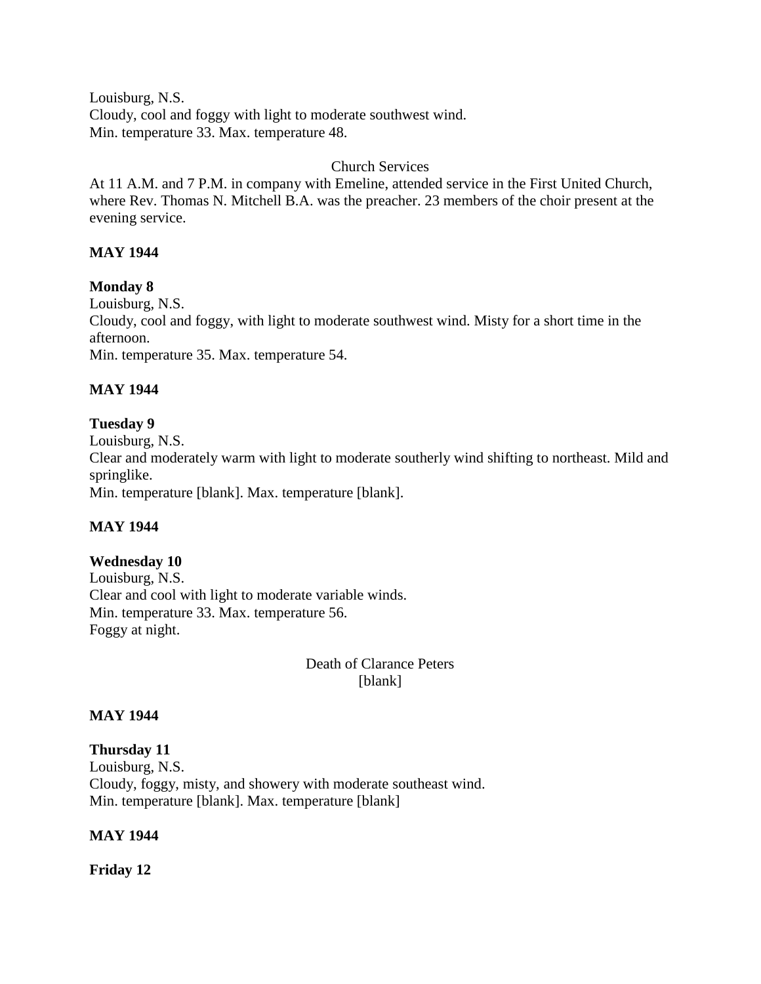Louisburg, N.S. Cloudy, cool and foggy with light to moderate southwest wind. Min. temperature 33. Max. temperature 48.

## Church Services

At 11 A.M. and 7 P.M. in company with Emeline, attended service in the First United Church, where Rev. Thomas N. Mitchell B.A. was the preacher. 23 members of the choir present at the evening service.

# **MAY 1944**

**Monday 8**  Louisburg, N.S. Cloudy, cool and foggy, with light to moderate southwest wind. Misty for a short time in the afternoon. Min. temperature 35. Max. temperature 54.

# **MAY 1944**

# **Tuesday 9**

Louisburg, N.S. Clear and moderately warm with light to moderate southerly wind shifting to northeast. Mild and springlike. Min. temperature [blank]. Max. temperature [blank].

# **MAY 1944**

# **Wednesday 10**

Louisburg, N.S. Clear and cool with light to moderate variable winds. Min. temperature 33. Max. temperature 56. Foggy at night.

> Death of Clarance Peters [blank]

# **MAY 1944**

**Thursday 11** Louisburg, N.S. Cloudy, foggy, misty, and showery with moderate southeast wind. Min. temperature [blank]. Max. temperature [blank]

#### **MAY 1944**

**Friday 12**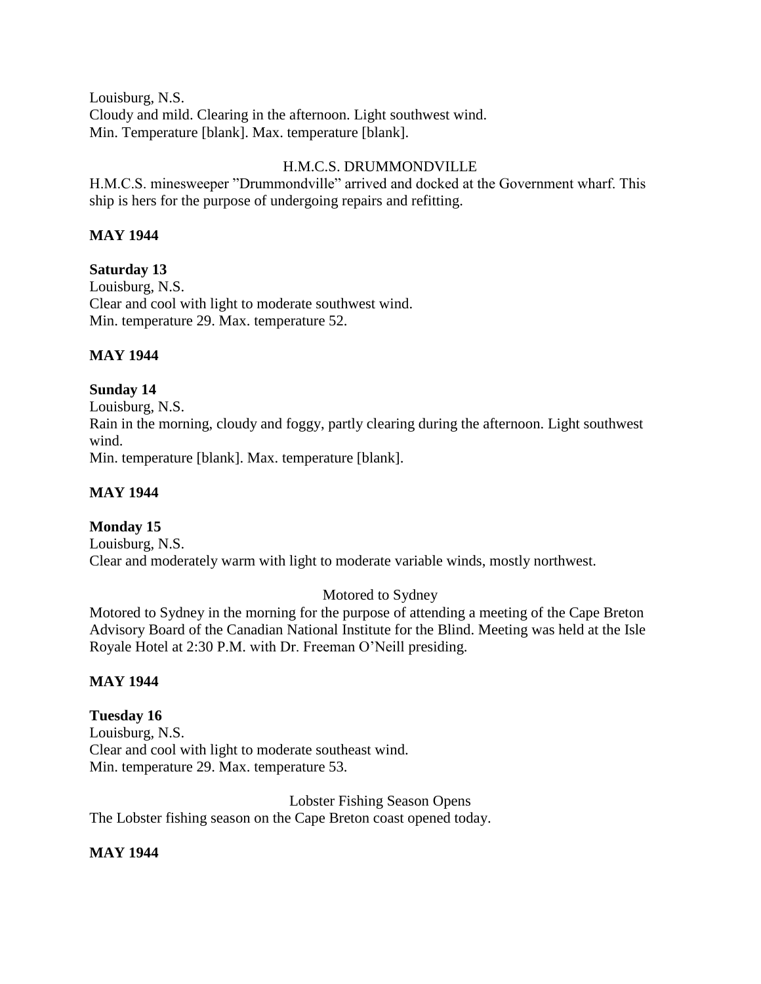Louisburg, N.S. Cloudy and mild. Clearing in the afternoon. Light southwest wind. Min. Temperature [blank]. Max. temperature [blank].

# H.M.C.S. DRUMMONDVILLE

H.M.C.S. minesweeper "Drummondville" arrived and docked at the Government wharf. This ship is hers for the purpose of undergoing repairs and refitting.

# **MAY 1944**

# **Saturday 13**

Louisburg, N.S. Clear and cool with light to moderate southwest wind. Min. temperature 29. Max. temperature 52.

# **MAY 1944**

# **Sunday 14**

Louisburg, N.S. Rain in the morning, cloudy and foggy, partly clearing during the afternoon. Light southwest wind. Min. temperature [blank]. Max. temperature [blank].

**MAY 1944**

# **Monday 15**

Louisburg, N.S. Clear and moderately warm with light to moderate variable winds, mostly northwest.

# Motored to Sydney

Motored to Sydney in the morning for the purpose of attending a meeting of the Cape Breton Advisory Board of the Canadian National Institute for the Blind. Meeting was held at the Isle Royale Hotel at 2:30 P.M. with Dr. Freeman O'Neill presiding.

# **MAY 1944**

# **Tuesday 16**

Louisburg, N.S. Clear and cool with light to moderate southeast wind. Min. temperature 29. Max. temperature 53.

Lobster Fishing Season Opens The Lobster fishing season on the Cape Breton coast opened today.

# **MAY 1944**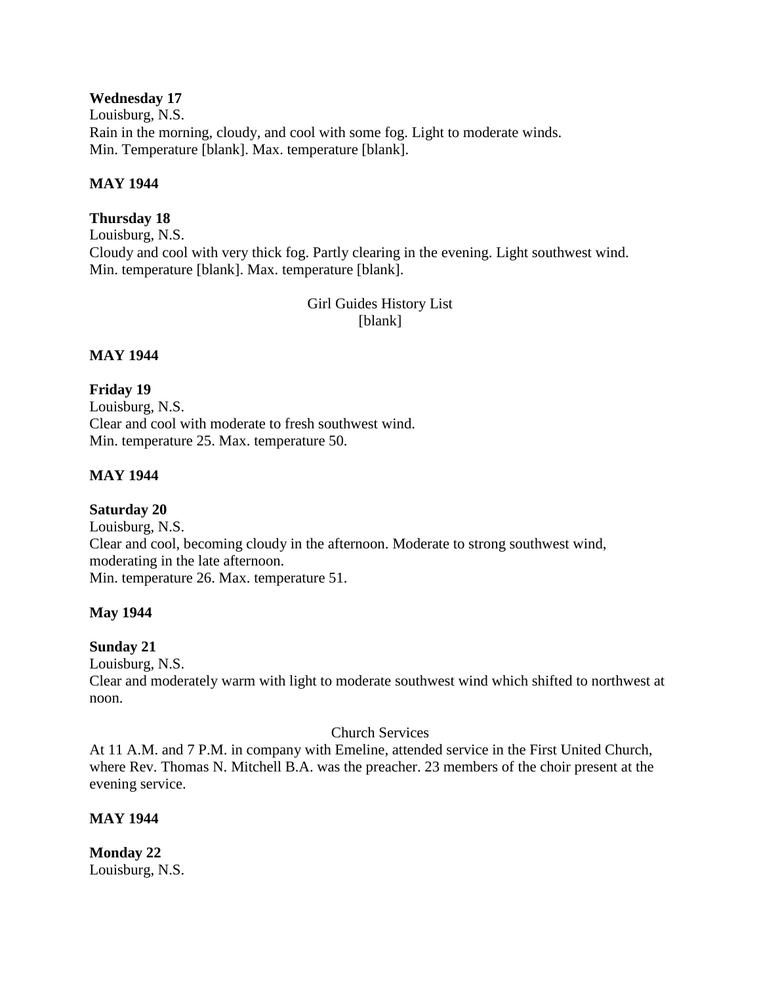## **Wednesday 17**

Louisburg, N.S. Rain in the morning, cloudy, and cool with some fog. Light to moderate winds. Min. Temperature [blank]. Max. temperature [blank].

## **MAY 1944**

# **Thursday 18**

Louisburg, N.S. Cloudy and cool with very thick fog. Partly clearing in the evening. Light southwest wind. Min. temperature [blank]. Max. temperature [blank].

> Girl Guides History List [blank]

# **MAY 1944**

# **Friday 19**

Louisburg, N.S. Clear and cool with moderate to fresh southwest wind. Min. temperature 25. Max. temperature 50.

# **MAY 1944**

# **Saturday 20**

Louisburg, N.S. Clear and cool, becoming cloudy in the afternoon. Moderate to strong southwest wind, moderating in the late afternoon. Min. temperature 26. Max. temperature 51.

# **May 1944**

# **Sunday 21**

Louisburg, N.S.

Clear and moderately warm with light to moderate southwest wind which shifted to northwest at noon.

# Church Services

At 11 A.M. and 7 P.M. in company with Emeline, attended service in the First United Church, where Rev. Thomas N. Mitchell B.A. was the preacher. 23 members of the choir present at the evening service.

# **MAY 1944**

**Monday 22** Louisburg, N.S.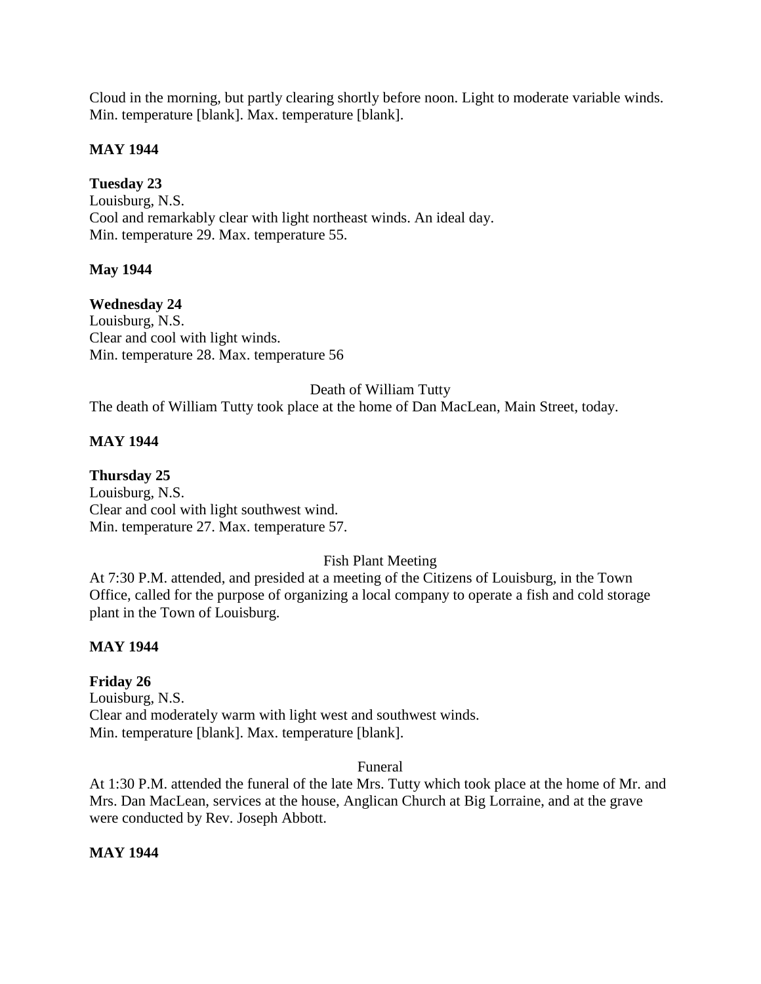Cloud in the morning, but partly clearing shortly before noon. Light to moderate variable winds. Min. temperature [blank]. Max. temperature [blank].

# **MAY 1944**

**Tuesday 23** Louisburg, N.S. Cool and remarkably clear with light northeast winds. An ideal day. Min. temperature 29. Max. temperature 55.

# **May 1944**

**Wednesday 24** Louisburg, N.S. Clear and cool with light winds. Min. temperature 28. Max. temperature 56

# Death of William Tutty

The death of William Tutty took place at the home of Dan MacLean, Main Street, today.

# **MAY 1944**

**Thursday 25** Louisburg, N.S. Clear and cool with light southwest wind.

Min. temperature 27. Max. temperature 57.

# Fish Plant Meeting

At 7:30 P.M. attended, and presided at a meeting of the Citizens of Louisburg, in the Town Office, called for the purpose of organizing a local company to operate a fish and cold storage plant in the Town of Louisburg.

# **MAY 1944**

# **Friday 26**

Louisburg, N.S. Clear and moderately warm with light west and southwest winds. Min. temperature [blank]. Max. temperature [blank].

# Funeral

At 1:30 P.M. attended the funeral of the late Mrs. Tutty which took place at the home of Mr. and Mrs. Dan MacLean, services at the house, Anglican Church at Big Lorraine, and at the grave were conducted by Rev. Joseph Abbott.

# **MAY 1944**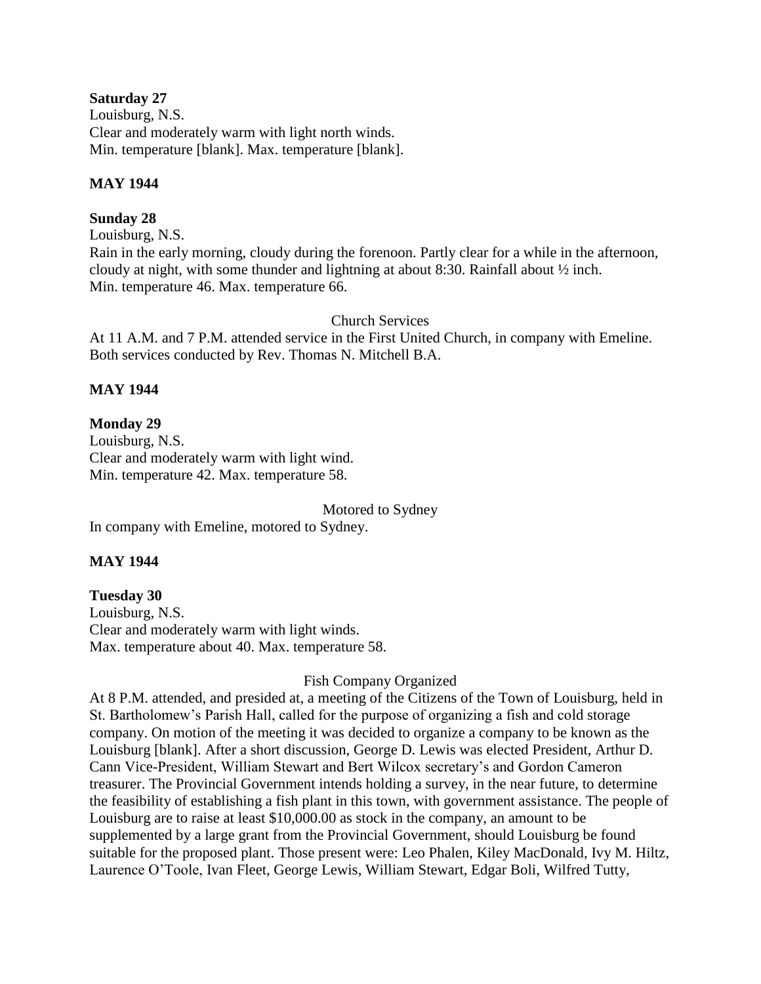## **Saturday 27**

Louisburg, N.S. Clear and moderately warm with light north winds. Min. temperature [blank]. Max. temperature [blank].

# **MAY 1944**

# **Sunday 28**

Louisburg, N.S. Rain in the early morning, cloudy during the forenoon. Partly clear for a while in the afternoon, cloudy at night, with some thunder and lightning at about 8:30. Rainfall about ½ inch. Min. temperature 46. Max. temperature 66.

Church Services

At 11 A.M. and 7 P.M. attended service in the First United Church, in company with Emeline. Both services conducted by Rev. Thomas N. Mitchell B.A.

# **MAY 1944**

# **Monday 29**

Louisburg, N.S. Clear and moderately warm with light wind. Min. temperature 42. Max. temperature 58.

Motored to Sydney In company with Emeline, motored to Sydney.

# **MAY 1944**

# **Tuesday 30**

Louisburg, N.S. Clear and moderately warm with light winds. Max. temperature about 40. Max. temperature 58.

# Fish Company Organized

At 8 P.M. attended, and presided at, a meeting of the Citizens of the Town of Louisburg, held in St. Bartholomew's Parish Hall, called for the purpose of organizing a fish and cold storage company. On motion of the meeting it was decided to organize a company to be known as the Louisburg [blank]. After a short discussion, George D. Lewis was elected President, Arthur D. Cann Vice-President, William Stewart and Bert Wilcox secretary's and Gordon Cameron treasurer. The Provincial Government intends holding a survey, in the near future, to determine the feasibility of establishing a fish plant in this town, with government assistance. The people of Louisburg are to raise at least \$10,000.00 as stock in the company, an amount to be supplemented by a large grant from the Provincial Government, should Louisburg be found suitable for the proposed plant. Those present were: Leo Phalen, Kiley MacDonald, Ivy M. Hiltz, Laurence O'Toole, Ivan Fleet, George Lewis, William Stewart, Edgar Boli, Wilfred Tutty,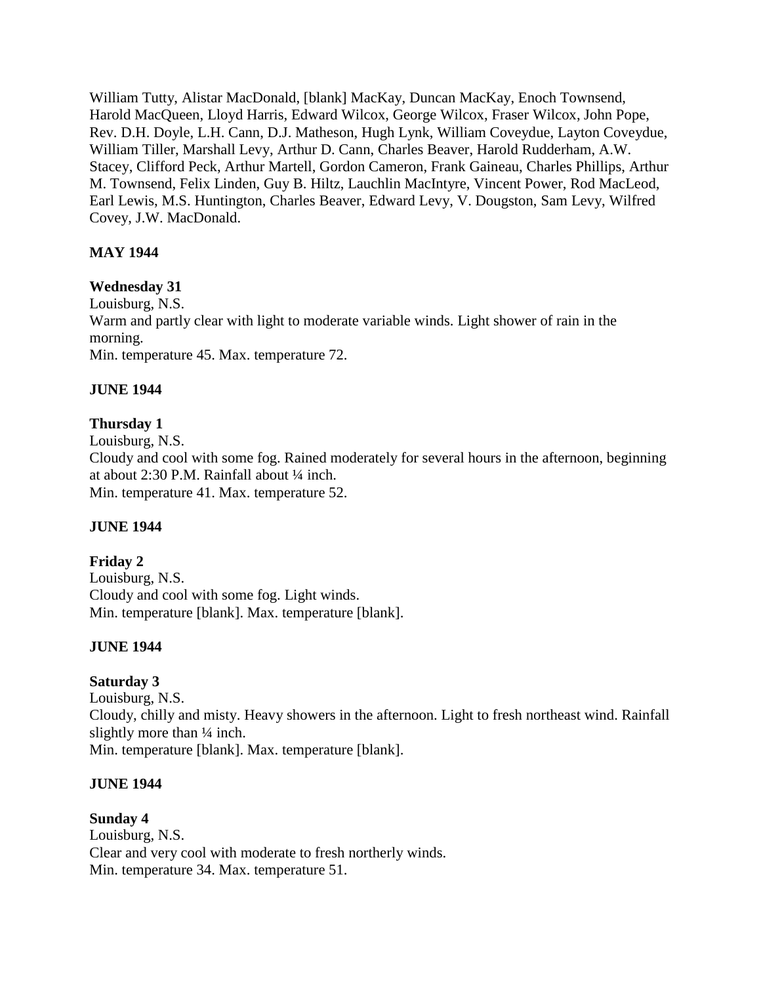William Tutty, Alistar MacDonald, [blank] MacKay, Duncan MacKay, Enoch Townsend, Harold MacQueen, Lloyd Harris, Edward Wilcox, George Wilcox, Fraser Wilcox, John Pope, Rev. D.H. Doyle, L.H. Cann, D.J. Matheson, Hugh Lynk, William Coveydue, Layton Coveydue, William Tiller, Marshall Levy, Arthur D. Cann, Charles Beaver, Harold Rudderham, A.W. Stacey, Clifford Peck, Arthur Martell, Gordon Cameron, Frank Gaineau, Charles Phillips, Arthur M. Townsend, Felix Linden, Guy B. Hiltz, Lauchlin MacIntyre, Vincent Power, Rod MacLeod, Earl Lewis, M.S. Huntington, Charles Beaver, Edward Levy, V. Dougston, Sam Levy, Wilfred Covey, J.W. MacDonald.

# **MAY 1944**

# **Wednesday 31**

Louisburg, N.S. Warm and partly clear with light to moderate variable winds. Light shower of rain in the morning. Min. temperature 45. Max. temperature 72.

## **JUNE 1944**

# **Thursday 1**

Louisburg, N.S. Cloudy and cool with some fog. Rained moderately for several hours in the afternoon, beginning at about 2:30 P.M. Rainfall about ¼ inch. Min. temperature 41. Max. temperature 52.

# **JUNE 1944**

**Friday 2** Louisburg, N.S. Cloudy and cool with some fog. Light winds. Min. temperature [blank]. Max. temperature [blank].

# **JUNE 1944**

# **Saturday 3**

Louisburg, N.S. Cloudy, chilly and misty. Heavy showers in the afternoon. Light to fresh northeast wind. Rainfall slightly more than  $\frac{1}{4}$  inch. Min. temperature [blank]. Max. temperature [blank].

#### **JUNE 1944**

**Sunday 4** Louisburg, N.S. Clear and very cool with moderate to fresh northerly winds. Min. temperature 34. Max. temperature 51.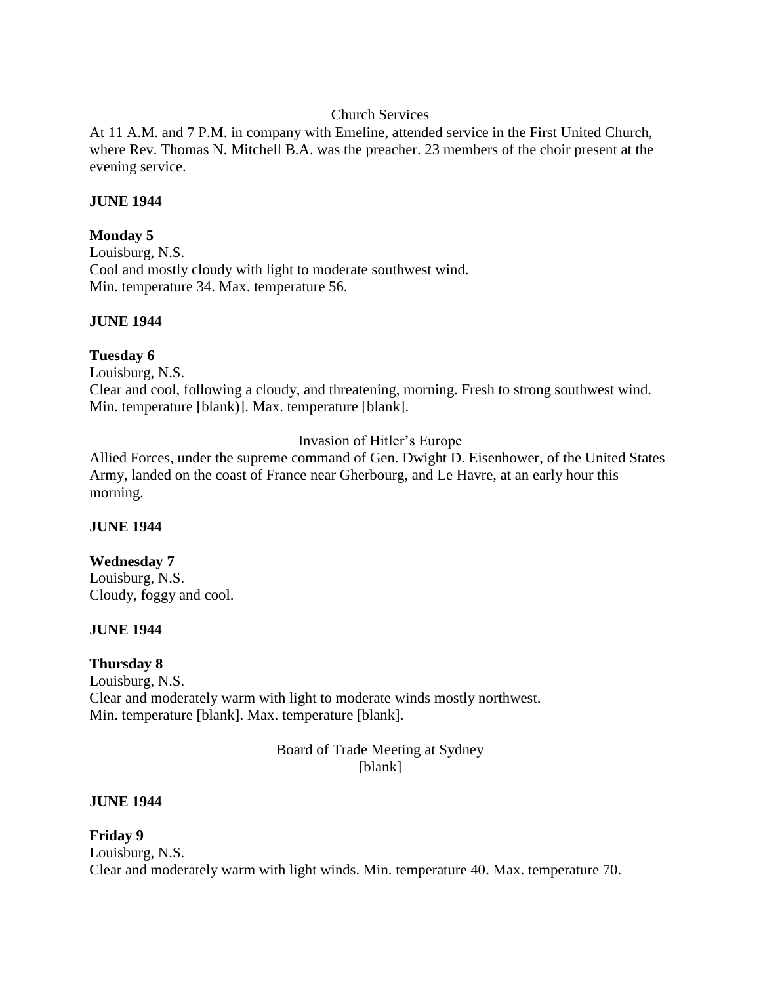## Church Services

At 11 A.M. and 7 P.M. in company with Emeline, attended service in the First United Church, where Rev. Thomas N. Mitchell B.A. was the preacher. 23 members of the choir present at the evening service.

#### **JUNE 1944**

## **Monday 5**

Louisburg, N.S. Cool and mostly cloudy with light to moderate southwest wind. Min. temperature 34. Max. temperature 56.

## **JUNE 1944**

## **Tuesday 6**

Louisburg, N.S.

Clear and cool, following a cloudy, and threatening, morning. Fresh to strong southwest wind. Min. temperature [blank)]. Max. temperature [blank].

## Invasion of Hitler's Europe

Allied Forces, under the supreme command of Gen. Dwight D. Eisenhower, of the United States Army, landed on the coast of France near Gherbourg, and Le Havre, at an early hour this morning.

#### **JUNE 1944**

#### **Wednesday 7**

Louisburg, N.S. Cloudy, foggy and cool.

#### **JUNE 1944**

#### **Thursday 8**

Louisburg, N.S. Clear and moderately warm with light to moderate winds mostly northwest. Min. temperature [blank]. Max. temperature [blank].

#### Board of Trade Meeting at Sydney [blank]

#### **JUNE 1944**

**Friday 9** Louisburg, N.S. Clear and moderately warm with light winds. Min. temperature 40. Max. temperature 70.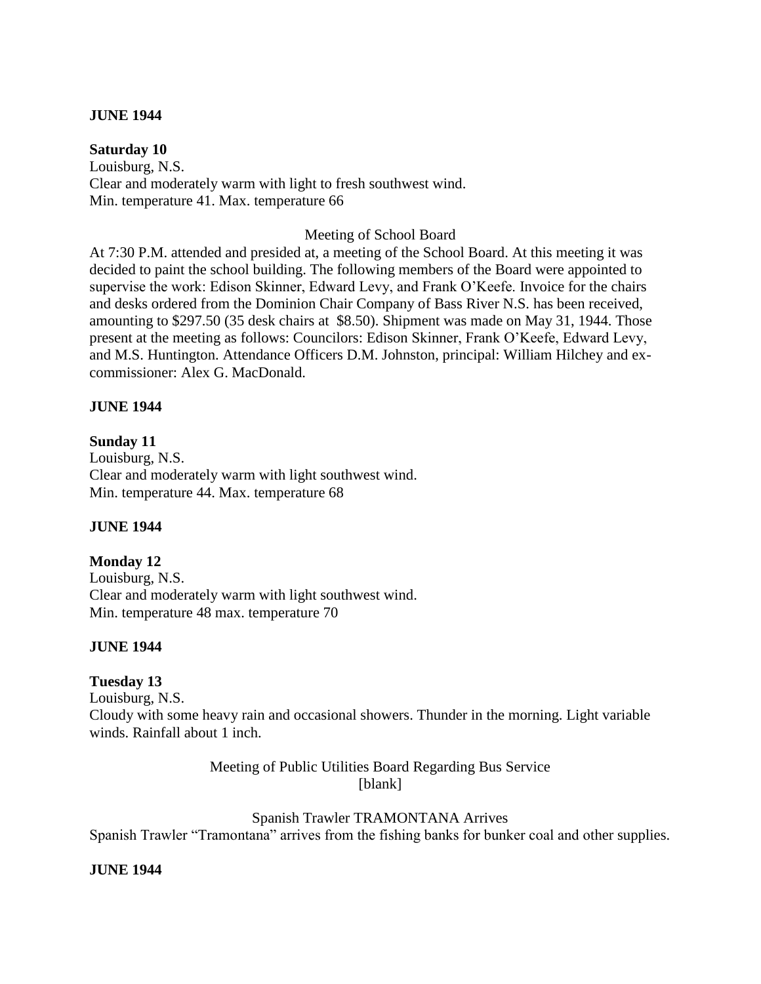### **JUNE 1944**

### **Saturday 10**

Louisburg, N.S. Clear and moderately warm with light to fresh southwest wind. Min. temperature 41. Max. temperature 66

### Meeting of School Board

At 7:30 P.M. attended and presided at, a meeting of the School Board. At this meeting it was decided to paint the school building. The following members of the Board were appointed to supervise the work: Edison Skinner, Edward Levy, and Frank O'Keefe. Invoice for the chairs and desks ordered from the Dominion Chair Company of Bass River N.S. has been received, amounting to \$297.50 (35 desk chairs at \$8.50). Shipment was made on May 31, 1944. Those present at the meeting as follows: Councilors: Edison Skinner, Frank O'Keefe, Edward Levy, and M.S. Huntington. Attendance Officers D.M. Johnston, principal: William Hilchey and excommissioner: Alex G. MacDonald.

## **JUNE 1944**

# **Sunday 11**

Louisburg, N.S. Clear and moderately warm with light southwest wind. Min. temperature 44. Max. temperature 68

#### **JUNE 1944**

### **Monday 12** Louisburg, N.S. Clear and moderately warm with light southwest wind. Min. temperature 48 max. temperature 70

#### **JUNE 1944**

# **Tuesday 13**

Louisburg, N.S. Cloudy with some heavy rain and occasional showers. Thunder in the morning. Light variable winds. Rainfall about 1 inch.

> Meeting of Public Utilities Board Regarding Bus Service [blank]

Spanish Trawler TRAMONTANA Arrives Spanish Trawler "Tramontana" arrives from the fishing banks for bunker coal and other supplies.

#### **JUNE 1944**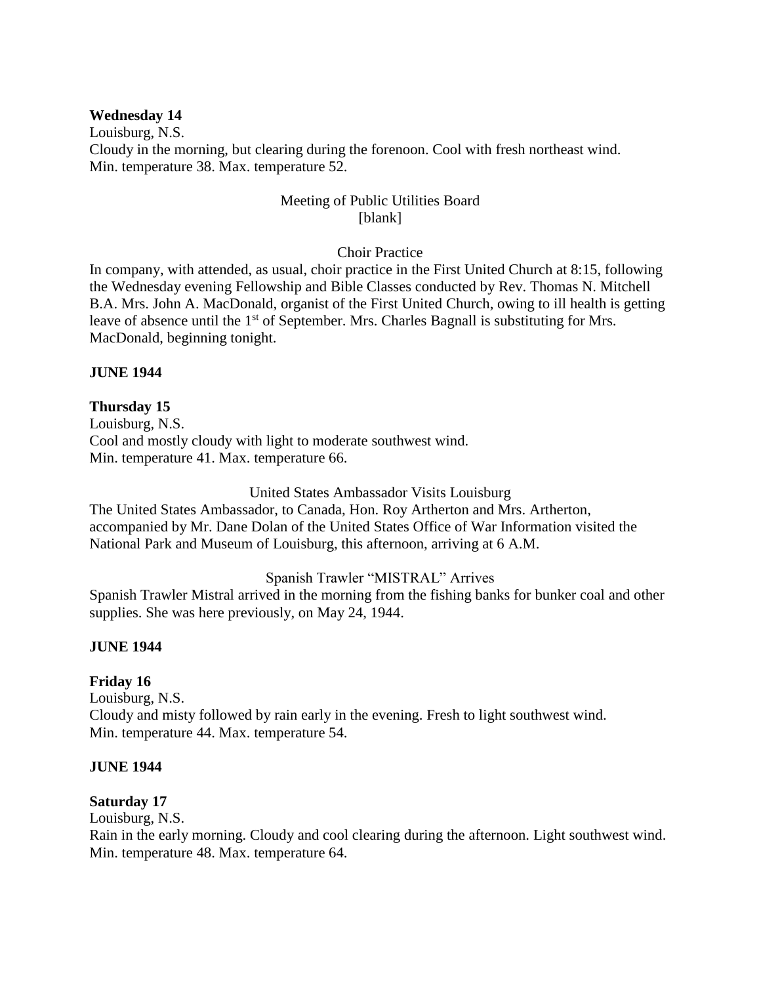### **Wednesday 14**

Louisburg, N.S. Cloudy in the morning, but clearing during the forenoon. Cool with fresh northeast wind. Min. temperature 38. Max. temperature 52.

## Meeting of Public Utilities Board [blank]

## Choir Practice

In company, with attended, as usual, choir practice in the First United Church at 8:15, following the Wednesday evening Fellowship and Bible Classes conducted by Rev. Thomas N. Mitchell B.A. Mrs. John A. MacDonald, organist of the First United Church, owing to ill health is getting leave of absence until the 1<sup>st</sup> of September. Mrs. Charles Bagnall is substituting for Mrs. MacDonald, beginning tonight.

#### **JUNE 1944**

## **Thursday 15**

Louisburg, N.S. Cool and mostly cloudy with light to moderate southwest wind. Min. temperature 41. Max. temperature 66.

#### United States Ambassador Visits Louisburg

The United States Ambassador, to Canada, Hon. Roy Artherton and Mrs. Artherton, accompanied by Mr. Dane Dolan of the United States Office of War Information visited the National Park and Museum of Louisburg, this afternoon, arriving at 6 A.M.

#### Spanish Trawler "MISTRAL" Arrives

Spanish Trawler Mistral arrived in the morning from the fishing banks for bunker coal and other supplies. She was here previously, on May 24, 1944.

#### **JUNE 1944**

#### **Friday 16**

Louisburg, N.S. Cloudy and misty followed by rain early in the evening. Fresh to light southwest wind. Min. temperature 44. Max. temperature 54.

#### **JUNE 1944**

#### **Saturday 17**

Louisburg, N.S.

Rain in the early morning. Cloudy and cool clearing during the afternoon. Light southwest wind. Min. temperature 48. Max. temperature 64.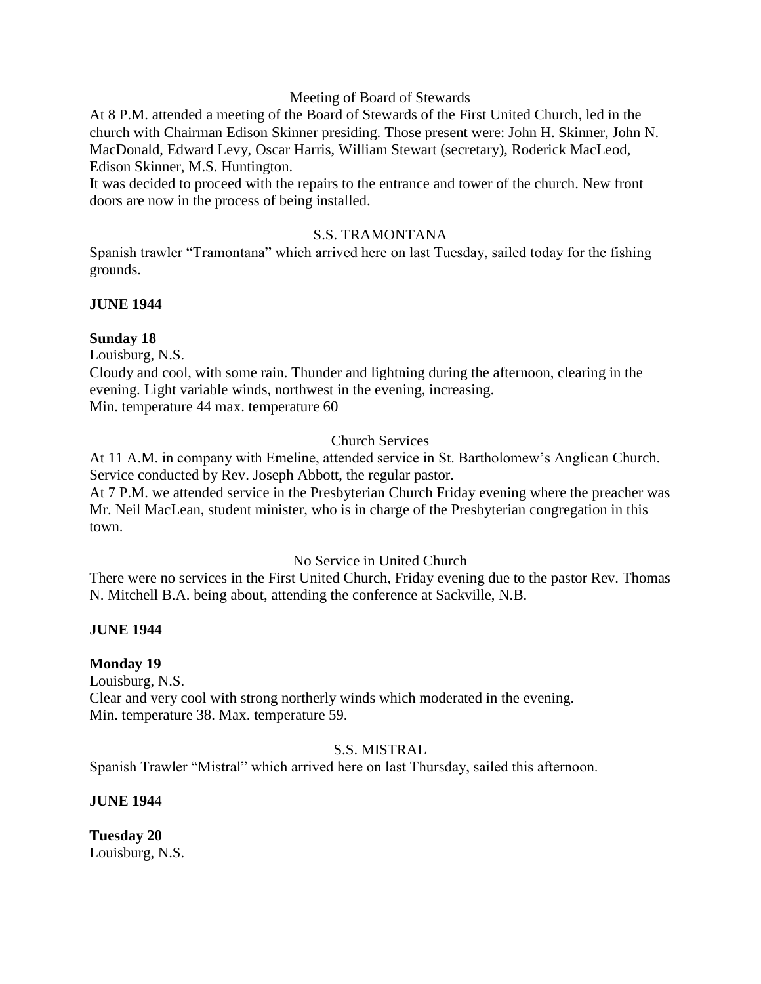#### Meeting of Board of Stewards

At 8 P.M. attended a meeting of the Board of Stewards of the First United Church, led in the church with Chairman Edison Skinner presiding. Those present were: John H. Skinner, John N. MacDonald, Edward Levy, Oscar Harris, William Stewart (secretary), Roderick MacLeod, Edison Skinner, M.S. Huntington.

It was decided to proceed with the repairs to the entrance and tower of the church. New front doors are now in the process of being installed.

#### S.S. TRAMONTANA

Spanish trawler "Tramontana" which arrived here on last Tuesday, sailed today for the fishing grounds.

#### **JUNE 1944**

#### **Sunday 18**

Louisburg, N.S.

Cloudy and cool, with some rain. Thunder and lightning during the afternoon, clearing in the evening. Light variable winds, northwest in the evening, increasing. Min. temperature 44 max. temperature 60

#### Church Services

At 11 A.M. in company with Emeline, attended service in St. Bartholomew's Anglican Church. Service conducted by Rev. Joseph Abbott, the regular pastor.

At 7 P.M. we attended service in the Presbyterian Church Friday evening where the preacher was Mr. Neil MacLean, student minister, who is in charge of the Presbyterian congregation in this town.

#### No Service in United Church

There were no services in the First United Church, Friday evening due to the pastor Rev. Thomas N. Mitchell B.A. being about, attending the conference at Sackville, N.B.

#### **JUNE 1944**

#### **Monday 19**

Louisburg, N.S.

Clear and very cool with strong northerly winds which moderated in the evening. Min. temperature 38. Max. temperature 59.

#### S.S. MISTRAL

Spanish Trawler "Mistral" which arrived here on last Thursday, sailed this afternoon.

#### **JUNE 194**4

**Tuesday 20** Louisburg, N.S.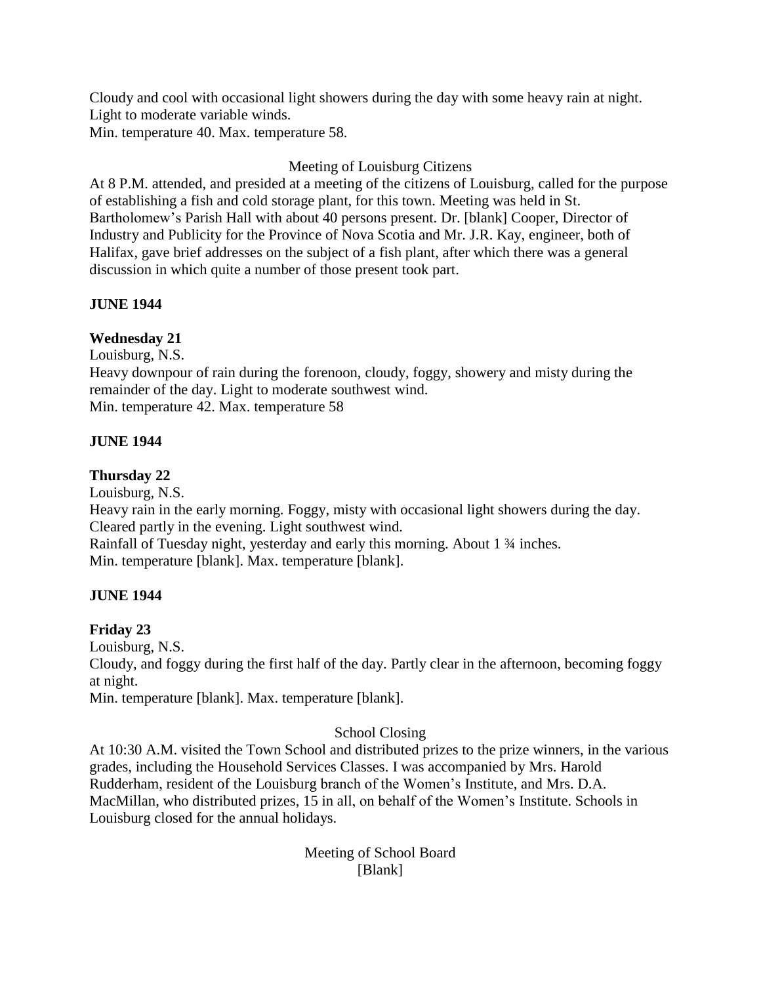Cloudy and cool with occasional light showers during the day with some heavy rain at night. Light to moderate variable winds. Min. temperature 40. Max. temperature 58.

# Meeting of Louisburg Citizens

At 8 P.M. attended, and presided at a meeting of the citizens of Louisburg, called for the purpose of establishing a fish and cold storage plant, for this town. Meeting was held in St. Bartholomew's Parish Hall with about 40 persons present. Dr. [blank] Cooper, Director of Industry and Publicity for the Province of Nova Scotia and Mr. J.R. Kay, engineer, both of Halifax, gave brief addresses on the subject of a fish plant, after which there was a general discussion in which quite a number of those present took part.

## **JUNE 1944**

# **Wednesday 21**

Louisburg, N.S.

Heavy downpour of rain during the forenoon, cloudy, foggy, showery and misty during the remainder of the day. Light to moderate southwest wind. Min. temperature 42. Max. temperature 58

## **JUNE 1944**

## **Thursday 22**

Louisburg, N.S.

Heavy rain in the early morning. Foggy, misty with occasional light showers during the day. Cleared partly in the evening. Light southwest wind. Rainfall of Tuesday night, yesterday and early this morning. About 1 ¾ inches.

Min. temperature [blank]. Max. temperature [blank].

#### **JUNE 1944**

#### **Friday 23**

Louisburg, N.S.

Cloudy, and foggy during the first half of the day. Partly clear in the afternoon, becoming foggy at night.

Min. temperature [blank]. Max. temperature [blank].

# School Closing

At 10:30 A.M. visited the Town School and distributed prizes to the prize winners, in the various grades, including the Household Services Classes. I was accompanied by Mrs. Harold Rudderham, resident of the Louisburg branch of the Women's Institute, and Mrs. D.A. MacMillan, who distributed prizes, 15 in all, on behalf of the Women's Institute. Schools in Louisburg closed for the annual holidays.

> Meeting of School Board [Blank]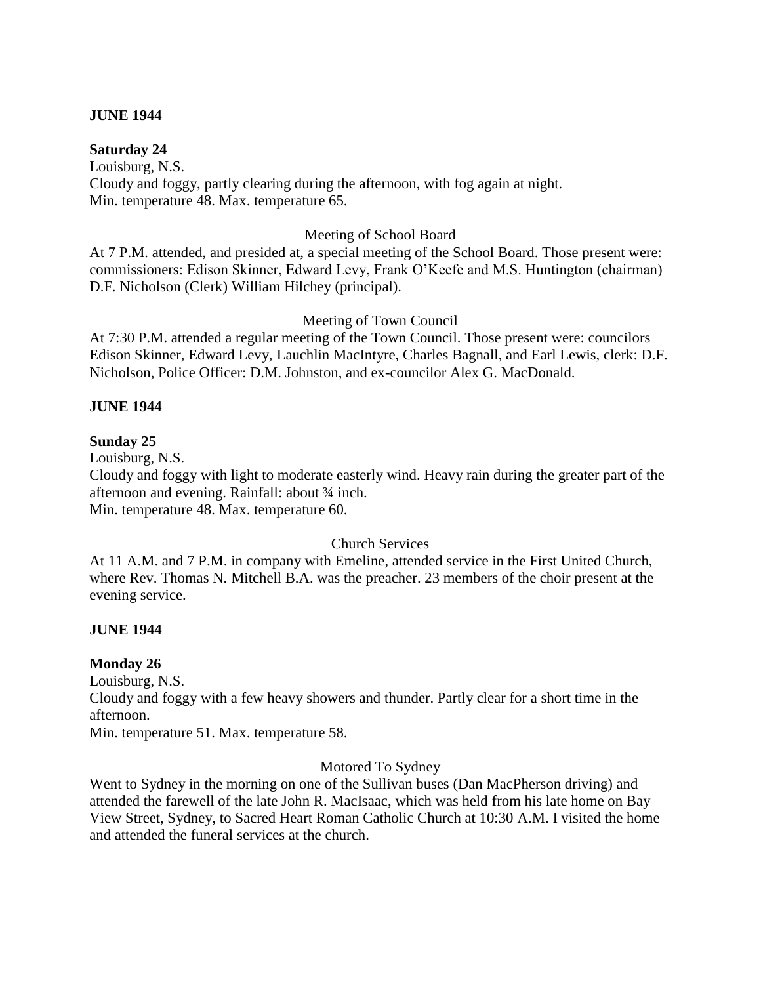### **JUNE 1944**

### **Saturday 24**

Louisburg, N.S. Cloudy and foggy, partly clearing during the afternoon, with fog again at night. Min. temperature 48. Max. temperature 65.

## Meeting of School Board

At 7 P.M. attended, and presided at, a special meeting of the School Board. Those present were: commissioners: Edison Skinner, Edward Levy, Frank O'Keefe and M.S. Huntington (chairman) D.F. Nicholson (Clerk) William Hilchey (principal).

## Meeting of Town Council

At 7:30 P.M. attended a regular meeting of the Town Council. Those present were: councilors Edison Skinner, Edward Levy, Lauchlin MacIntyre, Charles Bagnall, and Earl Lewis, clerk: D.F. Nicholson, Police Officer: D.M. Johnston, and ex-councilor Alex G. MacDonald.

## **JUNE 1944**

## **Sunday 25**

Louisburg, N.S.

Cloudy and foggy with light to moderate easterly wind. Heavy rain during the greater part of the afternoon and evening. Rainfall: about ¾ inch.

Min. temperature 48. Max. temperature 60.

#### Church Services

At 11 A.M. and 7 P.M. in company with Emeline, attended service in the First United Church, where Rev. Thomas N. Mitchell B.A. was the preacher. 23 members of the choir present at the evening service.

# **JUNE 1944**

#### **Monday 26**

Louisburg, N.S.

Cloudy and foggy with a few heavy showers and thunder. Partly clear for a short time in the afternoon.

Min. temperature 51. Max. temperature 58.

#### Motored To Sydney

Went to Sydney in the morning on one of the Sullivan buses (Dan MacPherson driving) and attended the farewell of the late John R. MacIsaac, which was held from his late home on Bay View Street, Sydney, to Sacred Heart Roman Catholic Church at 10:30 A.M. I visited the home and attended the funeral services at the church.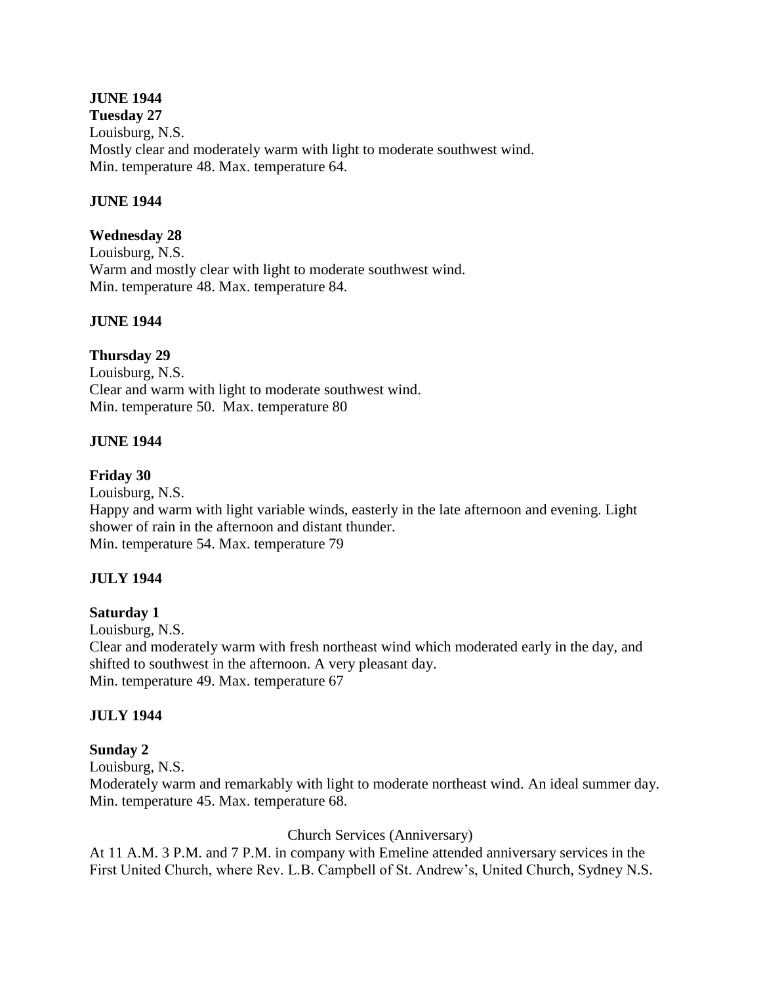# **JUNE 1944**

**Tuesday 27** Louisburg, N.S. Mostly clear and moderately warm with light to moderate southwest wind. Min. temperature 48. Max. temperature 64.

### **JUNE 1944**

## **Wednesday 28**

Louisburg, N.S. Warm and mostly clear with light to moderate southwest wind. Min. temperature 48. Max. temperature 84.

#### **JUNE 1944**

## **Thursday 29**

Louisburg, N.S. Clear and warm with light to moderate southwest wind. Min. temperature 50. Max. temperature 80

## **JUNE 1944**

#### **Friday 30**

Louisburg, N.S. Happy and warm with light variable winds, easterly in the late afternoon and evening. Light shower of rain in the afternoon and distant thunder. Min. temperature 54. Max. temperature 79

# **JULY 1944**

**Saturday 1**

Louisburg, N.S.

Clear and moderately warm with fresh northeast wind which moderated early in the day, and shifted to southwest in the afternoon. A very pleasant day. Min. temperature 49. Max. temperature 67

#### **JULY 1944**

#### **Sunday 2**

Louisburg, N.S.

Moderately warm and remarkably with light to moderate northeast wind. An ideal summer day. Min. temperature 45. Max. temperature 68.

#### Church Services (Anniversary)

At 11 A.M. 3 P.M. and 7 P.M. in company with Emeline attended anniversary services in the First United Church, where Rev. L.B. Campbell of St. Andrew's, United Church, Sydney N.S.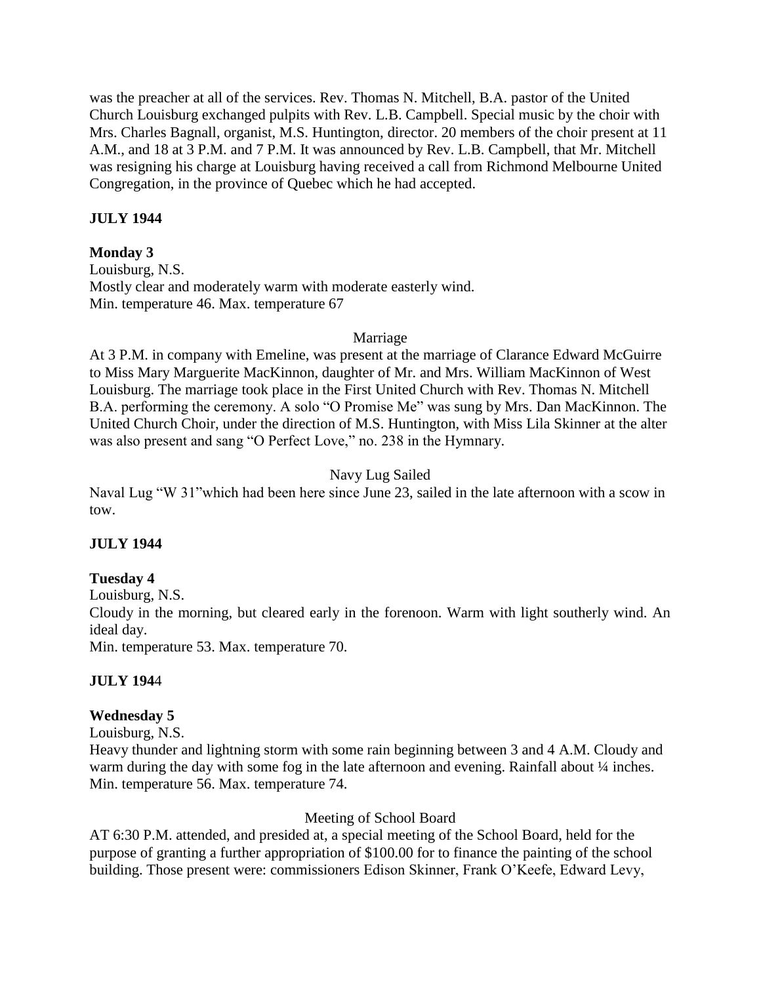was the preacher at all of the services. Rev. Thomas N. Mitchell, B.A. pastor of the United Church Louisburg exchanged pulpits with Rev. L.B. Campbell. Special music by the choir with Mrs. Charles Bagnall, organist, M.S. Huntington, director. 20 members of the choir present at 11 A.M., and 18 at 3 P.M. and 7 P.M. It was announced by Rev. L.B. Campbell, that Mr. Mitchell was resigning his charge at Louisburg having received a call from Richmond Melbourne United Congregation, in the province of Quebec which he had accepted.

# **JULY 1944**

## **Monday 3**

Louisburg, N.S. Mostly clear and moderately warm with moderate easterly wind. Min. temperature 46. Max. temperature 67

## Marriage

At 3 P.M. in company with Emeline, was present at the marriage of Clarance Edward McGuirre to Miss Mary Marguerite MacKinnon, daughter of Mr. and Mrs. William MacKinnon of West Louisburg. The marriage took place in the First United Church with Rev. Thomas N. Mitchell B.A. performing the ceremony. A solo "O Promise Me" was sung by Mrs. Dan MacKinnon. The United Church Choir, under the direction of M.S. Huntington, with Miss Lila Skinner at the alter was also present and sang "O Perfect Love," no. 238 in the Hymnary.

# Navy Lug Sailed

Naval Lug "W 31"which had been here since June 23, sailed in the late afternoon with a scow in tow.

# **JULY 1944**

# **Tuesday 4**

Louisburg, N.S.

Cloudy in the morning, but cleared early in the forenoon. Warm with light southerly wind. An ideal day.

Min. temperature 53. Max. temperature 70.

# **JULY 194**4

# **Wednesday 5**

Louisburg, N.S.

Heavy thunder and lightning storm with some rain beginning between 3 and 4 A.M. Cloudy and warm during the day with some fog in the late afternoon and evening. Rainfall about  $\frac{1}{4}$  inches. Min. temperature 56. Max. temperature 74.

# Meeting of School Board

AT 6:30 P.M. attended, and presided at, a special meeting of the School Board, held for the purpose of granting a further appropriation of \$100.00 for to finance the painting of the school building. Those present were: commissioners Edison Skinner, Frank O'Keefe, Edward Levy,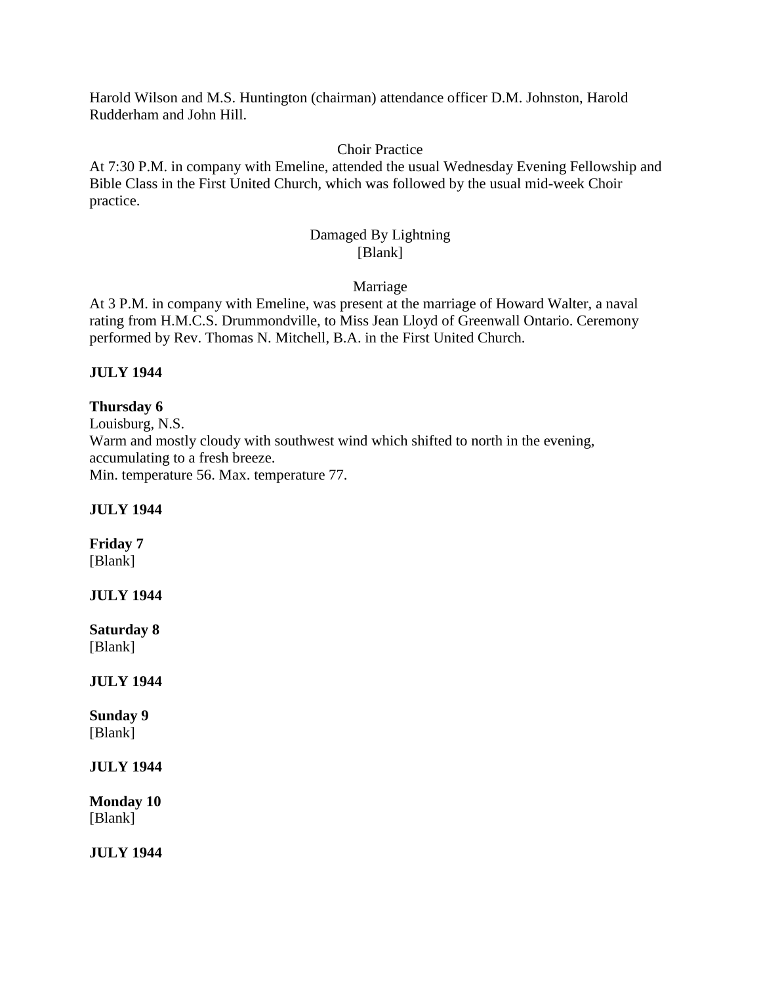Harold Wilson and M.S. Huntington (chairman) attendance officer D.M. Johnston, Harold Rudderham and John Hill.

### Choir Practice

At 7:30 P.M. in company with Emeline, attended the usual Wednesday Evening Fellowship and Bible Class in the First United Church, which was followed by the usual mid-week Choir practice.

#### Damaged By Lightning [Blank]

Marriage

At 3 P.M. in company with Emeline, was present at the marriage of Howard Walter, a naval rating from H.M.C.S. Drummondville, to Miss Jean Lloyd of Greenwall Ontario. Ceremony performed by Rev. Thomas N. Mitchell, B.A. in the First United Church.

## **JULY 1944**

**Thursday 6** Louisburg, N.S. Warm and mostly cloudy with southwest wind which shifted to north in the evening, accumulating to a fresh breeze. Min. temperature 56. Max. temperature 77.

#### **JULY 1944**

# **Friday 7**

[Blank]

#### **JULY 1944**

**Saturday 8** [Blank]

#### **JULY 1944**

**Sunday 9** [Blank]

**JULY 1944**

**Monday 10** [Blank]

**JULY 1944**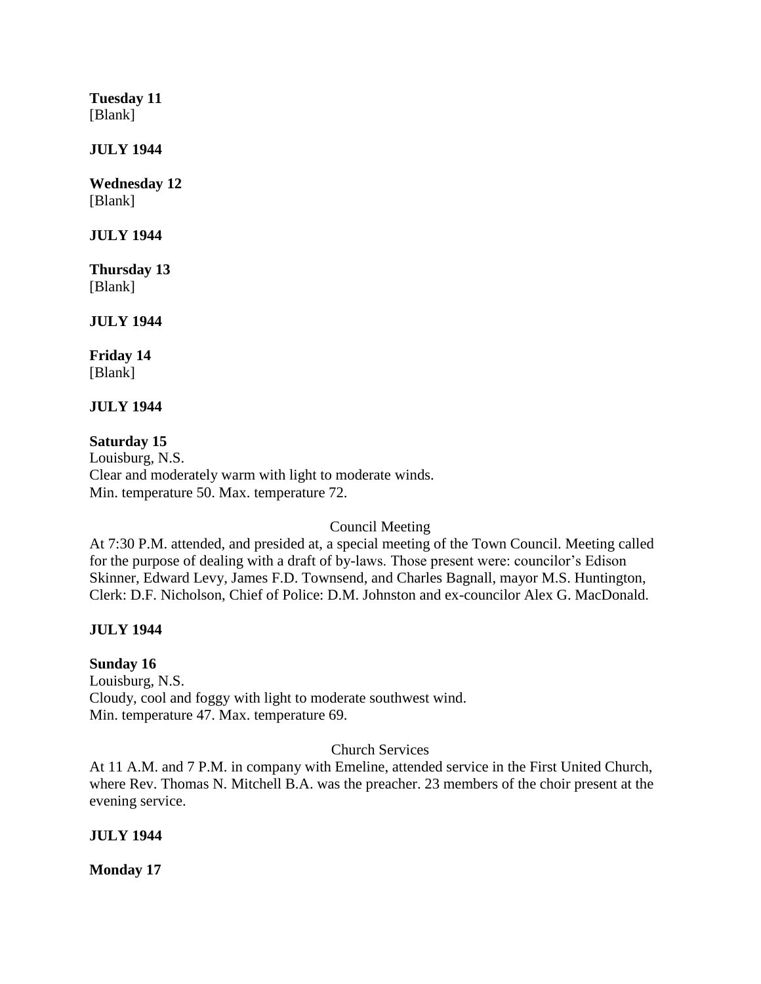**Tuesday 11** [Blank]

**JULY 1944**

**Wednesday 12** [Blank]

**JULY 1944**

**Thursday 13** [Blank]

**JULY 1944**

**Friday 14** [Blank]

**JULY 1944**

**Saturday 15** Louisburg, N.S. Clear and moderately warm with light to moderate winds. Min. temperature 50. Max. temperature 72.

Council Meeting

At 7:30 P.M. attended, and presided at, a special meeting of the Town Council. Meeting called for the purpose of dealing with a draft of by-laws. Those present were: councilor's Edison Skinner, Edward Levy, James F.D. Townsend, and Charles Bagnall, mayor M.S. Huntington, Clerk: D.F. Nicholson, Chief of Police: D.M. Johnston and ex-councilor Alex G. MacDonald.

# **JULY 1944**

#### **Sunday 16**

Louisburg, N.S. Cloudy, cool and foggy with light to moderate southwest wind. Min. temperature 47. Max. temperature 69.

Church Services

At 11 A.M. and 7 P.M. in company with Emeline, attended service in the First United Church, where Rev. Thomas N. Mitchell B.A. was the preacher. 23 members of the choir present at the evening service.

#### **JULY 1944**

**Monday 17**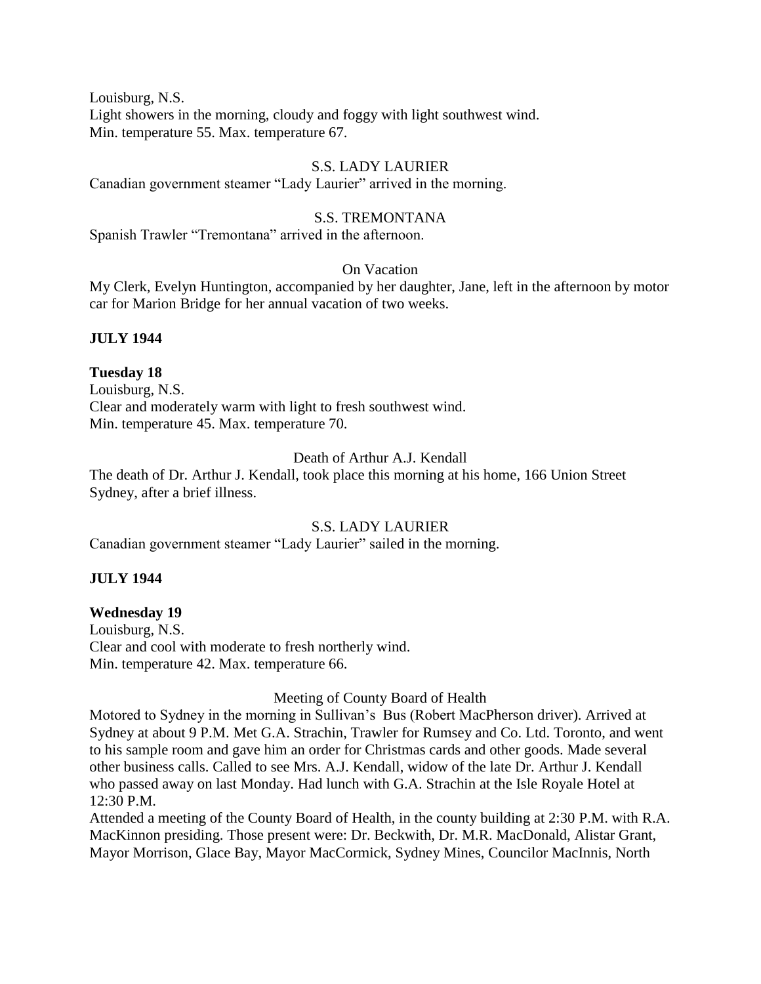Louisburg, N.S. Light showers in the morning, cloudy and foggy with light southwest wind. Min. temperature 55. Max. temperature 67.

### S.S. LADY LAURIER

Canadian government steamer "Lady Laurier" arrived in the morning.

#### S.S. TREMONTANA

Spanish Trawler "Tremontana" arrived in the afternoon.

#### On Vacation

My Clerk, Evelyn Huntington, accompanied by her daughter, Jane, left in the afternoon by motor car for Marion Bridge for her annual vacation of two weeks.

#### **JULY 1944**

#### **Tuesday 18**

Louisburg, N.S. Clear and moderately warm with light to fresh southwest wind. Min. temperature 45. Max. temperature 70.

## Death of Arthur A.J. Kendall

The death of Dr. Arthur J. Kendall, took place this morning at his home, 166 Union Street Sydney, after a brief illness.

#### S.S. LADY LAURIER

Canadian government steamer "Lady Laurier" sailed in the morning.

#### **JULY 1944**

#### **Wednesday 19**

Louisburg, N.S. Clear and cool with moderate to fresh northerly wind. Min. temperature 42. Max. temperature 66.

#### Meeting of County Board of Health

Motored to Sydney in the morning in Sullivan's Bus (Robert MacPherson driver). Arrived at Sydney at about 9 P.M. Met G.A. Strachin, Trawler for Rumsey and Co. Ltd. Toronto, and went to his sample room and gave him an order for Christmas cards and other goods. Made several other business calls. Called to see Mrs. A.J. Kendall, widow of the late Dr. Arthur J. Kendall who passed away on last Monday. Had lunch with G.A. Strachin at the Isle Royale Hotel at 12:30 P.M.

Attended a meeting of the County Board of Health, in the county building at 2:30 P.M. with R.A. MacKinnon presiding. Those present were: Dr. Beckwith, Dr. M.R. MacDonald, Alistar Grant, Mayor Morrison, Glace Bay, Mayor MacCormick, Sydney Mines, Councilor MacInnis, North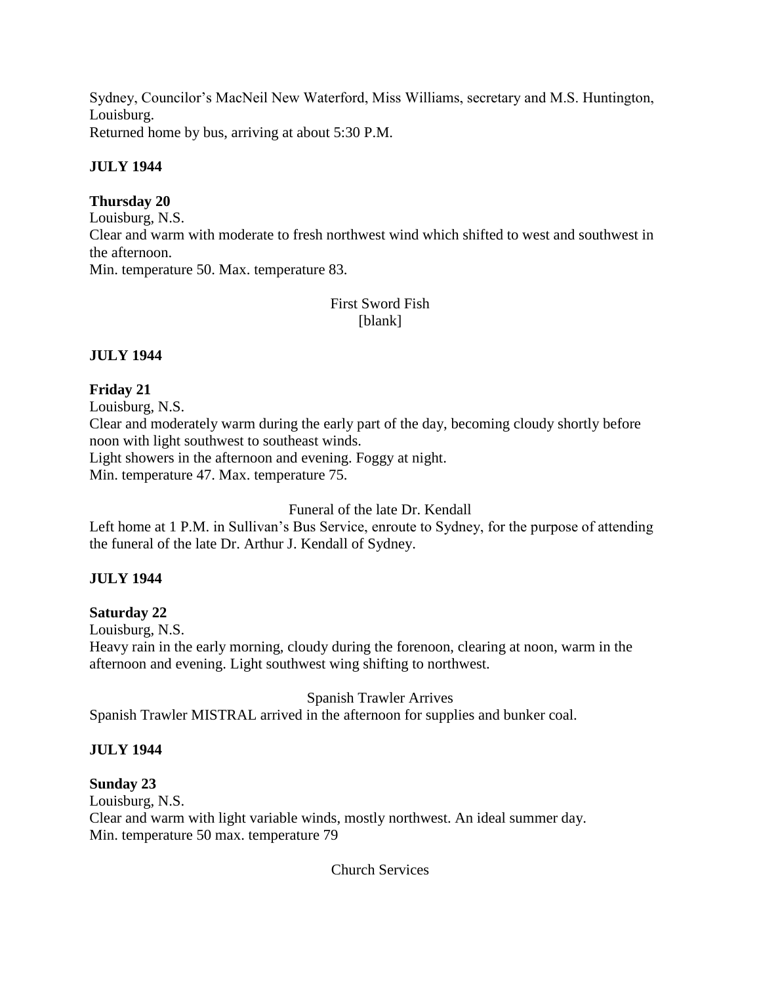Sydney, Councilor's MacNeil New Waterford, Miss Williams, secretary and M.S. Huntington, Louisburg.

Returned home by bus, arriving at about 5:30 P.M.

# **JULY 1944**

# **Thursday 20**

Louisburg, N.S. Clear and warm with moderate to fresh northwest wind which shifted to west and southwest in the afternoon. Min. temperature 50. Max. temperature 83.

# First Sword Fish [blank]

# **JULY 1944**

# **Friday 21**

Louisburg, N.S. Clear and moderately warm during the early part of the day, becoming cloudy shortly before noon with light southwest to southeast winds. Light showers in the afternoon and evening. Foggy at night.

Min. temperature 47. Max. temperature 75.

Funeral of the late Dr. Kendall

Left home at 1 P.M. in Sullivan's Bus Service, enroute to Sydney, for the purpose of attending the funeral of the late Dr. Arthur J. Kendall of Sydney.

# **JULY 1944**

# **Saturday 22**

Louisburg, N.S.

Heavy rain in the early morning, cloudy during the forenoon, clearing at noon, warm in the afternoon and evening. Light southwest wing shifting to northwest.

Spanish Trawler Arrives

Spanish Trawler MISTRAL arrived in the afternoon for supplies and bunker coal.

# **JULY 1944**

# **Sunday 23**

Louisburg, N.S. Clear and warm with light variable winds, mostly northwest. An ideal summer day. Min. temperature 50 max. temperature 79

Church Services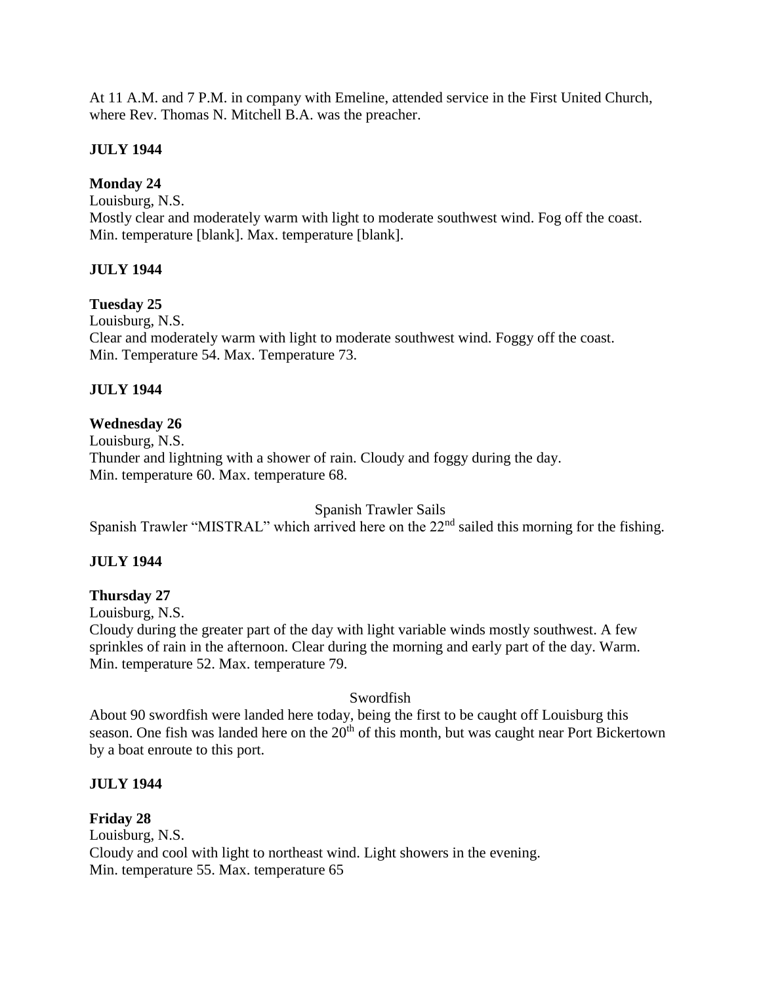At 11 A.M. and 7 P.M. in company with Emeline, attended service in the First United Church, where Rev. Thomas N. Mitchell B.A. was the preacher.

# **JULY 1944**

## **Monday 24**

Louisburg, N.S.

Mostly clear and moderately warm with light to moderate southwest wind. Fog off the coast. Min. temperature [blank]. Max. temperature [blank].

## **JULY 1944**

#### **Tuesday 25**

Louisburg, N.S. Clear and moderately warm with light to moderate southwest wind. Foggy off the coast. Min. Temperature 54. Max. Temperature 73.

## **JULY 1944**

## **Wednesday 26**

Louisburg, N.S. Thunder and lightning with a shower of rain. Cloudy and foggy during the day. Min. temperature 60. Max. temperature 68.

Spanish Trawler Sails

Spanish Trawler "MISTRAL" which arrived here on the 22<sup>nd</sup> sailed this morning for the fishing.

# **JULY 1944**

#### **Thursday 27**

Louisburg, N.S.

Cloudy during the greater part of the day with light variable winds mostly southwest. A few sprinkles of rain in the afternoon. Clear during the morning and early part of the day. Warm. Min. temperature 52. Max. temperature 79.

#### Swordfish

About 90 swordfish were landed here today, being the first to be caught off Louisburg this season. One fish was landed here on the  $20<sup>th</sup>$  of this month, but was caught near Port Bickertown by a boat enroute to this port.

#### **JULY 1944**

**Friday 28** Louisburg, N.S. Cloudy and cool with light to northeast wind. Light showers in the evening. Min. temperature 55. Max. temperature 65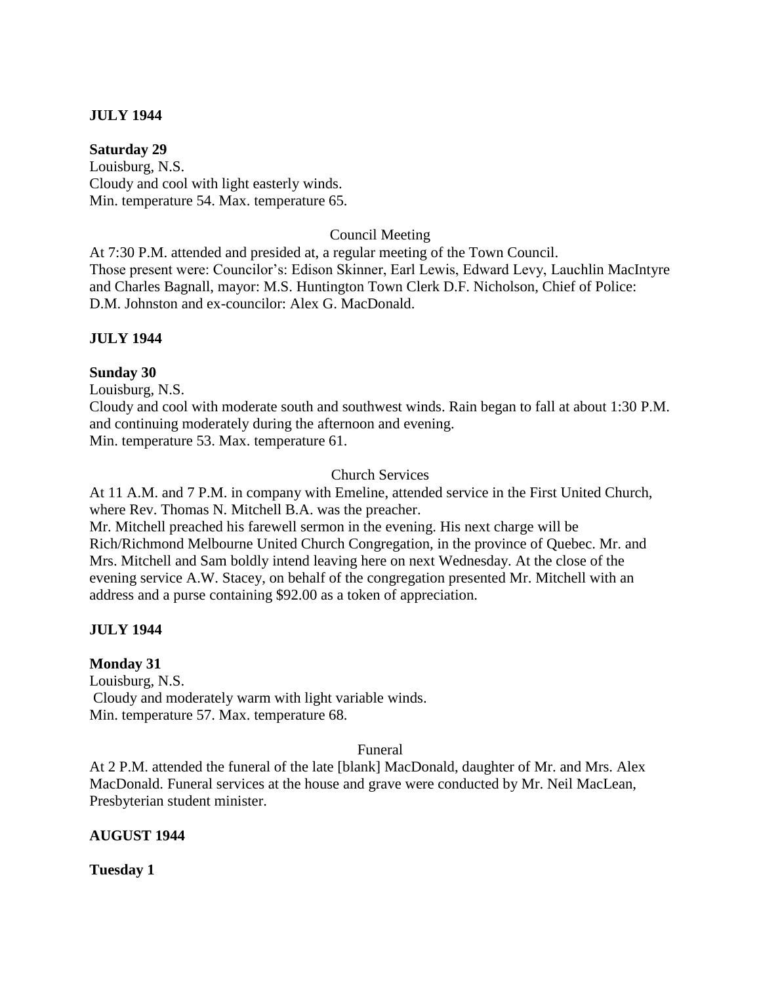## **JULY 1944**

#### **Saturday 29**

Louisburg, N.S. Cloudy and cool with light easterly winds. Min. temperature 54. Max. temperature 65.

#### Council Meeting

At 7:30 P.M. attended and presided at, a regular meeting of the Town Council. Those present were: Councilor's: Edison Skinner, Earl Lewis, Edward Levy, Lauchlin MacIntyre and Charles Bagnall, mayor: M.S. Huntington Town Clerk D.F. Nicholson, Chief of Police: D.M. Johnston and ex-councilor: Alex G. MacDonald.

## **JULY 1944**

## **Sunday 30**

Louisburg, N.S.

Cloudy and cool with moderate south and southwest winds. Rain began to fall at about 1:30 P.M. and continuing moderately during the afternoon and evening. Min. temperature 53. Max. temperature 61.

#### Church Services

At 11 A.M. and 7 P.M. in company with Emeline, attended service in the First United Church, where Rev. Thomas N. Mitchell B.A. was the preacher.

Mr. Mitchell preached his farewell sermon in the evening. His next charge will be Rich/Richmond Melbourne United Church Congregation, in the province of Quebec. Mr. and Mrs. Mitchell and Sam boldly intend leaving here on next Wednesday. At the close of the evening service A.W. Stacey, on behalf of the congregation presented Mr. Mitchell with an address and a purse containing \$92.00 as a token of appreciation.

# **JULY 1944**

#### **Monday 31**

Louisburg, N.S. Cloudy and moderately warm with light variable winds. Min. temperature 57. Max. temperature 68.

#### Funeral

At 2 P.M. attended the funeral of the late [blank] MacDonald, daughter of Mr. and Mrs. Alex MacDonald. Funeral services at the house and grave were conducted by Mr. Neil MacLean, Presbyterian student minister.

#### **AUGUST 1944**

**Tuesday 1**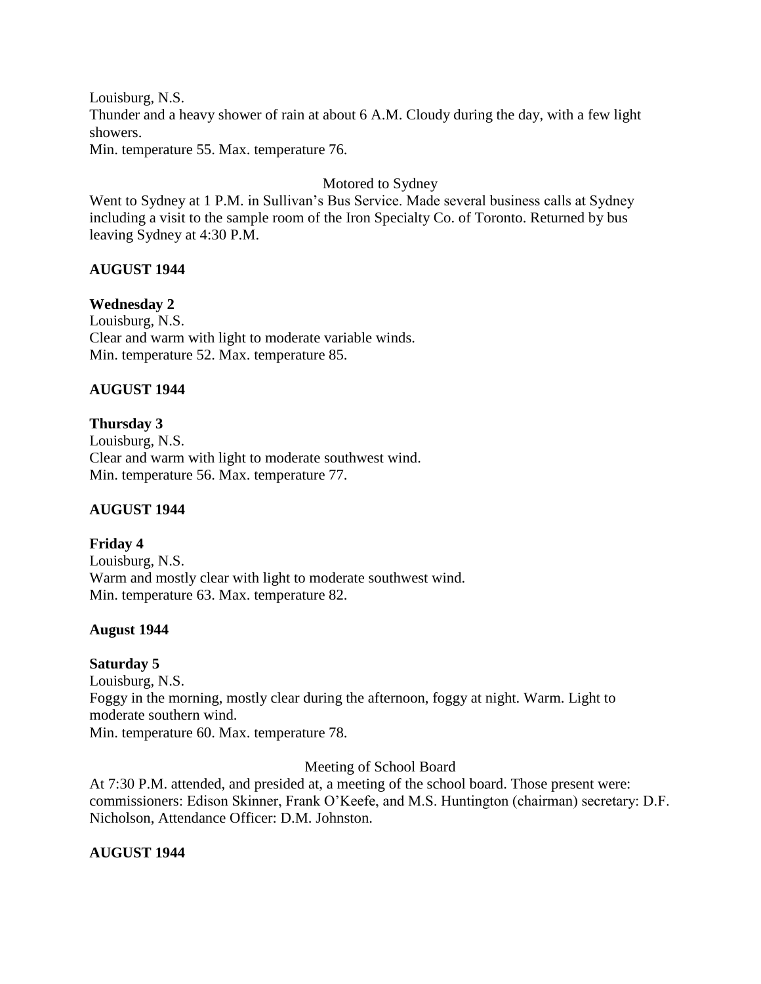Louisburg, N.S. Thunder and a heavy shower of rain at about 6 A.M. Cloudy during the day, with a few light showers. Min. temperature 55. Max. temperature 76.

Motored to Sydney

Went to Sydney at 1 P.M. in Sullivan's Bus Service. Made several business calls at Sydney including a visit to the sample room of the Iron Specialty Co. of Toronto. Returned by bus leaving Sydney at 4:30 P.M.

## **AUGUST 1944**

#### **Wednesday 2**

Louisburg, N.S. Clear and warm with light to moderate variable winds. Min. temperature 52. Max. temperature 85.

## **AUGUST 1944**

**Thursday 3**  Louisburg, N.S. Clear and warm with light to moderate southwest wind. Min. temperature 56. Max. temperature 77.

#### **AUGUST 1944**

**Friday 4**  Louisburg, N.S. Warm and mostly clear with light to moderate southwest wind. Min. temperature 63. Max. temperature 82.

#### **August 1944**

#### **Saturday 5**

Louisburg, N.S. Foggy in the morning, mostly clear during the afternoon, foggy at night. Warm. Light to moderate southern wind. Min. temperature 60. Max. temperature 78.

Meeting of School Board

At 7:30 P.M. attended, and presided at, a meeting of the school board. Those present were: commissioners: Edison Skinner, Frank O'Keefe, and M.S. Huntington (chairman) secretary: D.F. Nicholson, Attendance Officer: D.M. Johnston.

# **AUGUST 1944**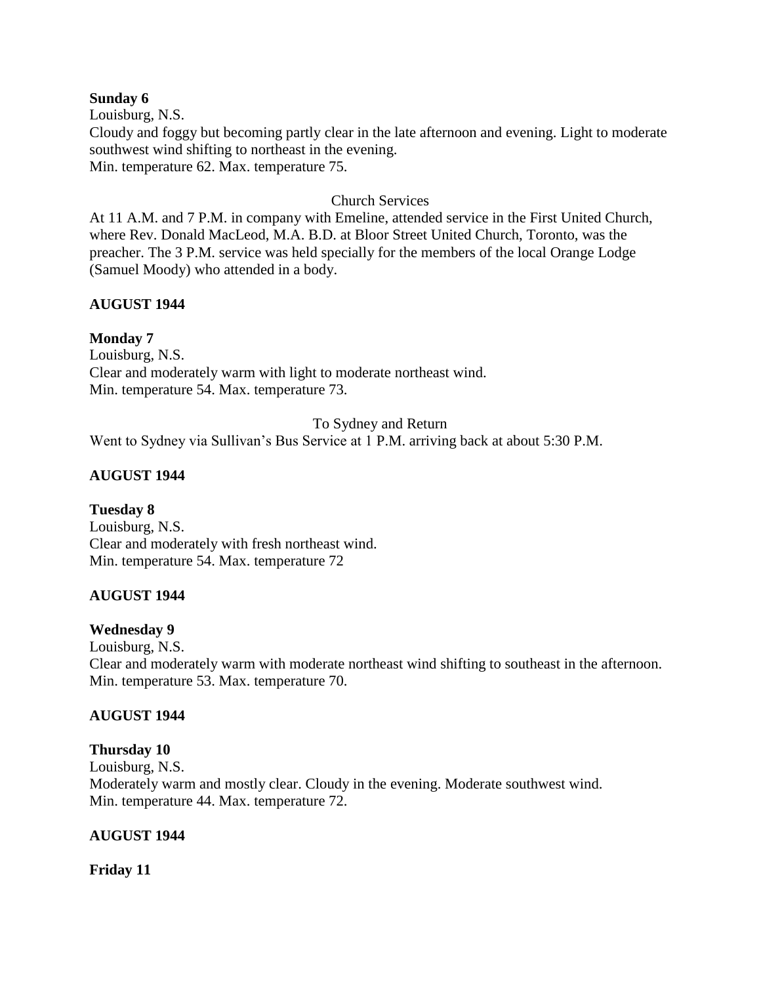#### **Sunday 6**

Louisburg, N.S. Cloudy and foggy but becoming partly clear in the late afternoon and evening. Light to moderate southwest wind shifting to northeast in the evening. Min. temperature 62. Max. temperature 75.

### Church Services

At 11 A.M. and 7 P.M. in company with Emeline, attended service in the First United Church, where Rev. Donald MacLeod, M.A. B.D. at Bloor Street United Church, Toronto, was the preacher. The 3 P.M. service was held specially for the members of the local Orange Lodge (Samuel Moody) who attended in a body.

## **AUGUST 1944**

## **Monday 7**

Louisburg, N.S. Clear and moderately warm with light to moderate northeast wind. Min. temperature 54. Max. temperature 73.

#### To Sydney and Return

Went to Sydney via Sullivan's Bus Service at 1 P.M. arriving back at about 5:30 P.M.

## **AUGUST 1944**

#### **Tuesday 8**

Louisburg, N.S. Clear and moderately with fresh northeast wind. Min. temperature 54. Max. temperature 72

#### **AUGUST 1944**

#### **Wednesday 9**

Louisburg, N.S. Clear and moderately warm with moderate northeast wind shifting to southeast in the afternoon. Min. temperature 53. Max. temperature 70.

#### **AUGUST 1944**

#### **Thursday 10**

Louisburg, N.S. Moderately warm and mostly clear. Cloudy in the evening. Moderate southwest wind. Min. temperature 44. Max. temperature 72.

#### **AUGUST 1944**

**Friday 11**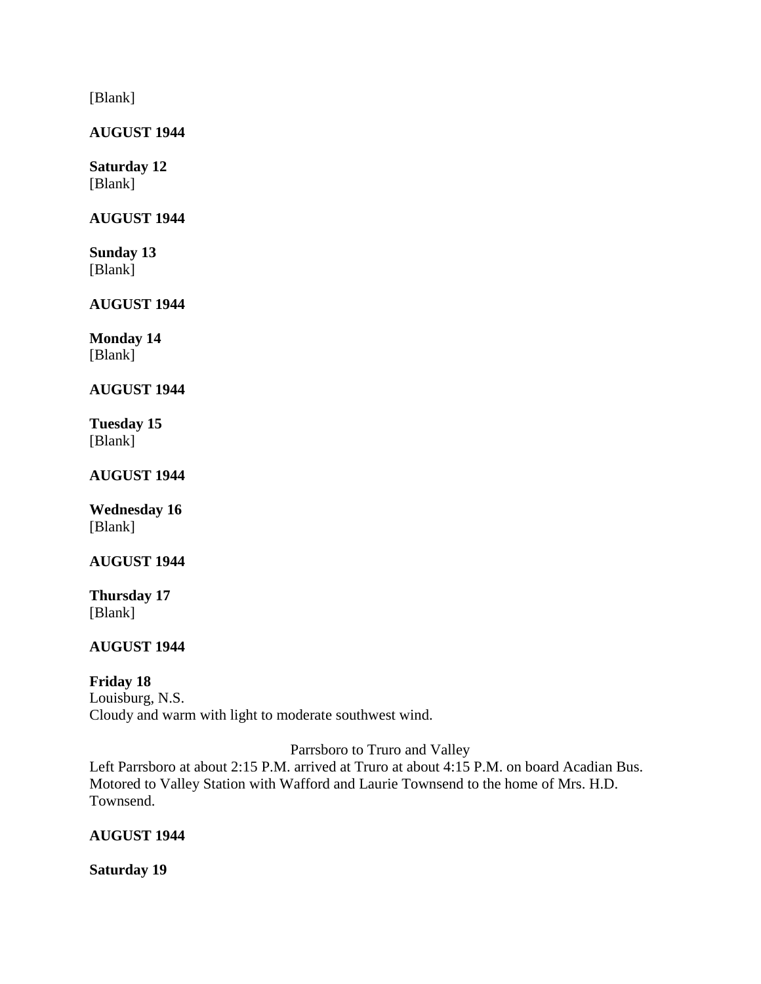[Blank]

**AUGUST 1944**

**Saturday 12** [Blank]

# **AUGUST 1944**

**Sunday 13** [Blank]

**AUGUST 1944**

**Monday 14** [Blank]

# **AUGUST 1944**

**Tuesday 15** [Blank]

**AUGUST 1944**

**Wednesday 16** [Blank]

**AUGUST 1944**

**Thursday 17** [Blank]

# **AUGUST 1944**

# **Friday 18**

Louisburg, N.S. Cloudy and warm with light to moderate southwest wind.

Parrsboro to Truro and Valley

Left Parrsboro at about 2:15 P.M. arrived at Truro at about 4:15 P.M. on board Acadian Bus. Motored to Valley Station with Wafford and Laurie Townsend to the home of Mrs. H.D. Townsend.

# **AUGUST 1944**

**Saturday 19**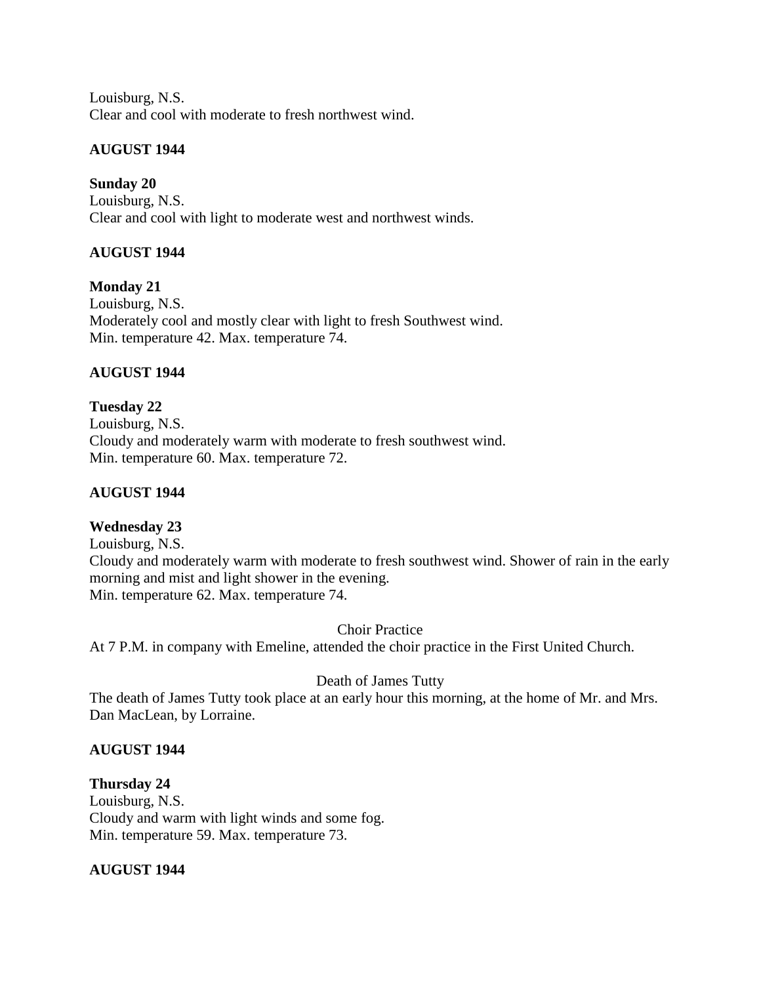Louisburg, N.S. Clear and cool with moderate to fresh northwest wind.

# **AUGUST 1944**

# **Sunday 20**

Louisburg, N.S. Clear and cool with light to moderate west and northwest winds.

# **AUGUST 1944**

**Monday 21** Louisburg, N.S. Moderately cool and mostly clear with light to fresh Southwest wind. Min. temperature 42. Max. temperature 74.

# **AUGUST 1944**

**Tuesday 22** Louisburg, N.S. Cloudy and moderately warm with moderate to fresh southwest wind. Min. temperature 60. Max. temperature 72.

# **AUGUST 1944**

# **Wednesday 23**

Louisburg, N.S. Cloudy and moderately warm with moderate to fresh southwest wind. Shower of rain in the early morning and mist and light shower in the evening. Min. temperature 62. Max. temperature 74.

Choir Practice

At 7 P.M. in company with Emeline, attended the choir practice in the First United Church.

# Death of James Tutty

The death of James Tutty took place at an early hour this morning, at the home of Mr. and Mrs. Dan MacLean, by Lorraine.

# **AUGUST 1944**

# **Thursday 24**

Louisburg, N.S. Cloudy and warm with light winds and some fog. Min. temperature 59. Max. temperature 73.

# **AUGUST 1944**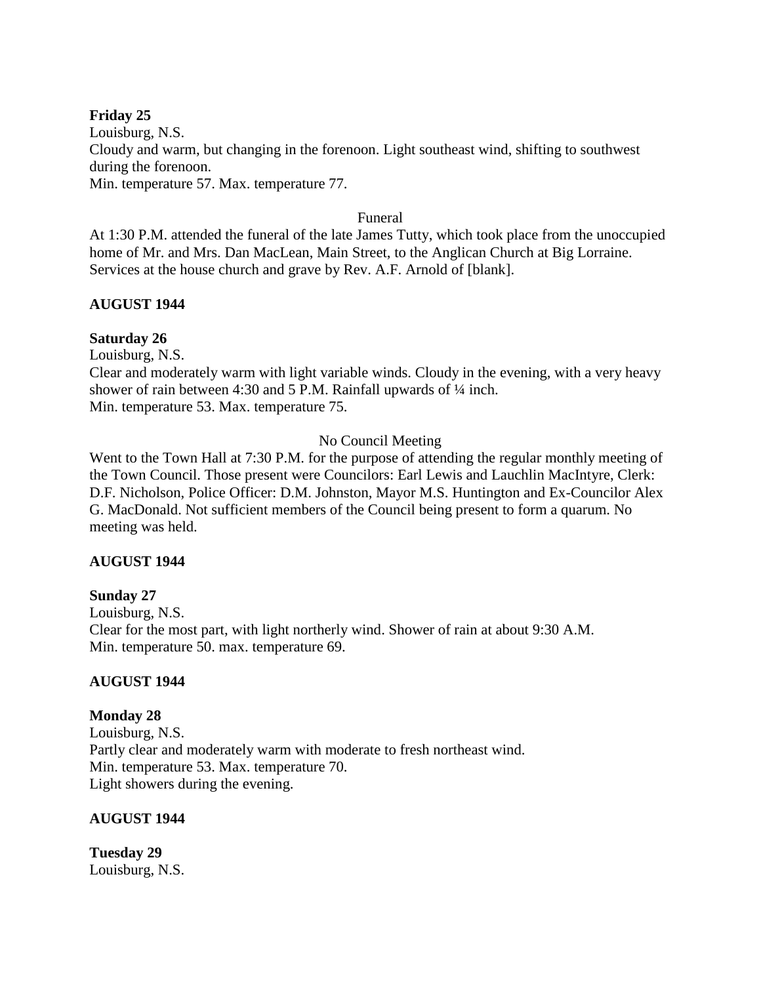## **Friday 25**

Louisburg, N.S. Cloudy and warm, but changing in the forenoon. Light southeast wind, shifting to southwest during the forenoon. Min. temperature 57. Max. temperature 77.

### Funeral

At 1:30 P.M. attended the funeral of the late James Tutty, which took place from the unoccupied home of Mr. and Mrs. Dan MacLean, Main Street, to the Anglican Church at Big Lorraine. Services at the house church and grave by Rev. A.F. Arnold of [blank].

## **AUGUST 1944**

#### **Saturday 26**

Louisburg, N.S.

Clear and moderately warm with light variable winds. Cloudy in the evening, with a very heavy shower of rain between 4:30 and 5 P.M. Rainfall upwards of  $\frac{1}{4}$  inch. Min. temperature 53. Max. temperature 75.

## No Council Meeting

Went to the Town Hall at 7:30 P.M. for the purpose of attending the regular monthly meeting of the Town Council. Those present were Councilors: Earl Lewis and Lauchlin MacIntyre, Clerk: D.F. Nicholson, Police Officer: D.M. Johnston, Mayor M.S. Huntington and Ex-Councilor Alex G. MacDonald. Not sufficient members of the Council being present to form a quarum. No meeting was held.

#### **AUGUST 1944**

#### **Sunday 27**

Louisburg, N.S. Clear for the most part, with light northerly wind. Shower of rain at about 9:30 A.M. Min. temperature 50. max. temperature 69.

#### **AUGUST 1944**

#### **Monday 28**

Louisburg, N.S. Partly clear and moderately warm with moderate to fresh northeast wind. Min. temperature 53. Max. temperature 70. Light showers during the evening.

#### **AUGUST 1944**

**Tuesday 29** Louisburg, N.S.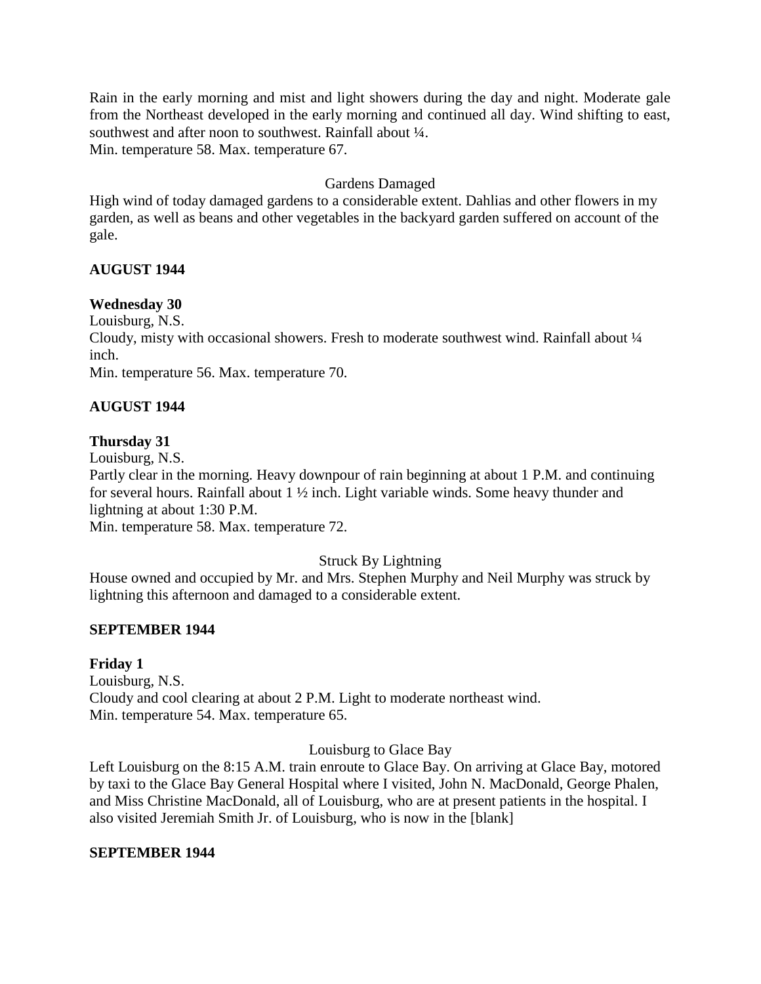Rain in the early morning and mist and light showers during the day and night. Moderate gale from the Northeast developed in the early morning and continued all day. Wind shifting to east, southwest and after noon to southwest. Rainfall about  $\frac{1}{4}$ . Min. temperature 58. Max. temperature 67.

# Gardens Damaged

High wind of today damaged gardens to a considerable extent. Dahlias and other flowers in my garden, as well as beans and other vegetables in the backyard garden suffered on account of the gale.

## **AUGUST 1944**

#### **Wednesday 30**

Louisburg, N.S.

Cloudy, misty with occasional showers. Fresh to moderate southwest wind. Rainfall about ¼ inch.

Min. temperature 56. Max. temperature 70.

# **AUGUST 1944**

## **Thursday 31**

Louisburg, N.S.

Partly clear in the morning. Heavy downpour of rain beginning at about 1 P.M. and continuing for several hours. Rainfall about 1 ½ inch. Light variable winds. Some heavy thunder and lightning at about 1:30 P.M.

Min. temperature 58. Max. temperature 72.

# Struck By Lightning

House owned and occupied by Mr. and Mrs. Stephen Murphy and Neil Murphy was struck by lightning this afternoon and damaged to a considerable extent.

#### **SEPTEMBER 1944**

#### **Friday 1**

Louisburg, N.S. Cloudy and cool clearing at about 2 P.M. Light to moderate northeast wind. Min. temperature 54. Max. temperature 65.

Louisburg to Glace Bay

Left Louisburg on the 8:15 A.M. train enroute to Glace Bay. On arriving at Glace Bay, motored by taxi to the Glace Bay General Hospital where I visited, John N. MacDonald, George Phalen, and Miss Christine MacDonald, all of Louisburg, who are at present patients in the hospital. I also visited Jeremiah Smith Jr. of Louisburg, who is now in the [blank]

#### **SEPTEMBER 1944**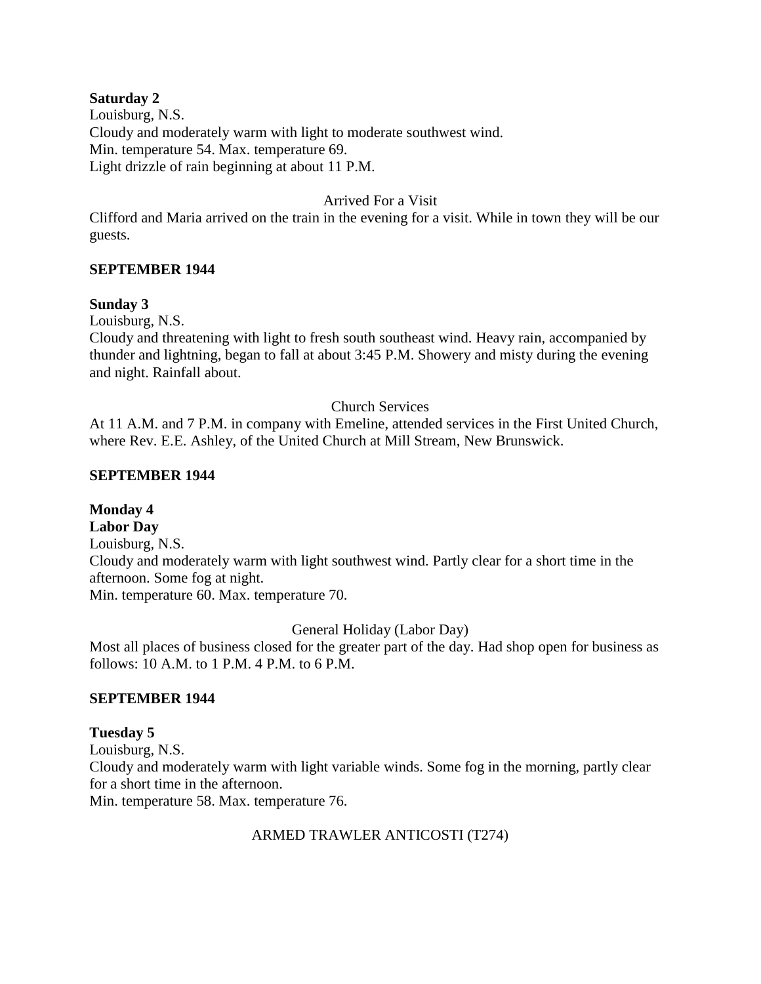#### **Saturday 2**

Louisburg, N.S. Cloudy and moderately warm with light to moderate southwest wind. Min. temperature 54. Max. temperature 69. Light drizzle of rain beginning at about 11 P.M.

### Arrived For a Visit

Clifford and Maria arrived on the train in the evening for a visit. While in town they will be our guests.

#### **SEPTEMBER 1944**

#### **Sunday 3**

Louisburg, N.S.

Cloudy and threatening with light to fresh south southeast wind. Heavy rain, accompanied by thunder and lightning, began to fall at about 3:45 P.M. Showery and misty during the evening and night. Rainfall about.

#### Church Services

At 11 A.M. and 7 P.M. in company with Emeline, attended services in the First United Church, where Rev. E.E. Ashley, of the United Church at Mill Stream, New Brunswick.

#### **SEPTEMBER 1944**

# **Monday 4**

**Labor Day** Louisburg, N.S. Cloudy and moderately warm with light southwest wind. Partly clear for a short time in the afternoon. Some fog at night. Min. temperature 60. Max. temperature 70.

General Holiday (Labor Day)

Most all places of business closed for the greater part of the day. Had shop open for business as follows: 10 A.M. to 1 P.M. 4 P.M. to 6 P.M.

# **SEPTEMBER 1944**

# **Tuesday 5**

Louisburg, N.S. Cloudy and moderately warm with light variable winds. Some fog in the morning, partly clear for a short time in the afternoon. Min. temperature 58. Max. temperature 76.

#### ARMED TRAWLER ANTICOSTI (T274)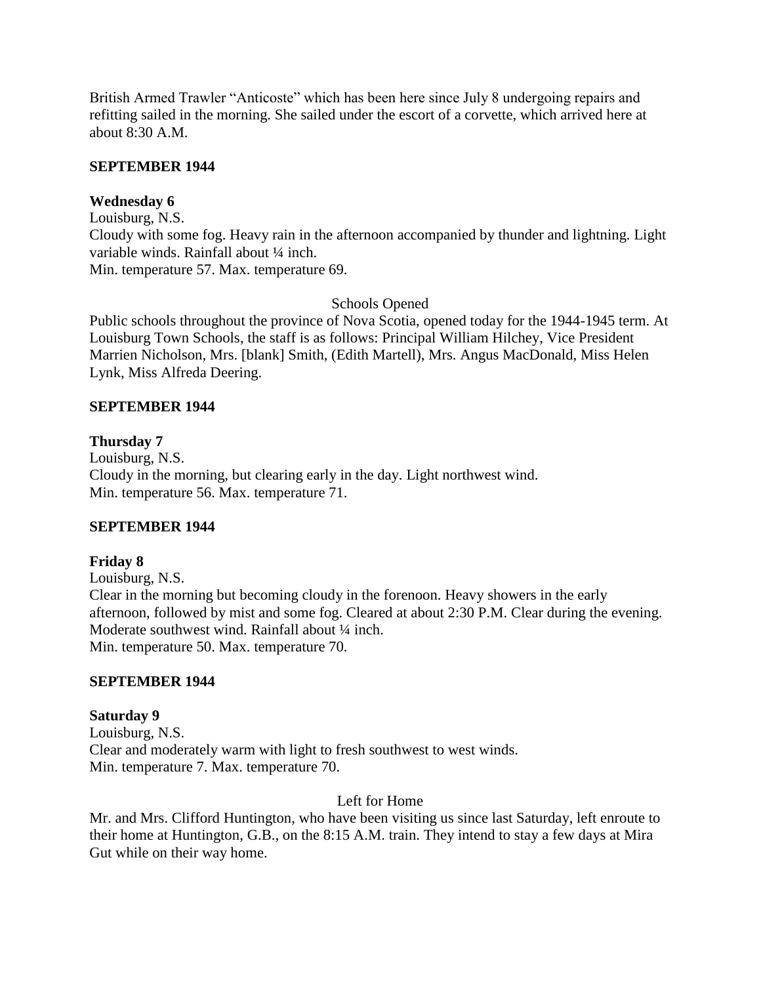British Armed Trawler "Anticoste" which has been here since July 8 undergoing repairs and refitting sailed in the morning. She sailed under the escort of a corvette, which arrived here at about 8:30 A.M.

#### **SEPTEMBER 1944**

## **Wednesday 6**

Louisburg, N.S. Cloudy with some fog. Heavy rain in the afternoon accompanied by thunder and lightning. Light variable winds. Rainfall about 1/4 inch. Min. temperature 57. Max. temperature 69.

## Schools Opened

Public schools throughout the province of Nova Scotia, opened today for the 1944-1945 term. At Louisburg Town Schools, the staff is as follows: Principal William Hilchey, Vice President Marrien Nicholson, Mrs. [blank] Smith, (Edith Martell), Mrs. Angus MacDonald, Miss Helen Lynk, Miss Alfreda Deering.

## **SEPTEMBER 1944**

## **Thursday 7**

Louisburg, N.S. Cloudy in the morning, but clearing early in the day. Light northwest wind. Min. temperature 56. Max. temperature 71.

# **SEPTEMBER 1944**

# **Friday 8**

Louisburg, N.S. Clear in the morning but becoming cloudy in the forenoon. Heavy showers in the early afternoon, followed by mist and some fog. Cleared at about 2:30 P.M. Clear during the evening. Moderate southwest wind. Rainfall about  $\frac{1}{4}$  inch. Min. temperature 50. Max. temperature 70.

#### **SEPTEMBER 1944**

#### **Saturday 9**

Louisburg, N.S. Clear and moderately warm with light to fresh southwest to west winds. Min. temperature 7. Max. temperature 70.

Left for Home

Mr. and Mrs. Clifford Huntington, who have been visiting us since last Saturday, left enroute to their home at Huntington, G.B., on the 8:15 A.M. train. They intend to stay a few days at Mira Gut while on their way home.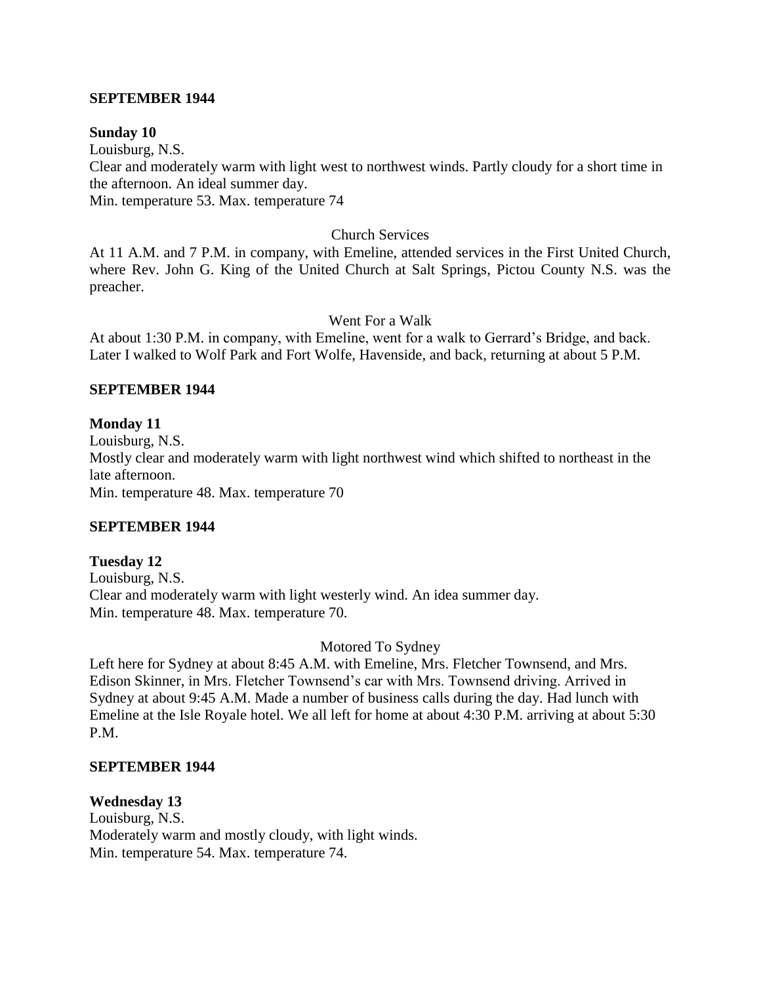#### **SEPTEMBER 1944**

#### **Sunday 10**

Louisburg, N.S. Clear and moderately warm with light west to northwest winds. Partly cloudy for a short time in the afternoon. An ideal summer day. Min. temperature 53. Max. temperature 74

#### Church Services

At 11 A.M. and 7 P.M. in company, with Emeline, attended services in the First United Church, where Rev. John G. King of the United Church at Salt Springs, Pictou County N.S. was the preacher.

Went For a Walk

At about 1:30 P.M. in company, with Emeline, went for a walk to Gerrard's Bridge, and back. Later I walked to Wolf Park and Fort Wolfe, Havenside, and back, returning at about 5 P.M.

#### **SEPTEMBER 1944**

#### **Monday 11**

Louisburg, N.S. Mostly clear and moderately warm with light northwest wind which shifted to northeast in the late afternoon. Min. temperature 48. Max. temperature 70

#### **SEPTEMBER 1944**

#### **Tuesday 12**

Louisburg, N.S. Clear and moderately warm with light westerly wind. An idea summer day. Min. temperature 48. Max. temperature 70.

#### Motored To Sydney

Left here for Sydney at about 8:45 A.M. with Emeline, Mrs. Fletcher Townsend, and Mrs. Edison Skinner, in Mrs. Fletcher Townsend's car with Mrs. Townsend driving. Arrived in Sydney at about 9:45 A.M. Made a number of business calls during the day. Had lunch with Emeline at the Isle Royale hotel. We all left for home at about 4:30 P.M. arriving at about 5:30 P.M.

#### **SEPTEMBER 1944**

#### **Wednesday 13**

Louisburg, N.S. Moderately warm and mostly cloudy, with light winds. Min. temperature 54. Max. temperature 74.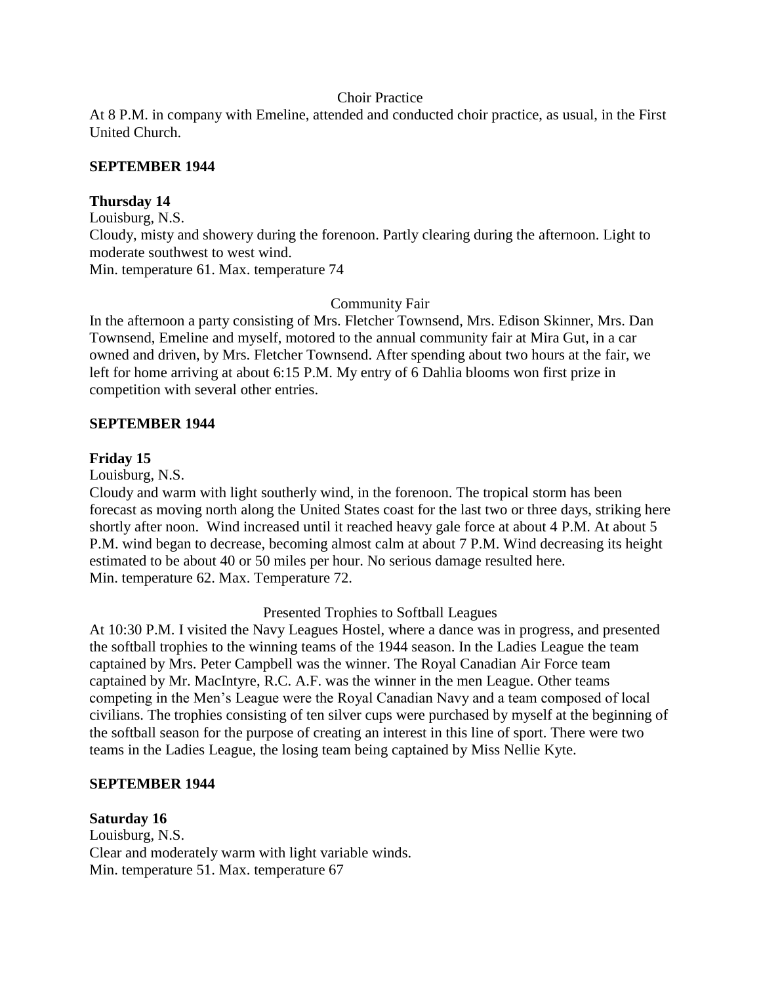#### Choir Practice

At 8 P.M. in company with Emeline, attended and conducted choir practice, as usual, in the First United Church.

#### **SEPTEMBER 1944**

#### **Thursday 14**

Louisburg, N.S. Cloudy, misty and showery during the forenoon. Partly clearing during the afternoon. Light to moderate southwest to west wind. Min. temperature 61. Max. temperature 74

Community Fair

In the afternoon a party consisting of Mrs. Fletcher Townsend, Mrs. Edison Skinner, Mrs. Dan Townsend, Emeline and myself, motored to the annual community fair at Mira Gut, in a car owned and driven, by Mrs. Fletcher Townsend. After spending about two hours at the fair, we left for home arriving at about 6:15 P.M. My entry of 6 Dahlia blooms won first prize in competition with several other entries.

#### **SEPTEMBER 1944**

#### **Friday 15**

Louisburg, N.S.

Cloudy and warm with light southerly wind, in the forenoon. The tropical storm has been forecast as moving north along the United States coast for the last two or three days, striking here shortly after noon. Wind increased until it reached heavy gale force at about 4 P.M. At about 5 P.M. wind began to decrease, becoming almost calm at about 7 P.M. Wind decreasing its height estimated to be about 40 or 50 miles per hour. No serious damage resulted here. Min. temperature 62. Max. Temperature 72.

Presented Trophies to Softball Leagues

At 10:30 P.M. I visited the Navy Leagues Hostel, where a dance was in progress, and presented the softball trophies to the winning teams of the 1944 season. In the Ladies League the team captained by Mrs. Peter Campbell was the winner. The Royal Canadian Air Force team captained by Mr. MacIntyre, R.C. A.F. was the winner in the men League. Other teams competing in the Men's League were the Royal Canadian Navy and a team composed of local civilians. The trophies consisting of ten silver cups were purchased by myself at the beginning of the softball season for the purpose of creating an interest in this line of sport. There were two teams in the Ladies League, the losing team being captained by Miss Nellie Kyte.

#### **SEPTEMBER 1944**

#### **Saturday 16**

Louisburg, N.S. Clear and moderately warm with light variable winds. Min. temperature 51. Max. temperature 67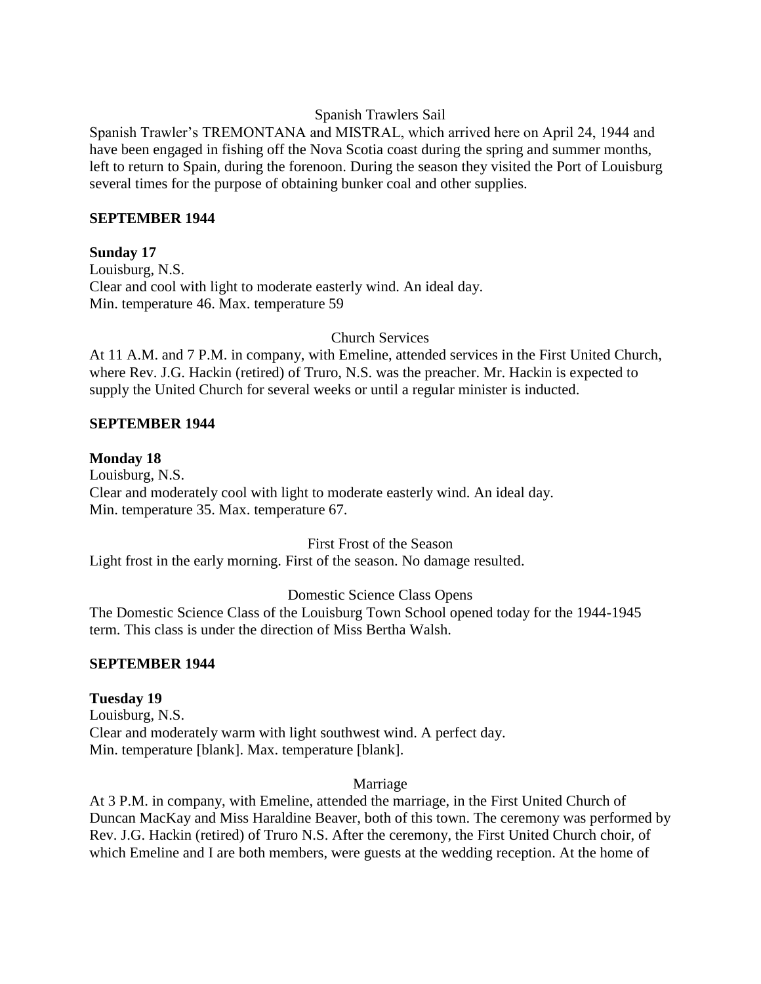### Spanish Trawlers Sail

Spanish Trawler's TREMONTANA and MISTRAL, which arrived here on April 24, 1944 and have been engaged in fishing off the Nova Scotia coast during the spring and summer months, left to return to Spain, during the forenoon. During the season they visited the Port of Louisburg several times for the purpose of obtaining bunker coal and other supplies.

### **SEPTEMBER 1944**

## **Sunday 17**

Louisburg, N.S. Clear and cool with light to moderate easterly wind. An ideal day. Min. temperature 46. Max. temperature 59

## Church Services

At 11 A.M. and 7 P.M. in company, with Emeline, attended services in the First United Church, where Rev. J.G. Hackin (retired) of Truro, N.S. was the preacher. Mr. Hackin is expected to supply the United Church for several weeks or until a regular minister is inducted.

## **SEPTEMBER 1944**

## **Monday 18**

Louisburg, N.S. Clear and moderately cool with light to moderate easterly wind. An ideal day. Min. temperature 35. Max. temperature 67.

#### First Frost of the Season

Light frost in the early morning. First of the season. No damage resulted.

# Domestic Science Class Opens

The Domestic Science Class of the Louisburg Town School opened today for the 1944-1945 term. This class is under the direction of Miss Bertha Walsh.

# **SEPTEMBER 1944**

# **Tuesday 19** Louisburg, N.S. Clear and moderately warm with light southwest wind. A perfect day.

Min. temperature [blank]. Max. temperature [blank].

#### Marriage

At 3 P.M. in company, with Emeline, attended the marriage, in the First United Church of Duncan MacKay and Miss Haraldine Beaver, both of this town. The ceremony was performed by Rev. J.G. Hackin (retired) of Truro N.S. After the ceremony, the First United Church choir, of which Emeline and I are both members, were guests at the wedding reception. At the home of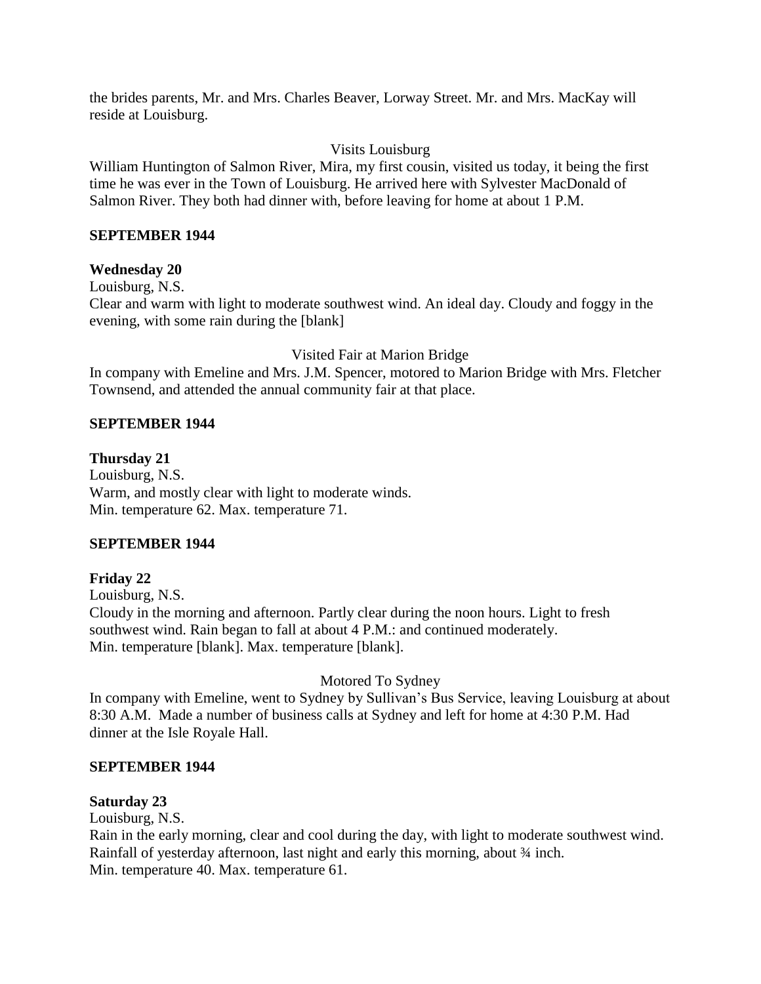the brides parents, Mr. and Mrs. Charles Beaver, Lorway Street. Mr. and Mrs. MacKay will reside at Louisburg.

## Visits Louisburg

William Huntington of Salmon River, Mira, my first cousin, visited us today, it being the first time he was ever in the Town of Louisburg. He arrived here with Sylvester MacDonald of Salmon River. They both had dinner with, before leaving for home at about 1 P.M.

## **SEPTEMBER 1944**

## **Wednesday 20**

Louisburg, N.S. Clear and warm with light to moderate southwest wind. An ideal day. Cloudy and foggy in the evening, with some rain during the [blank]

Visited Fair at Marion Bridge

In company with Emeline and Mrs. J.M. Spencer, motored to Marion Bridge with Mrs. Fletcher Townsend, and attended the annual community fair at that place.

#### **SEPTEMBER 1944**

#### **Thursday 21**

Louisburg, N.S. Warm, and mostly clear with light to moderate winds. Min. temperature 62. Max. temperature 71.

#### **SEPTEMBER 1944**

# **Friday 22**

Louisburg, N.S. Cloudy in the morning and afternoon. Partly clear during the noon hours. Light to fresh southwest wind. Rain began to fall at about 4 P.M.: and continued moderately. Min. temperature [blank]. Max. temperature [blank].

# Motored To Sydney

In company with Emeline, went to Sydney by Sullivan's Bus Service, leaving Louisburg at about 8:30 A.M. Made a number of business calls at Sydney and left for home at 4:30 P.M. Had dinner at the Isle Royale Hall.

#### **SEPTEMBER 1944**

#### **Saturday 23**

Louisburg, N.S.

Rain in the early morning, clear and cool during the day, with light to moderate southwest wind. Rainfall of yesterday afternoon, last night and early this morning, about  $\frac{3}{4}$  inch. Min. temperature 40. Max. temperature 61.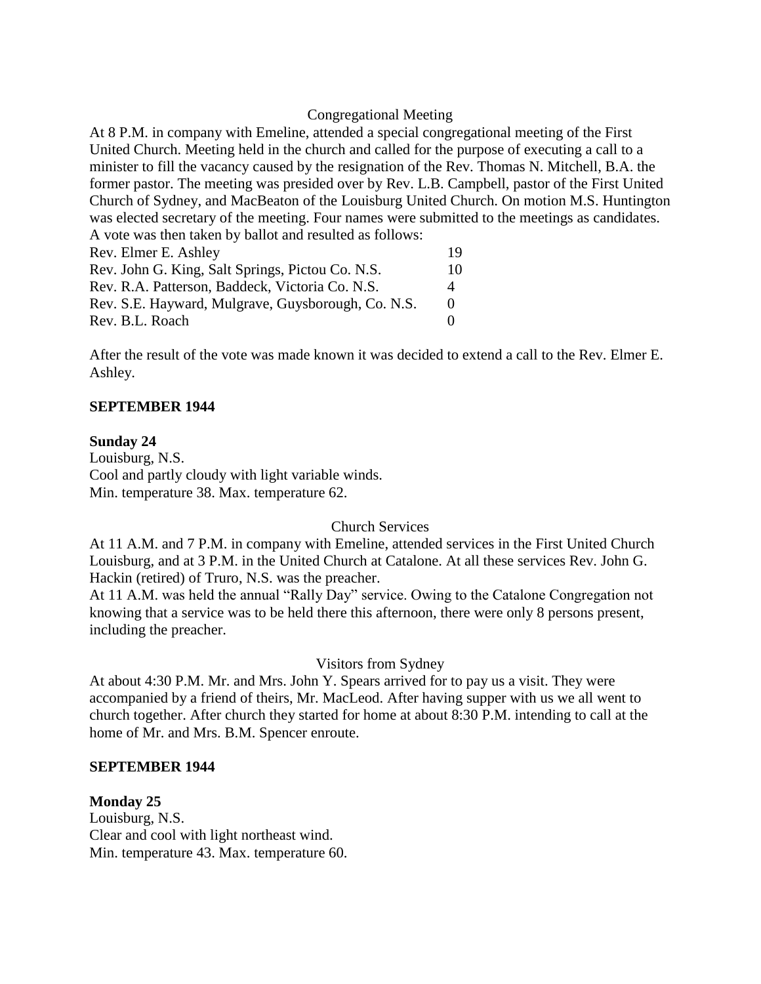### Congregational Meeting

At 8 P.M. in company with Emeline, attended a special congregational meeting of the First United Church. Meeting held in the church and called for the purpose of executing a call to a minister to fill the vacancy caused by the resignation of the Rev. Thomas N. Mitchell, B.A. the former pastor. The meeting was presided over by Rev. L.B. Campbell, pastor of the First United Church of Sydney, and MacBeaton of the Louisburg United Church. On motion M.S. Huntington was elected secretary of the meeting. Four names were submitted to the meetings as candidates. A vote was then taken by ballot and resulted as follows: Rev. Elmer E. Ashley 19 Rev. John G. King, Salt Springs, Pictou Co. N.S. 10 Rev. R.A. Patterson, Baddeck, Victoria Co. N.S. 4

Rev. B.L. Roach 0

Rev. S.E. Hayward, Mulgrave, Guysborough, Co. N.S. 0

After the result of the vote was made known it was decided to extend a call to the Rev. Elmer E. Ashley.

## **SEPTEMBER 1944**

### **Sunday 24**

Louisburg, N.S. Cool and partly cloudy with light variable winds. Min. temperature 38. Max. temperature 62.

# Church Services

At 11 A.M. and 7 P.M. in company with Emeline, attended services in the First United Church Louisburg, and at 3 P.M. in the United Church at Catalone. At all these services Rev. John G. Hackin (retired) of Truro, N.S. was the preacher.

At 11 A.M. was held the annual "Rally Day" service. Owing to the Catalone Congregation not knowing that a service was to be held there this afternoon, there were only 8 persons present, including the preacher.

### Visitors from Sydney

At about 4:30 P.M. Mr. and Mrs. John Y. Spears arrived for to pay us a visit. They were accompanied by a friend of theirs, Mr. MacLeod. After having supper with us we all went to church together. After church they started for home at about 8:30 P.M. intending to call at the home of Mr. and Mrs. B.M. Spencer enroute.

### **SEPTEMBER 1944**

### **Monday 25**

Louisburg, N.S. Clear and cool with light northeast wind. Min. temperature 43. Max. temperature 60.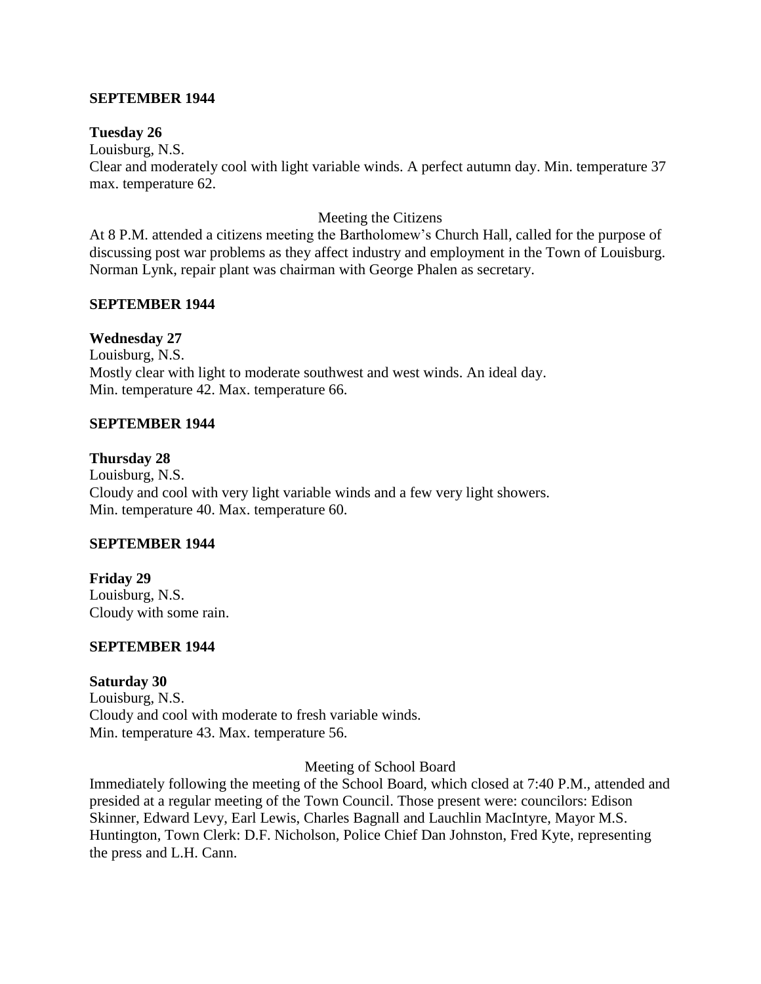#### **SEPTEMBER 1944**

#### **Tuesday 26**

Louisburg, N.S.

Clear and moderately cool with light variable winds. A perfect autumn day. Min. temperature 37 max. temperature 62.

#### Meeting the Citizens

At 8 P.M. attended a citizens meeting the Bartholomew's Church Hall, called for the purpose of discussing post war problems as they affect industry and employment in the Town of Louisburg. Norman Lynk, repair plant was chairman with George Phalen as secretary.

#### **SEPTEMBER 1944**

#### **Wednesday 27**

Louisburg, N.S. Mostly clear with light to moderate southwest and west winds. An ideal day. Min. temperature 42. Max. temperature 66.

#### **SEPTEMBER 1944**

#### **Thursday 28**

Louisburg, N.S. Cloudy and cool with very light variable winds and a few very light showers. Min. temperature 40. Max. temperature 60.

#### **SEPTEMBER 1944**

**Friday 29** Louisburg, N.S. Cloudy with some rain.

#### **SEPTEMBER 1944**

### **Saturday 30**

Louisburg, N.S. Cloudy and cool with moderate to fresh variable winds. Min. temperature 43. Max. temperature 56.

Meeting of School Board

Immediately following the meeting of the School Board, which closed at 7:40 P.M., attended and presided at a regular meeting of the Town Council. Those present were: councilors: Edison Skinner, Edward Levy, Earl Lewis, Charles Bagnall and Lauchlin MacIntyre, Mayor M.S. Huntington, Town Clerk: D.F. Nicholson, Police Chief Dan Johnston, Fred Kyte, representing the press and L.H. Cann.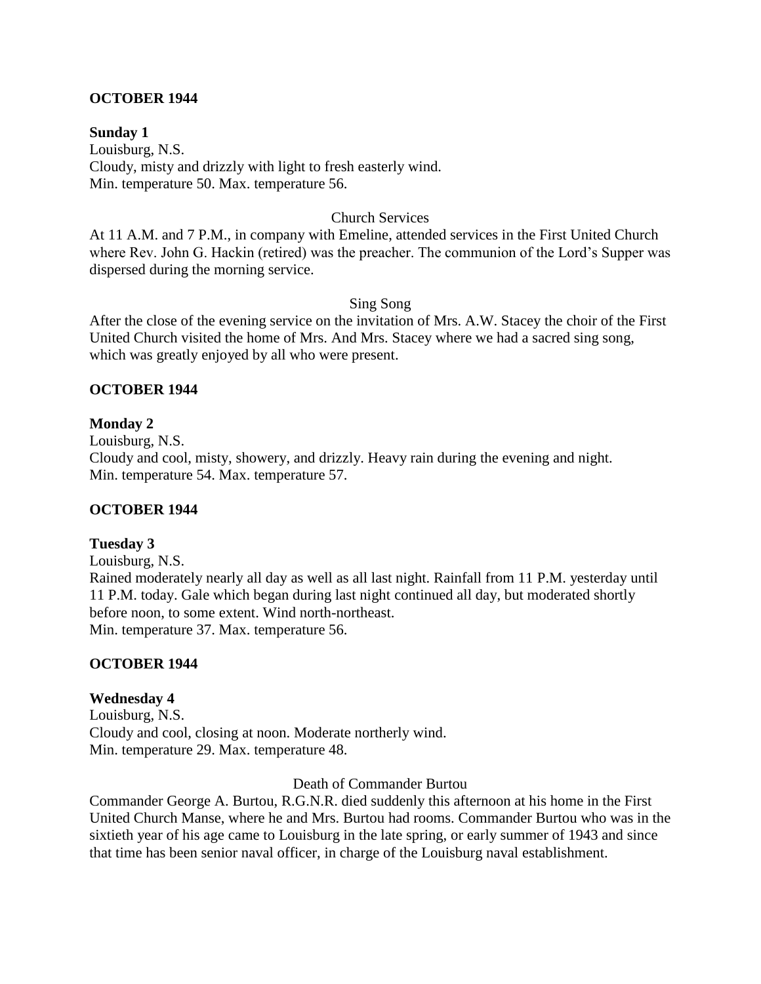### **OCTOBER 1944**

**Sunday 1**  Louisburg, N.S. Cloudy, misty and drizzly with light to fresh easterly wind. Min. temperature 50. Max. temperature 56.

#### Church Services

At 11 A.M. and 7 P.M., in company with Emeline, attended services in the First United Church where Rev. John G. Hackin (retired) was the preacher. The communion of the Lord's Supper was dispersed during the morning service.

#### Sing Song

After the close of the evening service on the invitation of Mrs. A.W. Stacey the choir of the First United Church visited the home of Mrs. And Mrs. Stacey where we had a sacred sing song, which was greatly enjoyed by all who were present.

### **OCTOBER 1944**

### **Monday 2**

Louisburg, N.S.

Cloudy and cool, misty, showery, and drizzly. Heavy rain during the evening and night. Min. temperature 54. Max. temperature 57.

### **OCTOBER 1944**

### **Tuesday 3**

Louisburg, N.S.

Rained moderately nearly all day as well as all last night. Rainfall from 11 P.M. yesterday until 11 P.M. today. Gale which began during last night continued all day, but moderated shortly before noon, to some extent. Wind north-northeast. Min. temperature 37. Max. temperature 56.

### **OCTOBER 1944**

### **Wednesday 4**

Louisburg, N.S. Cloudy and cool, closing at noon. Moderate northerly wind. Min. temperature 29. Max. temperature 48.

Death of Commander Burtou

Commander George A. Burtou, R.G.N.R. died suddenly this afternoon at his home in the First United Church Manse, where he and Mrs. Burtou had rooms. Commander Burtou who was in the sixtieth year of his age came to Louisburg in the late spring, or early summer of 1943 and since that time has been senior naval officer, in charge of the Louisburg naval establishment.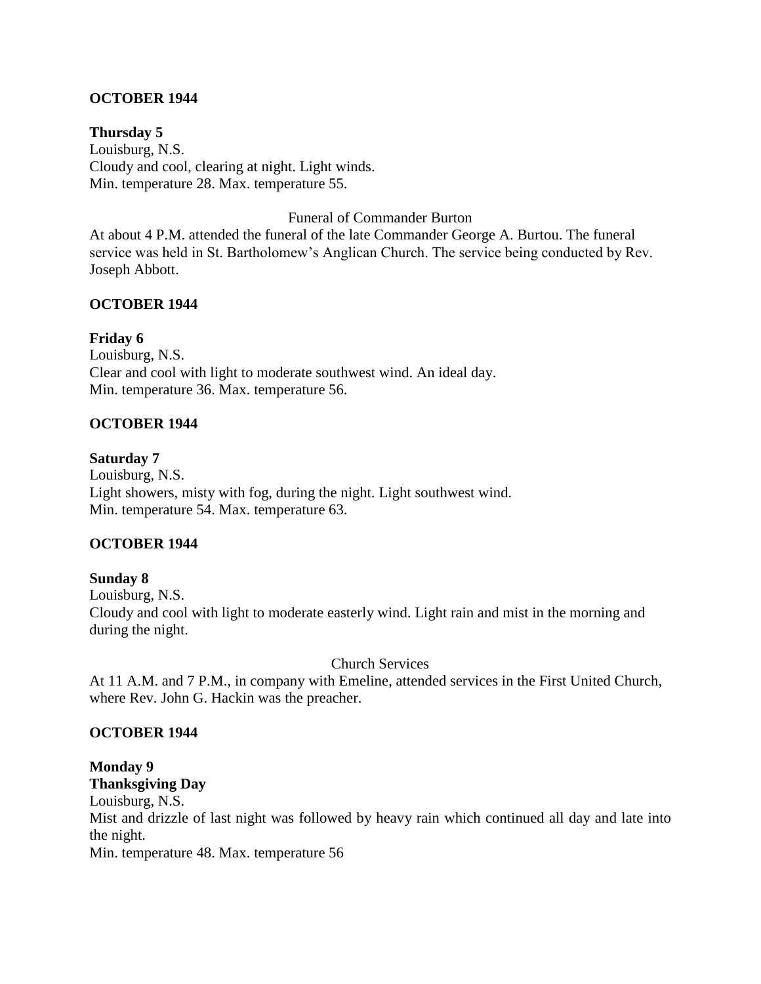## **OCTOBER 1944**

**Thursday 5** Louisburg, N.S. Cloudy and cool, clearing at night. Light winds. Min. temperature 28. Max. temperature 55.

Funeral of Commander Burton

At about 4 P.M. attended the funeral of the late Commander George A. Burtou. The funeral service was held in St. Bartholomew's Anglican Church. The service being conducted by Rev. Joseph Abbott.

### **OCTOBER 1944**

### **Friday 6**

Louisburg, N.S. Clear and cool with light to moderate southwest wind. An ideal day. Min. temperature 36. Max. temperature 56.

### **OCTOBER 1944**

### **Saturday 7**

Louisburg, N.S. Light showers, misty with fog, during the night. Light southwest wind. Min. temperature 54. Max. temperature 63.

### **OCTOBER 1944**

### **Sunday 8**

Louisburg, N.S. Cloudy and cool with light to moderate easterly wind. Light rain and mist in the morning and during the night.

### Church Services

At 11 A.M. and 7 P.M., in company with Emeline, attended services in the First United Church, where Rev. John G. Hackin was the preacher.

### **OCTOBER 1944**

### **Monday 9 Thanksgiving Day**

Louisburg, N.S. Mist and drizzle of last night was followed by heavy rain which continued all day and late into the night. Min. temperature 48. Max. temperature 56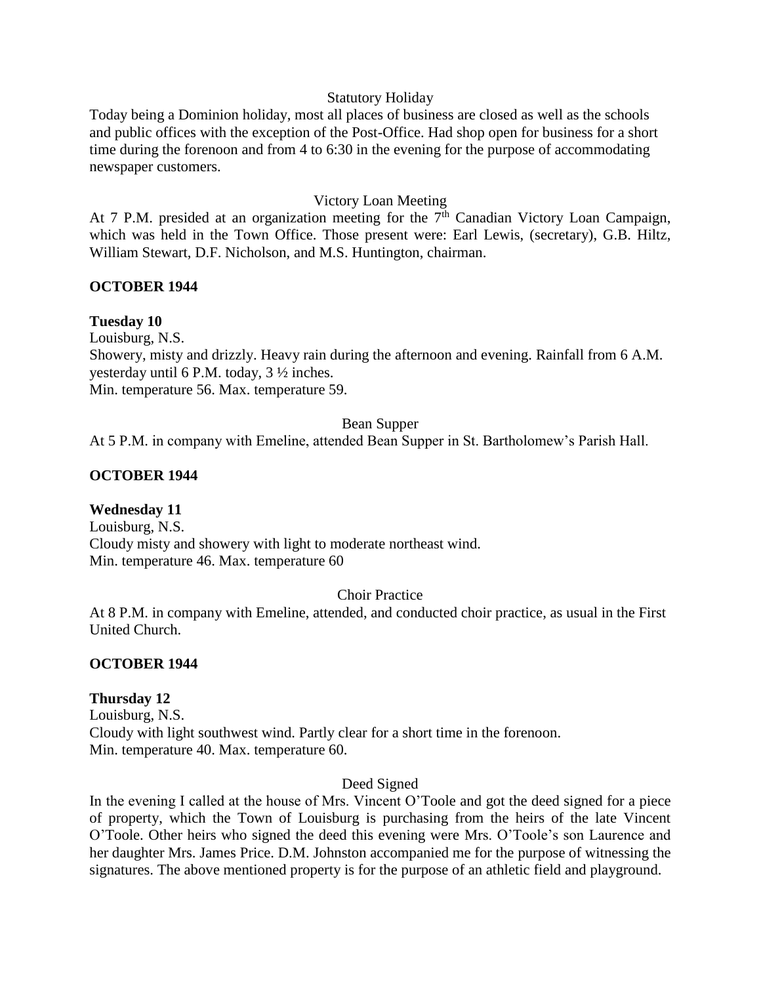### Statutory Holiday

Today being a Dominion holiday, most all places of business are closed as well as the schools and public offices with the exception of the Post-Office. Had shop open for business for a short time during the forenoon and from 4 to 6:30 in the evening for the purpose of accommodating newspaper customers.

#### Victory Loan Meeting

At 7 P.M. presided at an organization meeting for the  $7<sup>th</sup>$  Canadian Victory Loan Campaign, which was held in the Town Office. Those present were: Earl Lewis, (secretary), G.B. Hiltz, William Stewart, D.F. Nicholson, and M.S. Huntington, chairman.

### **OCTOBER 1944**

### **Tuesday 10**

Louisburg, N.S.

Showery, misty and drizzly. Heavy rain during the afternoon and evening. Rainfall from 6 A.M. yesterday until 6 P.M. today, 3 ½ inches. Min. temperature 56. Max. temperature 59.

#### Bean Supper

At 5 P.M. in company with Emeline, attended Bean Supper in St. Bartholomew's Parish Hall.

#### **OCTOBER 1944**

### **Wednesday 11**

Louisburg, N.S. Cloudy misty and showery with light to moderate northeast wind. Min. temperature 46. Max. temperature 60

#### Choir Practice

At 8 P.M. in company with Emeline, attended, and conducted choir practice, as usual in the First United Church.

#### **OCTOBER 1944**

### **Thursday 12**

Louisburg, N.S. Cloudy with light southwest wind. Partly clear for a short time in the forenoon. Min. temperature 40. Max. temperature 60.

#### Deed Signed

In the evening I called at the house of Mrs. Vincent O'Toole and got the deed signed for a piece of property, which the Town of Louisburg is purchasing from the heirs of the late Vincent O'Toole. Other heirs who signed the deed this evening were Mrs. O'Toole's son Laurence and her daughter Mrs. James Price. D.M. Johnston accompanied me for the purpose of witnessing the signatures. The above mentioned property is for the purpose of an athletic field and playground.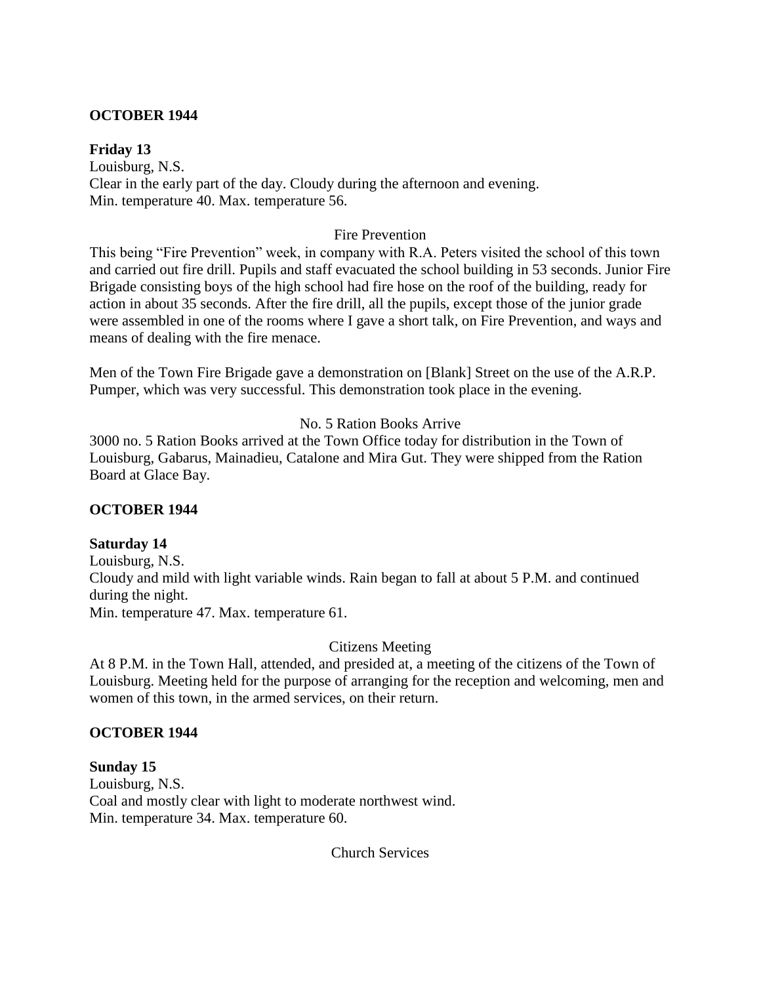### **OCTOBER 1944**

### **Friday 13**

Louisburg, N.S. Clear in the early part of the day. Cloudy during the afternoon and evening. Min. temperature 40. Max. temperature 56.

### Fire Prevention

This being "Fire Prevention" week, in company with R.A. Peters visited the school of this town and carried out fire drill. Pupils and staff evacuated the school building in 53 seconds. Junior Fire Brigade consisting boys of the high school had fire hose on the roof of the building, ready for action in about 35 seconds. After the fire drill, all the pupils, except those of the junior grade were assembled in one of the rooms where I gave a short talk, on Fire Prevention, and ways and means of dealing with the fire menace.

Men of the Town Fire Brigade gave a demonstration on [Blank] Street on the use of the A.R.P. Pumper, which was very successful. This demonstration took place in the evening.

## No. 5 Ration Books Arrive

3000 no. 5 Ration Books arrived at the Town Office today for distribution in the Town of Louisburg, Gabarus, Mainadieu, Catalone and Mira Gut. They were shipped from the Ration Board at Glace Bay.

### **OCTOBER 1944**

### **Saturday 14**

Louisburg, N.S. Cloudy and mild with light variable winds. Rain began to fall at about 5 P.M. and continued during the night. Min. temperature 47. Max. temperature 61.

### Citizens Meeting

At 8 P.M. in the Town Hall, attended, and presided at, a meeting of the citizens of the Town of Louisburg. Meeting held for the purpose of arranging for the reception and welcoming, men and women of this town, in the armed services, on their return.

### **OCTOBER 1944**

# **Sunday 15** Louisburg, N.S. Coal and mostly clear with light to moderate northwest wind. Min. temperature 34. Max. temperature 60.

Church Services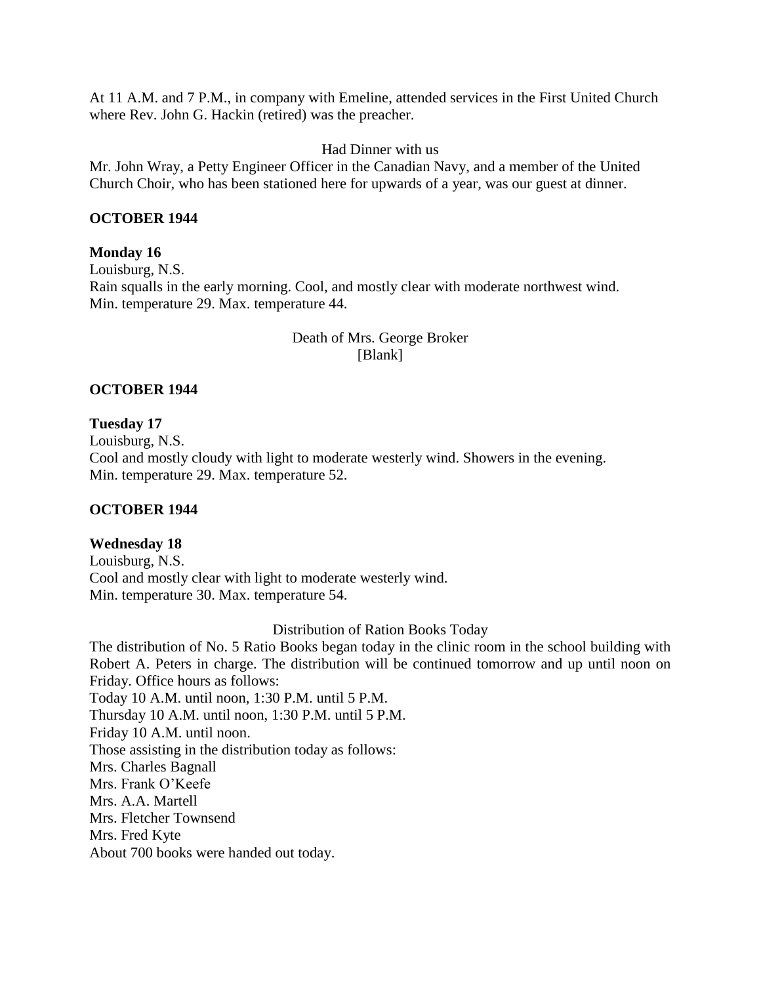At 11 A.M. and 7 P.M., in company with Emeline, attended services in the First United Church where Rev. John G. Hackin (retired) was the preacher.

Had Dinner with us

Mr. John Wray, a Petty Engineer Officer in the Canadian Navy, and a member of the United Church Choir, who has been stationed here for upwards of a year, was our guest at dinner.

### **OCTOBER 1944**

### **Monday 16**

Louisburg, N.S. Rain squalls in the early morning. Cool, and mostly clear with moderate northwest wind. Min. temperature 29. Max. temperature 44.

## Death of Mrs. George Broker [Blank]

## **OCTOBER 1944**

## **Tuesday 17**

Louisburg, N.S. Cool and mostly cloudy with light to moderate westerly wind. Showers in the evening. Min. temperature 29. Max. temperature 52.

# **OCTOBER 1944**

# **Wednesday 18**

Louisburg, N.S. Cool and mostly clear with light to moderate westerly wind. Min. temperature 30. Max. temperature 54.

### Distribution of Ration Books Today

The distribution of No. 5 Ratio Books began today in the clinic room in the school building with Robert A. Peters in charge. The distribution will be continued tomorrow and up until noon on Friday. Office hours as follows: Today 10 A.M. until noon, 1:30 P.M. until 5 P.M. Thursday 10 A.M. until noon, 1:30 P.M. until 5 P.M. Friday 10 A.M. until noon. Those assisting in the distribution today as follows: Mrs. Charles Bagnall Mrs. Frank O'Keefe Mrs. A.A. Martell Mrs. Fletcher Townsend Mrs. Fred Kyte About 700 books were handed out today.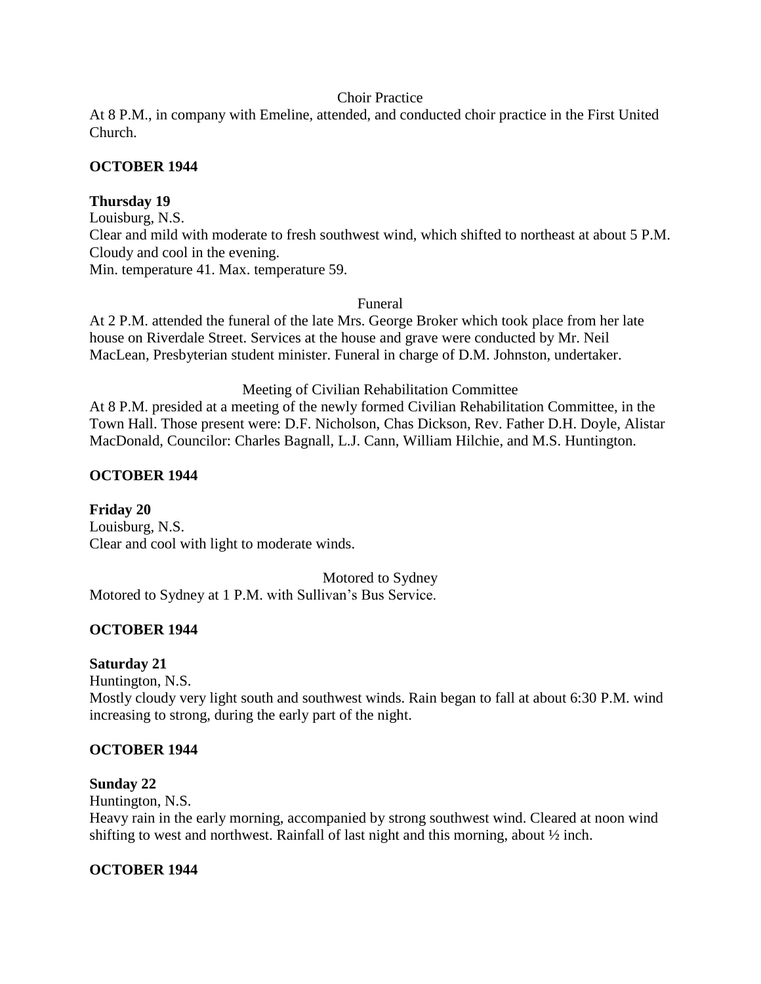### Choir Practice

At 8 P.M., in company with Emeline, attended, and conducted choir practice in the First United Church.

### **OCTOBER 1944**

## **Thursday 19**

Louisburg, N.S. Clear and mild with moderate to fresh southwest wind, which shifted to northeast at about 5 P.M. Cloudy and cool in the evening. Min. temperature 41. Max. temperature 59.

#### Funeral

At 2 P.M. attended the funeral of the late Mrs. George Broker which took place from her late house on Riverdale Street. Services at the house and grave were conducted by Mr. Neil MacLean, Presbyterian student minister. Funeral in charge of D.M. Johnston, undertaker.

### Meeting of Civilian Rehabilitation Committee

At 8 P.M. presided at a meeting of the newly formed Civilian Rehabilitation Committee, in the Town Hall. Those present were: D.F. Nicholson, Chas Dickson, Rev. Father D.H. Doyle, Alistar MacDonald, Councilor: Charles Bagnall, L.J. Cann, William Hilchie, and M.S. Huntington.

### **OCTOBER 1944**

**Friday 20** Louisburg, N.S. Clear and cool with light to moderate winds.

Motored to Sydney

Motored to Sydney at 1 P.M. with Sullivan's Bus Service.

# **OCTOBER 1944**

### **Saturday 21**

Huntington, N.S. Mostly cloudy very light south and southwest winds. Rain began to fall at about 6:30 P.M. wind increasing to strong, during the early part of the night.

### **OCTOBER 1944**

#### **Sunday 22**

Huntington, N.S.

Heavy rain in the early morning, accompanied by strong southwest wind. Cleared at noon wind shifting to west and northwest. Rainfall of last night and this morning, about  $\frac{1}{2}$  inch.

### **OCTOBER 1944**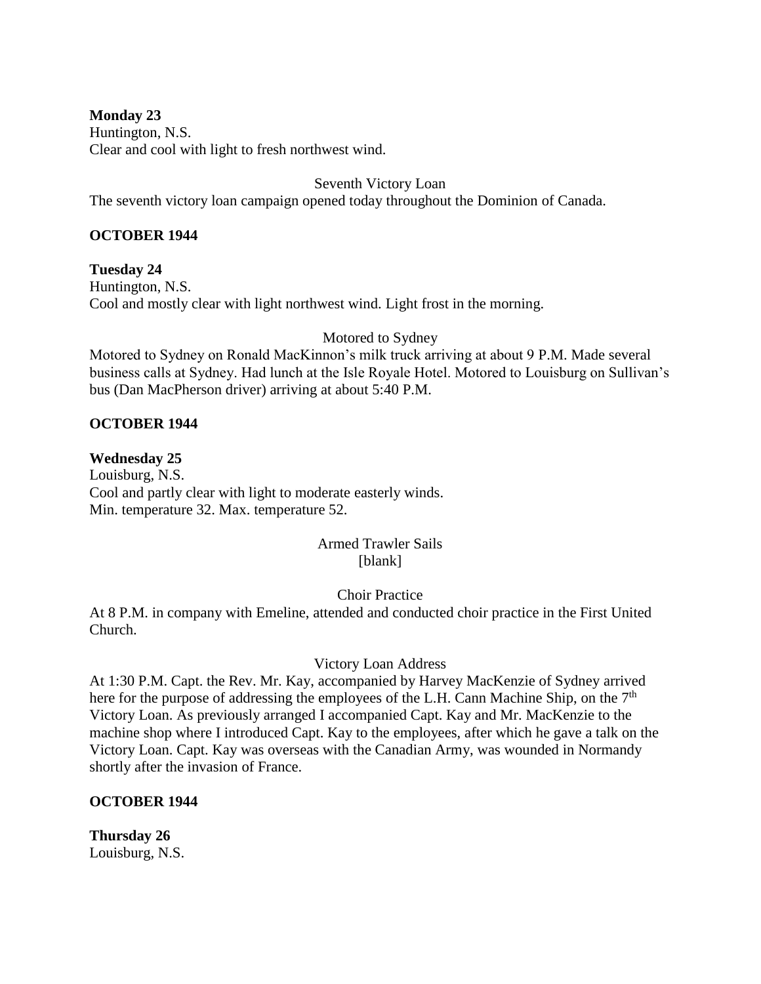## **Monday 23**

Huntington, N.S. Clear and cool with light to fresh northwest wind.

Seventh Victory Loan

The seventh victory loan campaign opened today throughout the Dominion of Canada.

# **OCTOBER 1944**

**Tuesday 24** Huntington, N.S. Cool and mostly clear with light northwest wind. Light frost in the morning.

Motored to Sydney

Motored to Sydney on Ronald MacKinnon's milk truck arriving at about 9 P.M. Made several business calls at Sydney. Had lunch at the Isle Royale Hotel. Motored to Louisburg on Sullivan's bus (Dan MacPherson driver) arriving at about 5:40 P.M.

## **OCTOBER 1944**

## **Wednesday 25**

Louisburg, N.S. Cool and partly clear with light to moderate easterly winds. Min. temperature 32. Max. temperature 52.

## Armed Trawler Sails [blank]

# Choir Practice

At 8 P.M. in company with Emeline, attended and conducted choir practice in the First United Church.

### Victory Loan Address

At 1:30 P.M. Capt. the Rev. Mr. Kay, accompanied by Harvey MacKenzie of Sydney arrived here for the purpose of addressing the employees of the L.H. Cann Machine Ship, on the 7<sup>th</sup> Victory Loan. As previously arranged I accompanied Capt. Kay and Mr. MacKenzie to the machine shop where I introduced Capt. Kay to the employees, after which he gave a talk on the Victory Loan. Capt. Kay was overseas with the Canadian Army, was wounded in Normandy shortly after the invasion of France.

# **OCTOBER 1944**

**Thursday 26** Louisburg, N.S.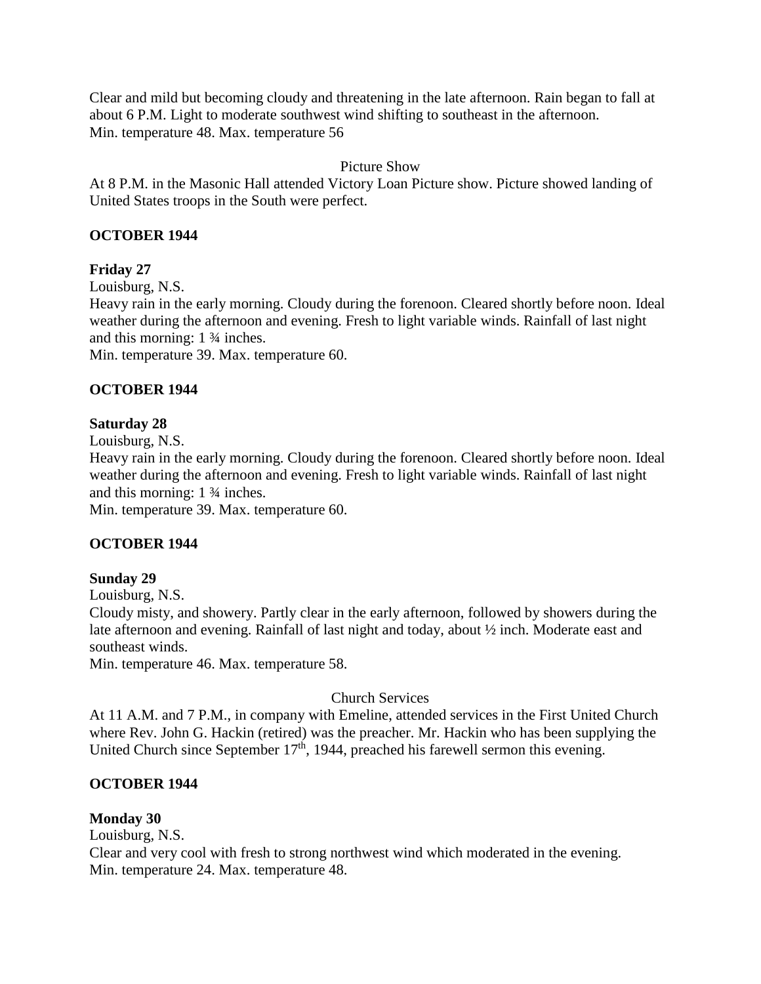Clear and mild but becoming cloudy and threatening in the late afternoon. Rain began to fall at about 6 P.M. Light to moderate southwest wind shifting to southeast in the afternoon. Min. temperature 48. Max. temperature 56

## Picture Show

At 8 P.M. in the Masonic Hall attended Victory Loan Picture show. Picture showed landing of United States troops in the South were perfect.

## **OCTOBER 1944**

## **Friday 27**

Louisburg, N.S.

Heavy rain in the early morning. Cloudy during the forenoon. Cleared shortly before noon. Ideal weather during the afternoon and evening. Fresh to light variable winds. Rainfall of last night and this morning: 1 ¾ inches.

Min. temperature 39. Max. temperature 60.

## **OCTOBER 1944**

### **Saturday 28**

Louisburg, N.S.

Heavy rain in the early morning. Cloudy during the forenoon. Cleared shortly before noon. Ideal weather during the afternoon and evening. Fresh to light variable winds. Rainfall of last night and this morning: 1 ¾ inches.

Min. temperature 39. Max. temperature 60.

### **OCTOBER 1944**

### **Sunday 29**

Louisburg, N.S.

Cloudy misty, and showery. Partly clear in the early afternoon, followed by showers during the late afternoon and evening. Rainfall of last night and today, about ½ inch. Moderate east and southeast winds.

Min. temperature 46. Max. temperature 58.

### Church Services

At 11 A.M. and 7 P.M., in company with Emeline, attended services in the First United Church where Rev. John G. Hackin (retired) was the preacher. Mr. Hackin who has been supplying the United Church since September  $17<sup>th</sup>$ , 1944, preached his farewell sermon this evening.

### **OCTOBER 1944**

### **Monday 30**

Louisburg, N.S.

Clear and very cool with fresh to strong northwest wind which moderated in the evening. Min. temperature 24. Max. temperature 48.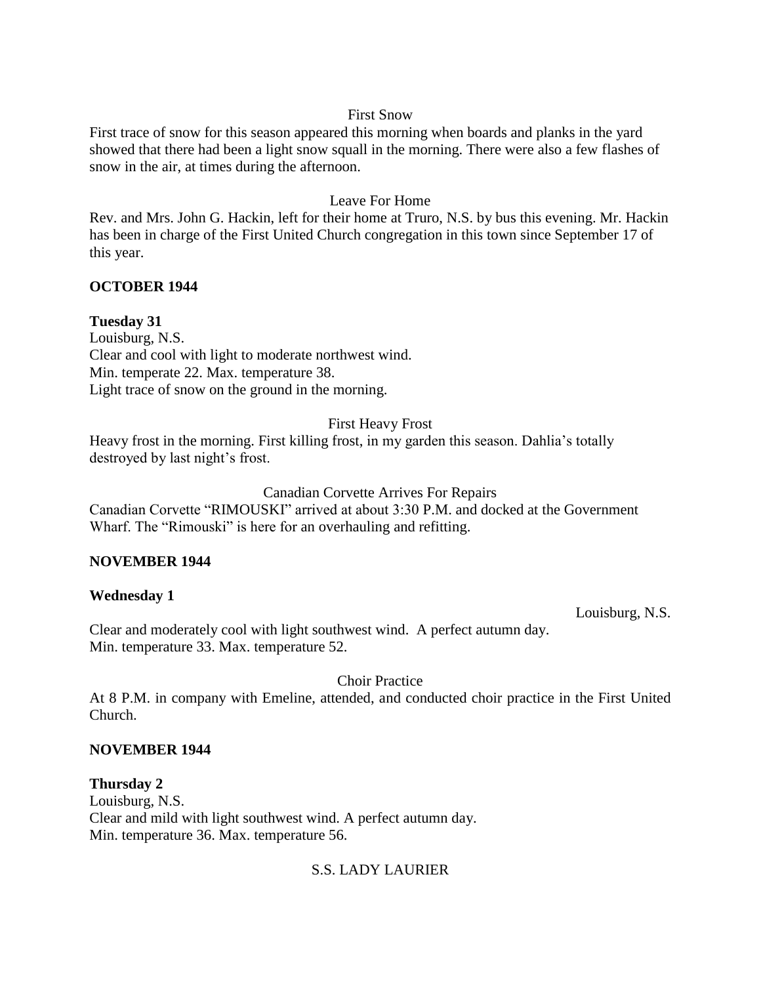### First Snow

First trace of snow for this season appeared this morning when boards and planks in the yard showed that there had been a light snow squall in the morning. There were also a few flashes of snow in the air, at times during the afternoon.

## Leave For Home

Rev. and Mrs. John G. Hackin, left for their home at Truro, N.S. by bus this evening. Mr. Hackin has been in charge of the First United Church congregation in this town since September 17 of this year.

# **OCTOBER 1944**

## **Tuesday 31**

Louisburg, N.S. Clear and cool with light to moderate northwest wind. Min. temperate 22. Max. temperature 38. Light trace of snow on the ground in the morning.

### First Heavy Frost

Heavy frost in the morning. First killing frost, in my garden this season. Dahlia's totally destroyed by last night's frost.

### Canadian Corvette Arrives For Repairs

Canadian Corvette "RIMOUSKI" arrived at about 3:30 P.M. and docked at the Government Wharf. The "Rimouski" is here for an overhauling and refitting.

### **NOVEMBER 1944**

### **Wednesday 1**

Louisburg, N.S.

Clear and moderately cool with light southwest wind. A perfect autumn day. Min. temperature 33. Max. temperature 52.

Choir Practice

At 8 P.M. in company with Emeline, attended, and conducted choir practice in the First United Church.

### **NOVEMBER 1944**

**Thursday 2** Louisburg, N.S. Clear and mild with light southwest wind. A perfect autumn day. Min. temperature 36. Max. temperature 56.

# S.S. LADY LAURIER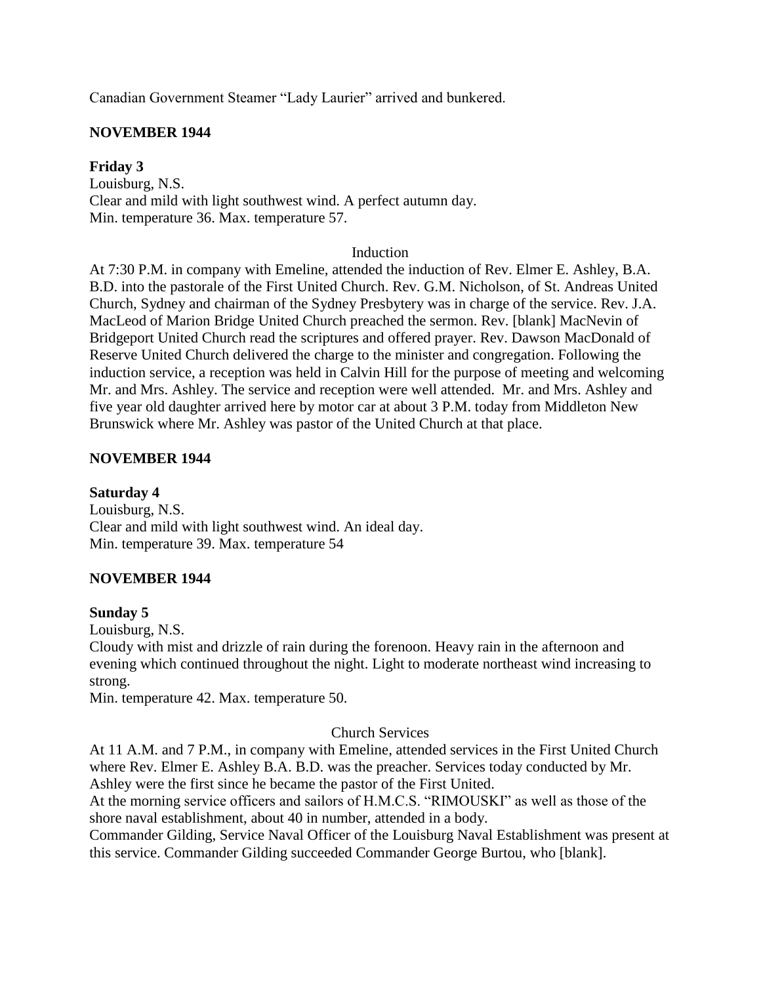Canadian Government Steamer "Lady Laurier" arrived and bunkered.

## **NOVEMBER 1944**

## **Friday 3**

Louisburg, N.S. Clear and mild with light southwest wind. A perfect autumn day. Min. temperature 36. Max. temperature 57.

#### Induction

At 7:30 P.M. in company with Emeline, attended the induction of Rev. Elmer E. Ashley, B.A. B.D. into the pastorale of the First United Church. Rev. G.M. Nicholson, of St. Andreas United Church, Sydney and chairman of the Sydney Presbytery was in charge of the service. Rev. J.A. MacLeod of Marion Bridge United Church preached the sermon. Rev. [blank] MacNevin of Bridgeport United Church read the scriptures and offered prayer. Rev. Dawson MacDonald of Reserve United Church delivered the charge to the minister and congregation. Following the induction service, a reception was held in Calvin Hill for the purpose of meeting and welcoming Mr. and Mrs. Ashley. The service and reception were well attended. Mr. and Mrs. Ashley and five year old daughter arrived here by motor car at about 3 P.M. today from Middleton New Brunswick where Mr. Ashley was pastor of the United Church at that place.

### **NOVEMBER 1944**

**Saturday 4** Louisburg, N.S. Clear and mild with light southwest wind. An ideal day. Min. temperature 39. Max. temperature 54

# **NOVEMBER 1944**

### **Sunday 5**

Louisburg, N.S.

Cloudy with mist and drizzle of rain during the forenoon. Heavy rain in the afternoon and evening which continued throughout the night. Light to moderate northeast wind increasing to strong.

Min. temperature 42. Max. temperature 50.

### Church Services

At 11 A.M. and 7 P.M., in company with Emeline, attended services in the First United Church where Rev. Elmer E. Ashley B.A. B.D. was the preacher. Services today conducted by Mr. Ashley were the first since he became the pastor of the First United.

At the morning service officers and sailors of H.M.C.S. "RIMOUSKI" as well as those of the shore naval establishment, about 40 in number, attended in a body.

Commander Gilding, Service Naval Officer of the Louisburg Naval Establishment was present at this service. Commander Gilding succeeded Commander George Burtou, who [blank].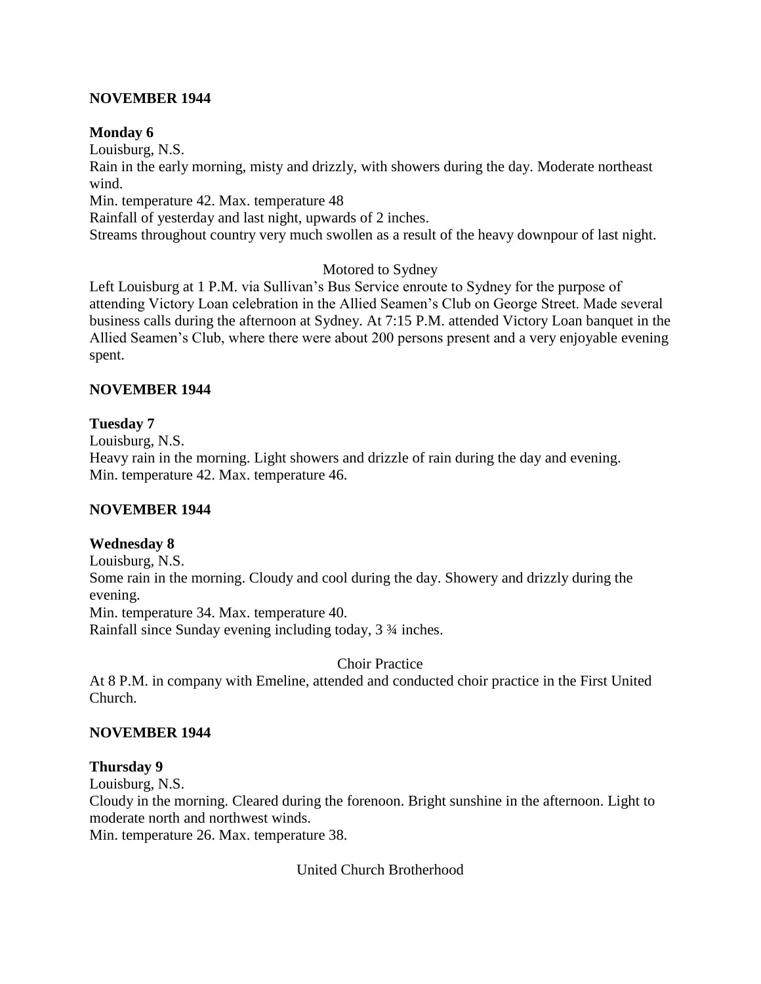## **NOVEMBER 1944**

## **Monday 6**

Louisburg, N.S.

Rain in the early morning, misty and drizzly, with showers during the day. Moderate northeast wind.

Min. temperature 42. Max. temperature 48

Rainfall of yesterday and last night, upwards of 2 inches.

Streams throughout country very much swollen as a result of the heavy downpour of last night.

## Motored to Sydney

Left Louisburg at 1 P.M. via Sullivan's Bus Service enroute to Sydney for the purpose of attending Victory Loan celebration in the Allied Seamen's Club on George Street. Made several business calls during the afternoon at Sydney. At 7:15 P.M. attended Victory Loan banquet in the Allied Seamen's Club, where there were about 200 persons present and a very enjoyable evening spent.

## **NOVEMBER 1944**

## **Tuesday 7**

Louisburg, N.S.

Heavy rain in the morning. Light showers and drizzle of rain during the day and evening. Min. temperature 42. Max. temperature 46.

### **NOVEMBER 1944**

# **Wednesday 8**

Louisburg, N.S. Some rain in the morning. Cloudy and cool during the day. Showery and drizzly during the evening. Min. temperature 34. Max. temperature 40. Rainfall since Sunday evening including today, 3 ¾ inches.

Choir Practice

At 8 P.M. in company with Emeline, attended and conducted choir practice in the First United Church.

### **NOVEMBER 1944**

# **Thursday 9**

Louisburg, N.S.

Cloudy in the morning. Cleared during the forenoon. Bright sunshine in the afternoon. Light to moderate north and northwest winds.

Min. temperature 26. Max. temperature 38.

United Church Brotherhood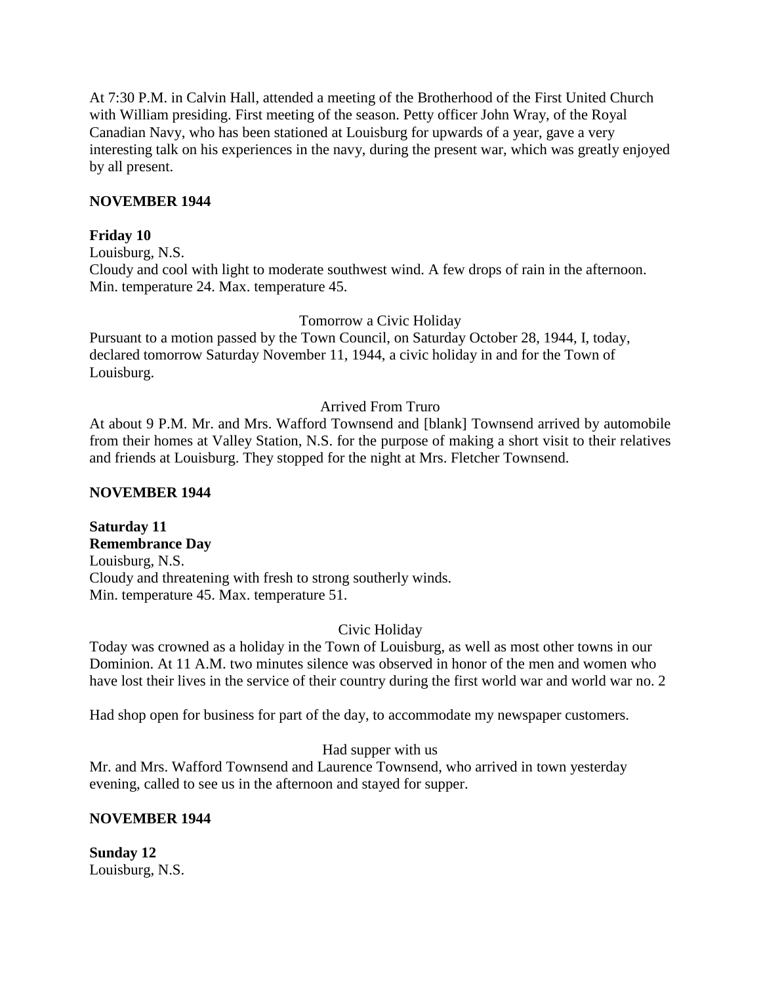At 7:30 P.M. in Calvin Hall, attended a meeting of the Brotherhood of the First United Church with William presiding. First meeting of the season. Petty officer John Wray, of the Royal Canadian Navy, who has been stationed at Louisburg for upwards of a year, gave a very interesting talk on his experiences in the navy, during the present war, which was greatly enjoyed by all present.

## **NOVEMBER 1944**

## **Friday 10**

Louisburg, N.S. Cloudy and cool with light to moderate southwest wind. A few drops of rain in the afternoon. Min. temperature 24. Max. temperature 45.

### Tomorrow a Civic Holiday

Pursuant to a motion passed by the Town Council, on Saturday October 28, 1944, I, today, declared tomorrow Saturday November 11, 1944, a civic holiday in and for the Town of Louisburg.

## Arrived From Truro

At about 9 P.M. Mr. and Mrs. Wafford Townsend and [blank] Townsend arrived by automobile from their homes at Valley Station, N.S. for the purpose of making a short visit to their relatives and friends at Louisburg. They stopped for the night at Mrs. Fletcher Townsend.

### **NOVEMBER 1944**

**Saturday 11 Remembrance Day** Louisburg, N.S. Cloudy and threatening with fresh to strong southerly winds. Min. temperature 45. Max. temperature 51.

### Civic Holiday

Today was crowned as a holiday in the Town of Louisburg, as well as most other towns in our Dominion. At 11 A.M. two minutes silence was observed in honor of the men and women who have lost their lives in the service of their country during the first world war and world war no. 2

Had shop open for business for part of the day, to accommodate my newspaper customers.

# Had supper with us

Mr. and Mrs. Wafford Townsend and Laurence Townsend, who arrived in town yesterday evening, called to see us in the afternoon and stayed for supper.

# **NOVEMBER 1944**

**Sunday 12** Louisburg, N.S.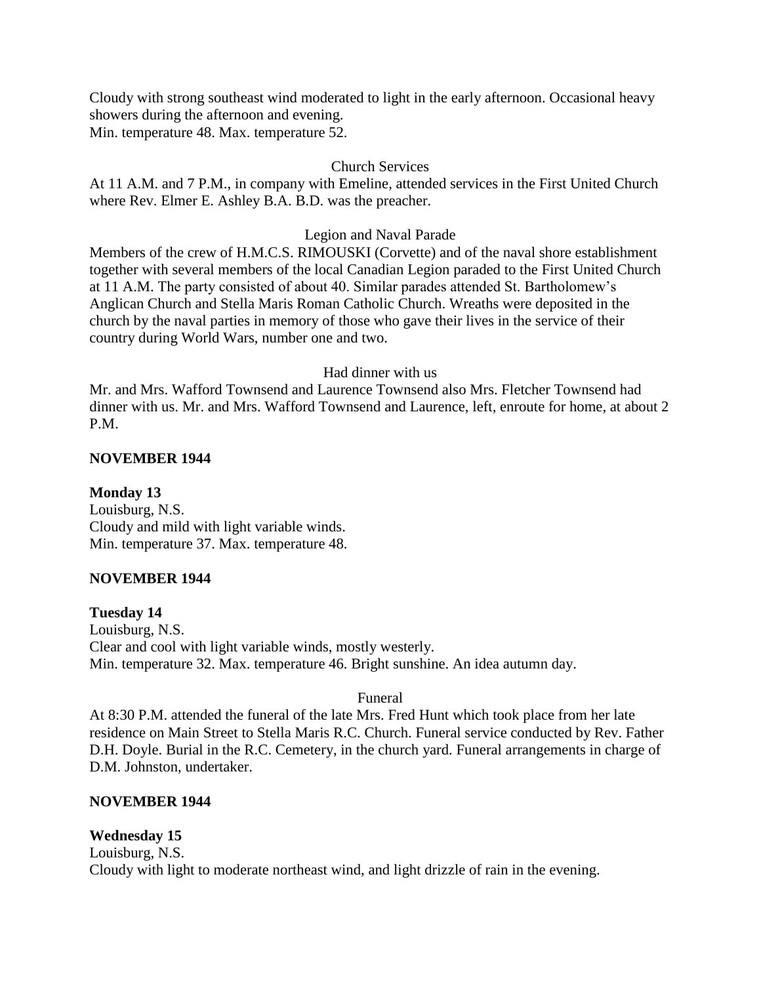Cloudy with strong southeast wind moderated to light in the early afternoon. Occasional heavy showers during the afternoon and evening. Min. temperature 48. Max. temperature 52.

### Church Services

At 11 A.M. and 7 P.M., in company with Emeline, attended services in the First United Church where Rev. Elmer E. Ashley B.A. B.D. was the preacher.

## Legion and Naval Parade

Members of the crew of H.M.C.S. RIMOUSKI (Corvette) and of the naval shore establishment together with several members of the local Canadian Legion paraded to the First United Church at 11 A.M. The party consisted of about 40. Similar parades attended St. Bartholomew's Anglican Church and Stella Maris Roman Catholic Church. Wreaths were deposited in the church by the naval parties in memory of those who gave their lives in the service of their country during World Wars, number one and two.

## Had dinner with us

Mr. and Mrs. Wafford Townsend and Laurence Townsend also Mrs. Fletcher Townsend had dinner with us. Mr. and Mrs. Wafford Townsend and Laurence, left, enroute for home, at about 2 P.M.

## **NOVEMBER 1944**

**Monday 13** Louisburg, N.S. Cloudy and mild with light variable winds. Min. temperature 37. Max. temperature 48.

# **NOVEMBER 1944**

**Tuesday 14** Louisburg, N.S. Clear and cool with light variable winds, mostly westerly. Min. temperature 32. Max. temperature 46. Bright sunshine. An idea autumn day.

### Funeral

At 8:30 P.M. attended the funeral of the late Mrs. Fred Hunt which took place from her late residence on Main Street to Stella Maris R.C. Church. Funeral service conducted by Rev. Father D.H. Doyle. Burial in the R.C. Cemetery, in the church yard. Funeral arrangements in charge of D.M. Johnston, undertaker.

# **NOVEMBER 1944**

# **Wednesday 15**

Louisburg, N.S. Cloudy with light to moderate northeast wind, and light drizzle of rain in the evening.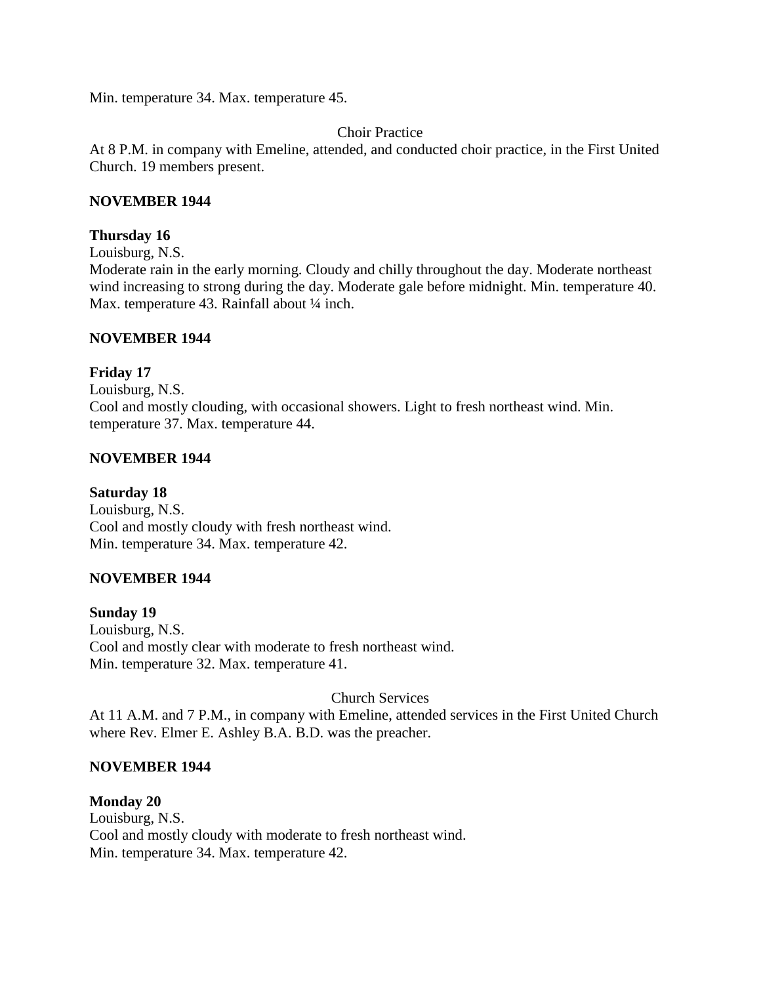Min. temperature 34. Max. temperature 45.

## Choir Practice

At 8 P.M. in company with Emeline, attended, and conducted choir practice, in the First United Church. 19 members present.

### **NOVEMBER 1944**

#### **Thursday 16**

Louisburg, N.S.

Moderate rain in the early morning. Cloudy and chilly throughout the day. Moderate northeast wind increasing to strong during the day. Moderate gale before midnight. Min. temperature 40. Max. temperature 43. Rainfall about 1/4 inch.

#### **NOVEMBER 1944**

## **Friday 17**

Louisburg, N.S. Cool and mostly clouding, with occasional showers. Light to fresh northeast wind. Min. temperature 37. Max. temperature 44.

### **NOVEMBER 1944**

### **Saturday 18**

Louisburg, N.S. Cool and mostly cloudy with fresh northeast wind. Min. temperature 34. Max. temperature 42.

### **NOVEMBER 1944**

**Sunday 19** Louisburg, N.S. Cool and mostly clear with moderate to fresh northeast wind. Min. temperature 32. Max. temperature 41.

Church Services

At 11 A.M. and 7 P.M., in company with Emeline, attended services in the First United Church where Rev. Elmer E. Ashley B.A. B.D. was the preacher.

### **NOVEMBER 1944**

**Monday 20** Louisburg, N.S. Cool and mostly cloudy with moderate to fresh northeast wind. Min. temperature 34. Max. temperature 42.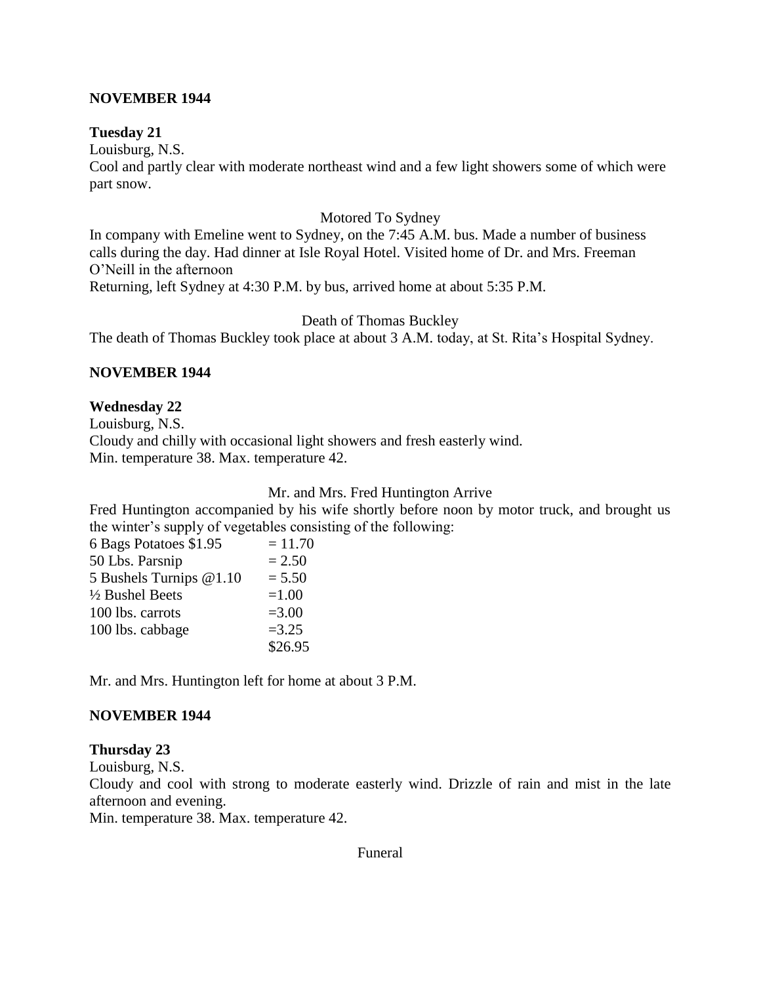### **NOVEMBER 1944**

#### **Tuesday 21**

Louisburg, N.S.

Cool and partly clear with moderate northeast wind and a few light showers some of which were part snow.

#### Motored To Sydney

In company with Emeline went to Sydney, on the 7:45 A.M. bus. Made a number of business calls during the day. Had dinner at Isle Royal Hotel. Visited home of Dr. and Mrs. Freeman O'Neill in the afternoon

Returning, left Sydney at 4:30 P.M. by bus, arrived home at about 5:35 P.M.

Death of Thomas Buckley

The death of Thomas Buckley took place at about 3 A.M. today, at St. Rita's Hospital Sydney.

### **NOVEMBER 1944**

### **Wednesday 22**

Louisburg, N.S. Cloudy and chilly with occasional light showers and fresh easterly wind. Min. temperature 38. Max. temperature 42.

#### Mr. and Mrs. Fred Huntington Arrive

Fred Huntington accompanied by his wife shortly before noon by motor truck, and brought us the winter's supply of vegetables consisting of the following:

| 6 Bags Potatoes \$1.95  | $= 11.70$ |
|-------------------------|-----------|
| 50 Lbs. Parsnip         | $= 2.50$  |
| 5 Bushels Turnips @1.10 | $= 5.50$  |
| 1/2 Bushel Beets        | $=1.00$   |
| 100 lbs. carrots        | $= 3.00$  |
| 100 lbs. cabbage        | $=3.25$   |
|                         | \$26.95   |

Mr. and Mrs. Huntington left for home at about 3 P.M.

### **NOVEMBER 1944**

#### **Thursday 23**

Louisburg, N.S.

Cloudy and cool with strong to moderate easterly wind. Drizzle of rain and mist in the late afternoon and evening.

Min. temperature 38. Max. temperature 42.

Funeral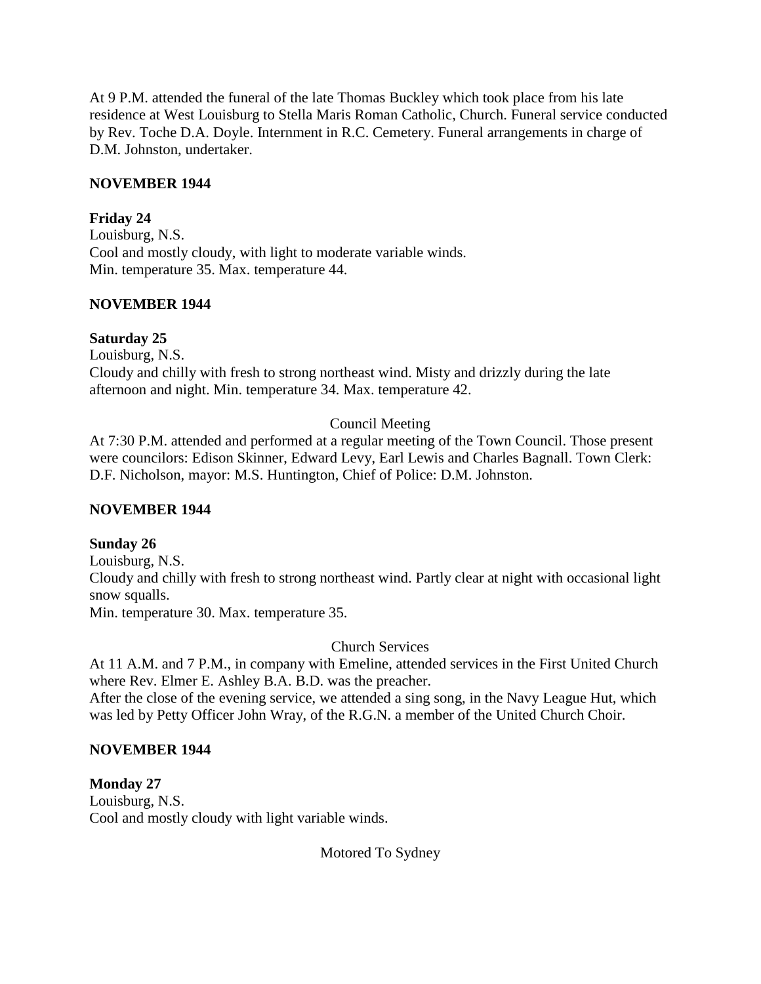At 9 P.M. attended the funeral of the late Thomas Buckley which took place from his late residence at West Louisburg to Stella Maris Roman Catholic, Church. Funeral service conducted by Rev. Toche D.A. Doyle. Internment in R.C. Cemetery. Funeral arrangements in charge of D.M. Johnston, undertaker.

## **NOVEMBER 1944**

## **Friday 24**

Louisburg, N.S. Cool and mostly cloudy, with light to moderate variable winds. Min. temperature 35. Max. temperature 44.

## **NOVEMBER 1944**

## **Saturday 25**

Louisburg, N.S. Cloudy and chilly with fresh to strong northeast wind. Misty and drizzly during the late afternoon and night. Min. temperature 34. Max. temperature 42.

# Council Meeting

At 7:30 P.M. attended and performed at a regular meeting of the Town Council. Those present were councilors: Edison Skinner, Edward Levy, Earl Lewis and Charles Bagnall. Town Clerk: D.F. Nicholson, mayor: M.S. Huntington, Chief of Police: D.M. Johnston.

# **NOVEMBER 1944**

# **Sunday 26**

Louisburg, N.S. Cloudy and chilly with fresh to strong northeast wind. Partly clear at night with occasional light snow squalls. Min. temperature 30. Max. temperature 35.

Church Services

At 11 A.M. and 7 P.M., in company with Emeline, attended services in the First United Church where Rev. Elmer E. Ashley B.A. B.D. was the preacher.

After the close of the evening service, we attended a sing song, in the Navy League Hut, which was led by Petty Officer John Wray, of the R.G.N. a member of the United Church Choir.

# **NOVEMBER 1944**

**Monday 27** Louisburg, N.S. Cool and mostly cloudy with light variable winds.

Motored To Sydney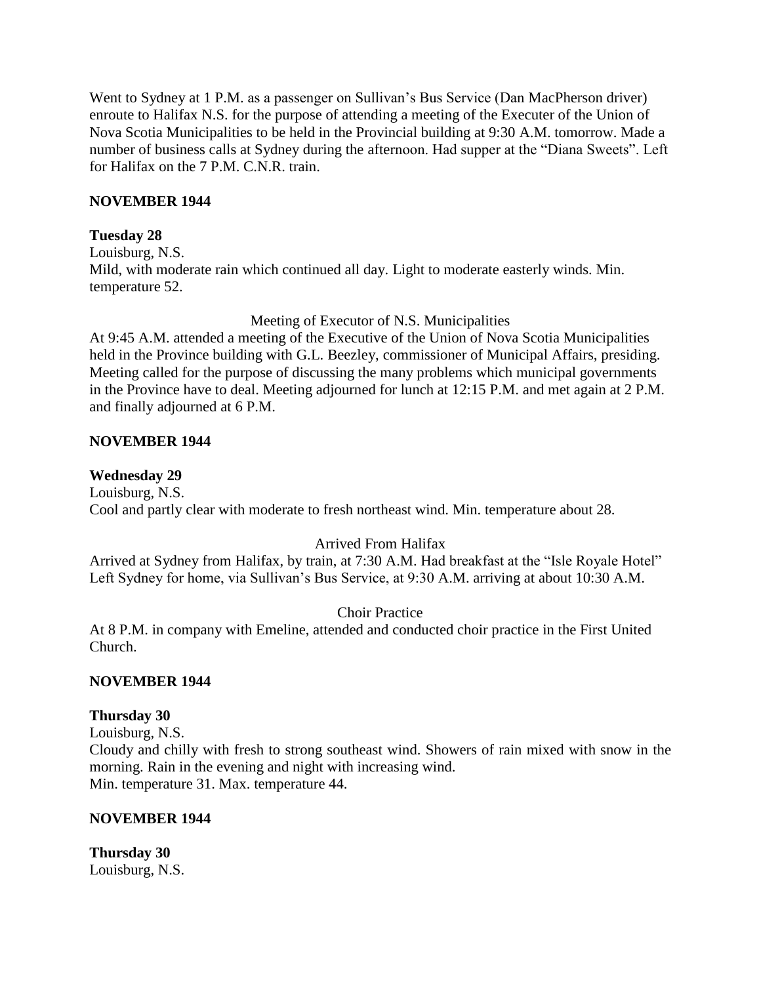Went to Sydney at 1 P.M. as a passenger on Sullivan's Bus Service (Dan MacPherson driver) enroute to Halifax N.S. for the purpose of attending a meeting of the Executer of the Union of Nova Scotia Municipalities to be held in the Provincial building at 9:30 A.M. tomorrow. Made a number of business calls at Sydney during the afternoon. Had supper at the "Diana Sweets". Left for Halifax on the 7 P.M. C.N.R. train.

### **NOVEMBER 1944**

### **Tuesday 28**

Louisburg, N.S. Mild, with moderate rain which continued all day. Light to moderate easterly winds. Min. temperature 52.

### Meeting of Executor of N.S. Municipalities

At 9:45 A.M. attended a meeting of the Executive of the Union of Nova Scotia Municipalities held in the Province building with G.L. Beezley, commissioner of Municipal Affairs, presiding. Meeting called for the purpose of discussing the many problems which municipal governments in the Province have to deal. Meeting adjourned for lunch at 12:15 P.M. and met again at 2 P.M. and finally adjourned at 6 P.M.

### **NOVEMBER 1944**

## **Wednesday 29**

Louisburg, N.S. Cool and partly clear with moderate to fresh northeast wind. Min. temperature about 28.

# Arrived From Halifax

Arrived at Sydney from Halifax, by train, at 7:30 A.M. Had breakfast at the "Isle Royale Hotel" Left Sydney for home, via Sullivan's Bus Service, at 9:30 A.M. arriving at about 10:30 A.M.

# Choir Practice

At 8 P.M. in company with Emeline, attended and conducted choir practice in the First United Church.

### **NOVEMBER 1944**

### **Thursday 30**

Louisburg, N.S.

Cloudy and chilly with fresh to strong southeast wind. Showers of rain mixed with snow in the morning. Rain in the evening and night with increasing wind. Min. temperature 31. Max. temperature 44.

### **NOVEMBER 1944**

**Thursday 30** Louisburg, N.S.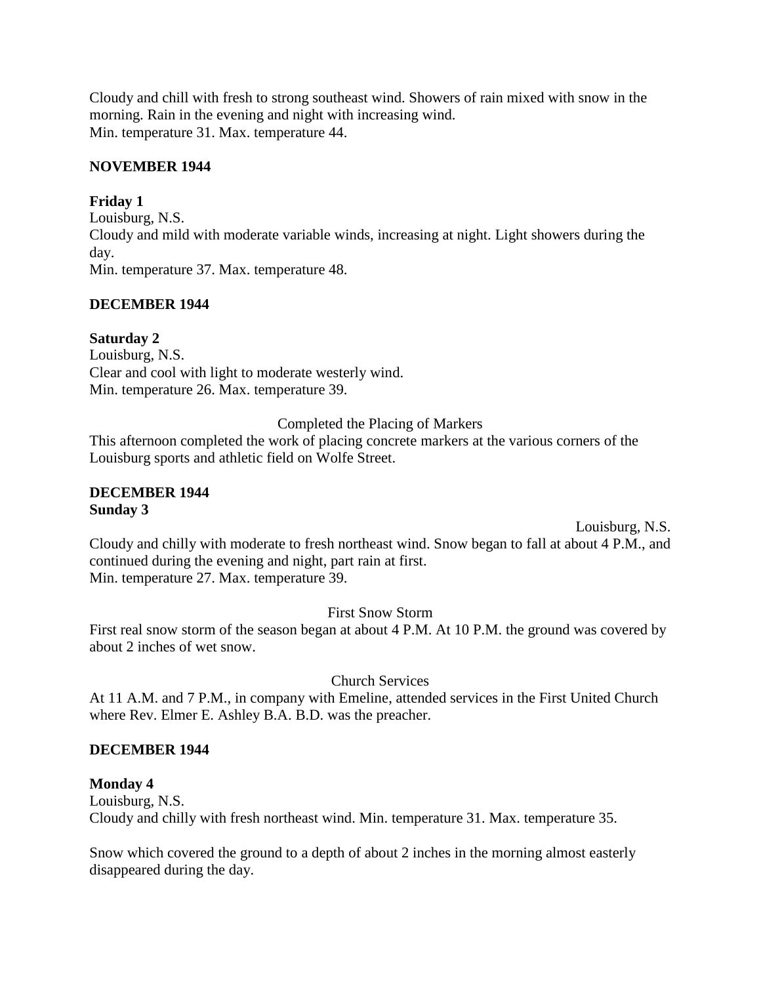Cloudy and chill with fresh to strong southeast wind. Showers of rain mixed with snow in the morning. Rain in the evening and night with increasing wind. Min. temperature 31. Max. temperature 44.

## **NOVEMBER 1944**

## **Friday 1**

Louisburg, N.S. Cloudy and mild with moderate variable winds, increasing at night. Light showers during the day. Min. temperature 37. Max. temperature 48.

## **DECEMBER 1944**

## **Saturday 2**

Louisburg, N.S. Clear and cool with light to moderate westerly wind. Min. temperature 26. Max. temperature 39.

Completed the Placing of Markers

This afternoon completed the work of placing concrete markers at the various corners of the Louisburg sports and athletic field on Wolfe Street.

### **DECEMBER 1944 Sunday 3**

Louisburg, N.S.

Cloudy and chilly with moderate to fresh northeast wind. Snow began to fall at about 4 P.M., and continued during the evening and night, part rain at first. Min. temperature 27. Max. temperature 39.

First Snow Storm

First real snow storm of the season began at about 4 P.M. At 10 P.M. the ground was covered by about 2 inches of wet snow.

Church Services

At 11 A.M. and 7 P.M., in company with Emeline, attended services in the First United Church where Rev. Elmer E. Ashley B.A. B.D. was the preacher.

### **DECEMBER 1944**

### **Monday 4**

Louisburg, N.S. Cloudy and chilly with fresh northeast wind. Min. temperature 31. Max. temperature 35.

Snow which covered the ground to a depth of about 2 inches in the morning almost easterly disappeared during the day.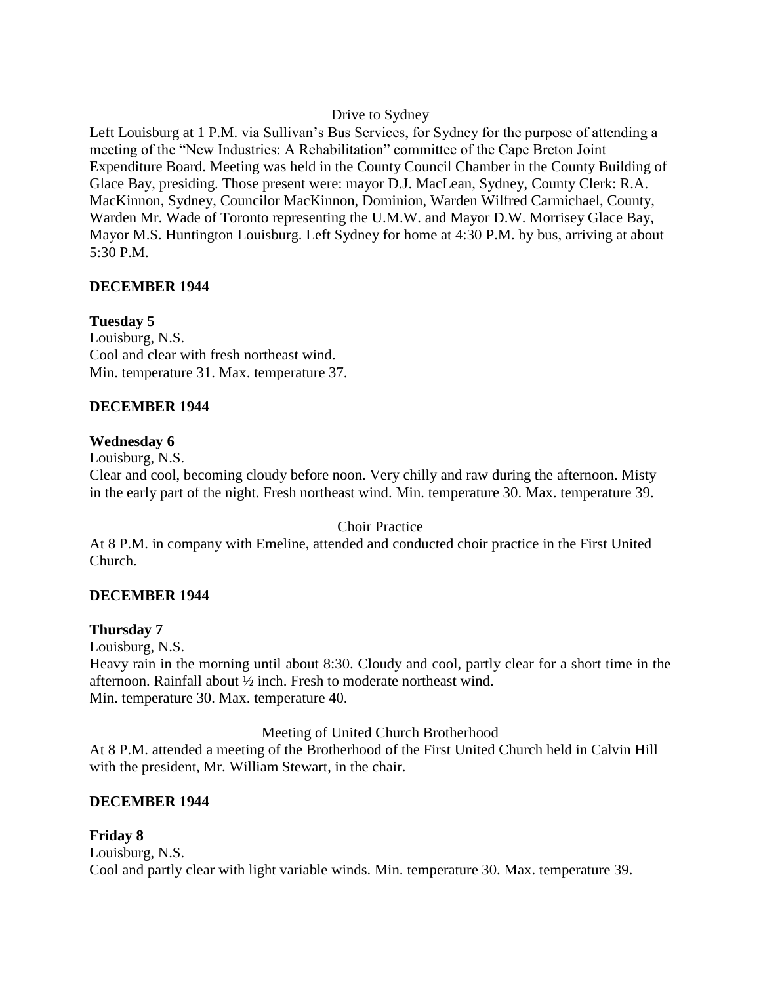# Drive to Sydney

Left Louisburg at 1 P.M. via Sullivan's Bus Services, for Sydney for the purpose of attending a meeting of the "New Industries: A Rehabilitation" committee of the Cape Breton Joint Expenditure Board. Meeting was held in the County Council Chamber in the County Building of Glace Bay, presiding. Those present were: mayor D.J. MacLean, Sydney, County Clerk: R.A. MacKinnon, Sydney, Councilor MacKinnon, Dominion, Warden Wilfred Carmichael, County, Warden Mr. Wade of Toronto representing the U.M.W. and Mayor D.W. Morrisey Glace Bay, Mayor M.S. Huntington Louisburg. Left Sydney for home at 4:30 P.M. by bus, arriving at about 5:30 P.M.

# **DECEMBER 1944**

# **Tuesday 5**

Louisburg, N.S. Cool and clear with fresh northeast wind. Min. temperature 31. Max. temperature 37.

## **DECEMBER 1944**

## **Wednesday 6**

Louisburg, N.S.

Clear and cool, becoming cloudy before noon. Very chilly and raw during the afternoon. Misty in the early part of the night. Fresh northeast wind. Min. temperature 30. Max. temperature 39.

### Choir Practice

At 8 P.M. in company with Emeline, attended and conducted choir practice in the First United Church.

# **DECEMBER 1944**

### **Thursday 7**

Louisburg, N.S.

Heavy rain in the morning until about 8:30. Cloudy and cool, partly clear for a short time in the afternoon. Rainfall about ½ inch. Fresh to moderate northeast wind. Min. temperature 30. Max. temperature 40.

Meeting of United Church Brotherhood

At 8 P.M. attended a meeting of the Brotherhood of the First United Church held in Calvin Hill with the president, Mr. William Stewart, in the chair.

# **DECEMBER 1944**

**Friday 8** Louisburg, N.S. Cool and partly clear with light variable winds. Min. temperature 30. Max. temperature 39.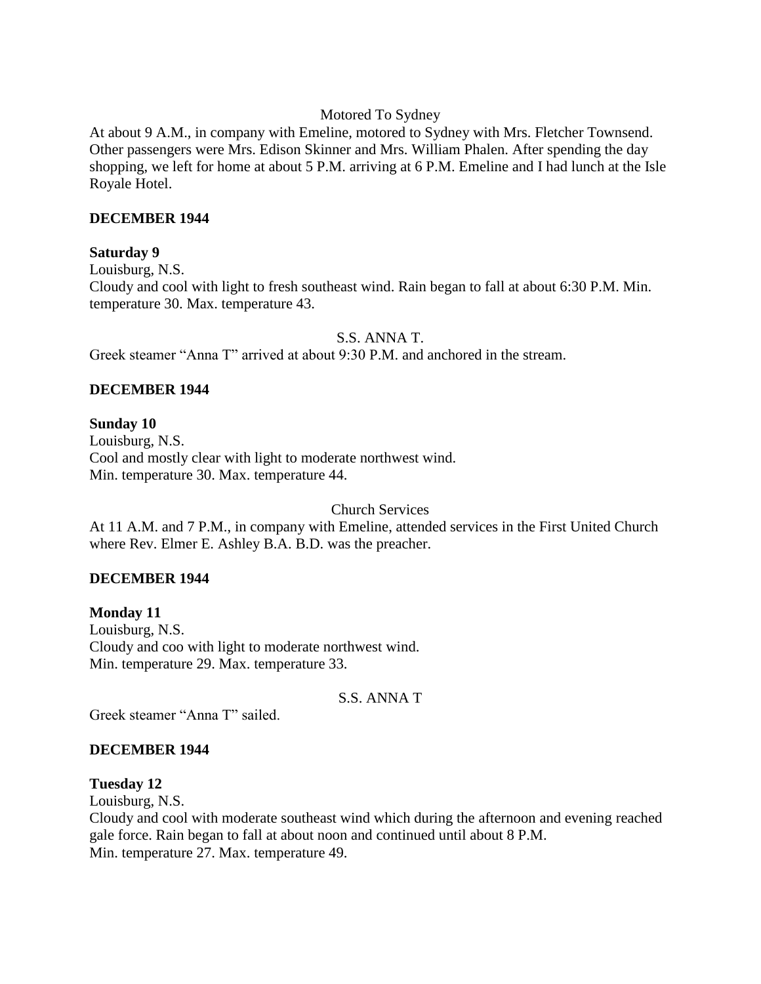### Motored To Sydney

At about 9 A.M., in company with Emeline, motored to Sydney with Mrs. Fletcher Townsend. Other passengers were Mrs. Edison Skinner and Mrs. William Phalen. After spending the day shopping, we left for home at about 5 P.M. arriving at 6 P.M. Emeline and I had lunch at the Isle Royale Hotel.

### **DECEMBER 1944**

## **Saturday 9**

Louisburg, N.S.

Cloudy and cool with light to fresh southeast wind. Rain began to fall at about 6:30 P.M. Min. temperature 30. Max. temperature 43.

## S.S. ANNA T.

Greek steamer "Anna T" arrived at about 9:30 P.M. and anchored in the stream.

# **DECEMBER 1944**

# **Sunday 10**

Louisburg, N.S. Cool and mostly clear with light to moderate northwest wind. Min. temperature 30. Max. temperature 44.

Church Services

At 11 A.M. and 7 P.M., in company with Emeline, attended services in the First United Church where Rev. Elmer E. Ashley B.A. B.D. was the preacher.

# **DECEMBER 1944**

**Monday 11** Louisburg, N.S. Cloudy and coo with light to moderate northwest wind. Min. temperature 29. Max. temperature 33.

S.S. ANNA T

Greek steamer "Anna T" sailed.

# **DECEMBER 1944**

### **Tuesday 12**

Louisburg, N.S.

Cloudy and cool with moderate southeast wind which during the afternoon and evening reached gale force. Rain began to fall at about noon and continued until about 8 P.M. Min. temperature 27. Max. temperature 49.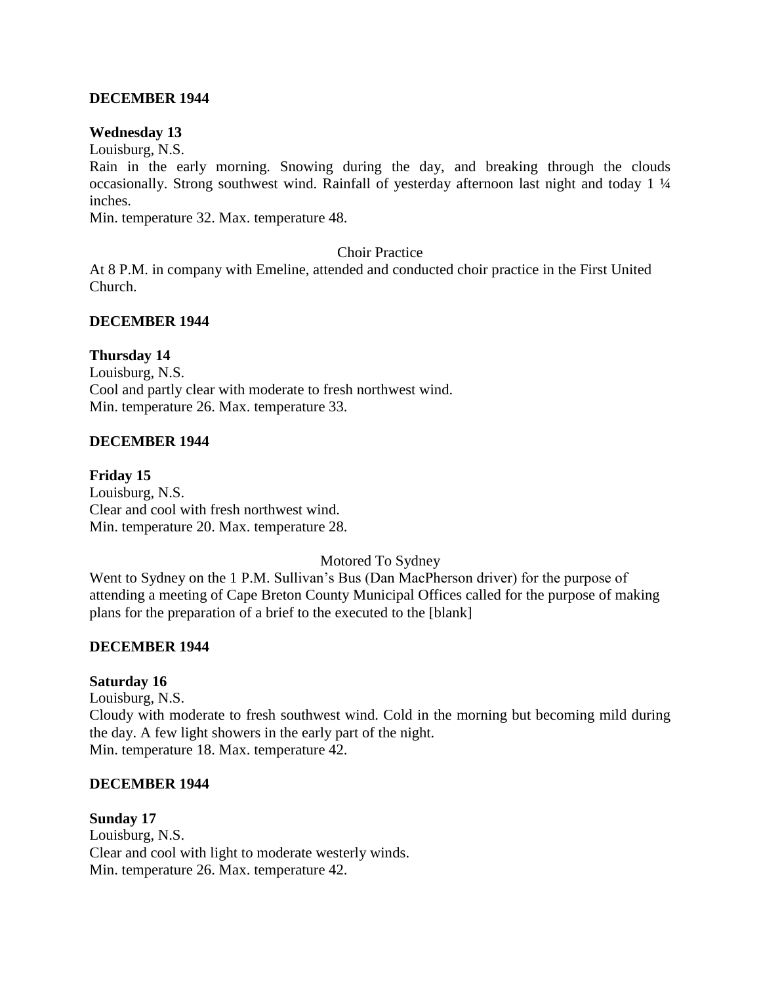### **DECEMBER 1944**

#### **Wednesday 13**

Louisburg, N.S.

Rain in the early morning. Snowing during the day, and breaking through the clouds occasionally. Strong southwest wind. Rainfall of yesterday afternoon last night and today 1 ¼ inches.

Min. temperature 32. Max. temperature 48.

Choir Practice

At 8 P.M. in company with Emeline, attended and conducted choir practice in the First United Church.

### **DECEMBER 1944**

#### **Thursday 14**

Louisburg, N.S. Cool and partly clear with moderate to fresh northwest wind. Min. temperature 26. Max. temperature 33.

#### **DECEMBER 1944**

**Friday 15** Louisburg, N.S. Clear and cool with fresh northwest wind. Min. temperature 20. Max. temperature 28.

Motored To Sydney

Went to Sydney on the 1 P.M. Sullivan's Bus (Dan MacPherson driver) for the purpose of attending a meeting of Cape Breton County Municipal Offices called for the purpose of making plans for the preparation of a brief to the executed to the [blank]

#### **DECEMBER 1944**

#### **Saturday 16**

Louisburg, N.S. Cloudy with moderate to fresh southwest wind. Cold in the morning but becoming mild during the day. A few light showers in the early part of the night. Min. temperature 18. Max. temperature 42.

#### **DECEMBER 1944**

**Sunday 17**

Louisburg, N.S. Clear and cool with light to moderate westerly winds. Min. temperature 26. Max. temperature 42.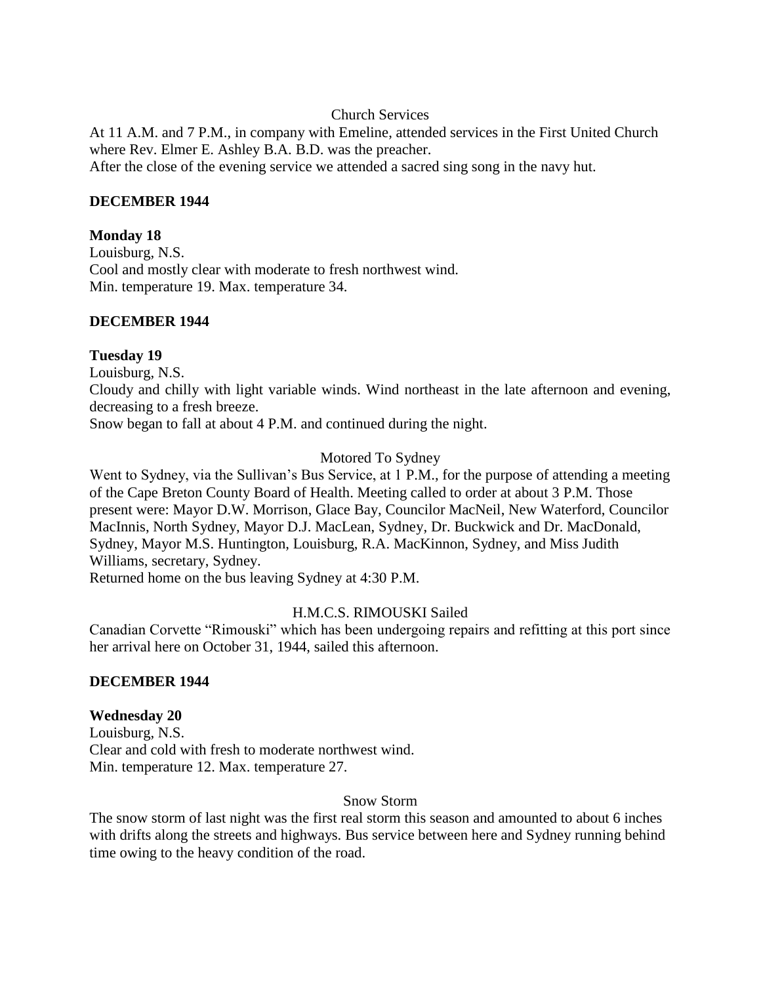### Church Services

At 11 A.M. and 7 P.M., in company with Emeline, attended services in the First United Church where Rev. Elmer E. Ashley B.A. B.D. was the preacher. After the close of the evening service we attended a sacred sing song in the navy hut.

#### **DECEMBER 1944**

#### **Monday 18**

Louisburg, N.S. Cool and mostly clear with moderate to fresh northwest wind. Min. temperature 19. Max. temperature 34.

#### **DECEMBER 1944**

#### **Tuesday 19**

Louisburg, N.S.

Cloudy and chilly with light variable winds. Wind northeast in the late afternoon and evening, decreasing to a fresh breeze.

Snow began to fall at about 4 P.M. and continued during the night.

#### Motored To Sydney

Went to Sydney, via the Sullivan's Bus Service, at 1 P.M., for the purpose of attending a meeting of the Cape Breton County Board of Health. Meeting called to order at about 3 P.M. Those present were: Mayor D.W. Morrison, Glace Bay, Councilor MacNeil, New Waterford, Councilor MacInnis, North Sydney, Mayor D.J. MacLean, Sydney, Dr. Buckwick and Dr. MacDonald, Sydney, Mayor M.S. Huntington, Louisburg, R.A. MacKinnon, Sydney, and Miss Judith Williams, secretary, Sydney.

Returned home on the bus leaving Sydney at 4:30 P.M.

### H.M.C.S. RIMOUSKI Sailed

Canadian Corvette "Rimouski" which has been undergoing repairs and refitting at this port since her arrival here on October 31, 1944, sailed this afternoon.

### **DECEMBER 1944**

### **Wednesday 20**

Louisburg, N.S. Clear and cold with fresh to moderate northwest wind. Min. temperature 12. Max. temperature 27.

#### Snow Storm

The snow storm of last night was the first real storm this season and amounted to about 6 inches with drifts along the streets and highways. Bus service between here and Sydney running behind time owing to the heavy condition of the road.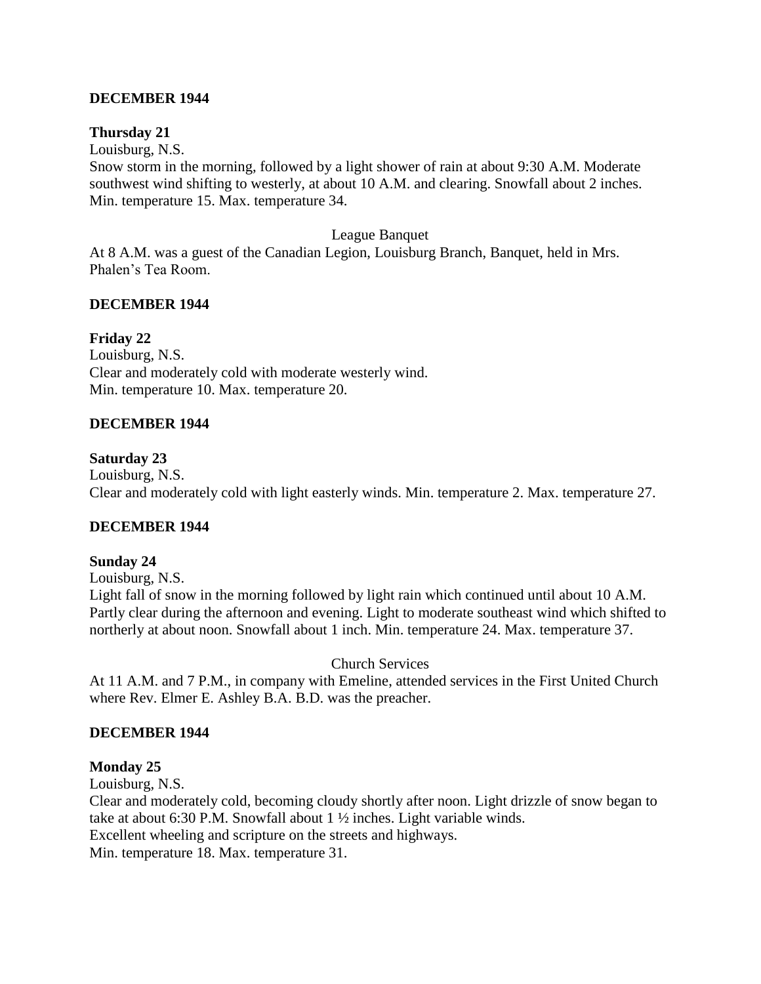## **DECEMBER 1944**

### **Thursday 21**

Louisburg, N.S.

Snow storm in the morning, followed by a light shower of rain at about 9:30 A.M. Moderate southwest wind shifting to westerly, at about 10 A.M. and clearing. Snowfall about 2 inches. Min. temperature 15. Max. temperature 34.

#### League Banquet

At 8 A.M. was a guest of the Canadian Legion, Louisburg Branch, Banquet, held in Mrs. Phalen's Tea Room.

## **DECEMBER 1944**

## **Friday 22**

Louisburg, N.S. Clear and moderately cold with moderate westerly wind. Min. temperature 10. Max. temperature 20.

### **DECEMBER 1944**

### **Saturday 23**

Louisburg, N.S. Clear and moderately cold with light easterly winds. Min. temperature 2. Max. temperature 27.

### **DECEMBER 1944**

### **Sunday 24**

Louisburg, N.S.

Light fall of snow in the morning followed by light rain which continued until about 10 A.M. Partly clear during the afternoon and evening. Light to moderate southeast wind which shifted to northerly at about noon. Snowfall about 1 inch. Min. temperature 24. Max. temperature 37.

### Church Services

At 11 A.M. and 7 P.M., in company with Emeline, attended services in the First United Church where Rev. Elmer E. Ashley B.A. B.D. was the preacher.

### **DECEMBER 1944**

### **Monday 25**

Louisburg, N.S.

Clear and moderately cold, becoming cloudy shortly after noon. Light drizzle of snow began to take at about 6:30 P.M. Snowfall about 1 ½ inches. Light variable winds. Excellent wheeling and scripture on the streets and highways.

Min. temperature 18. Max. temperature 31.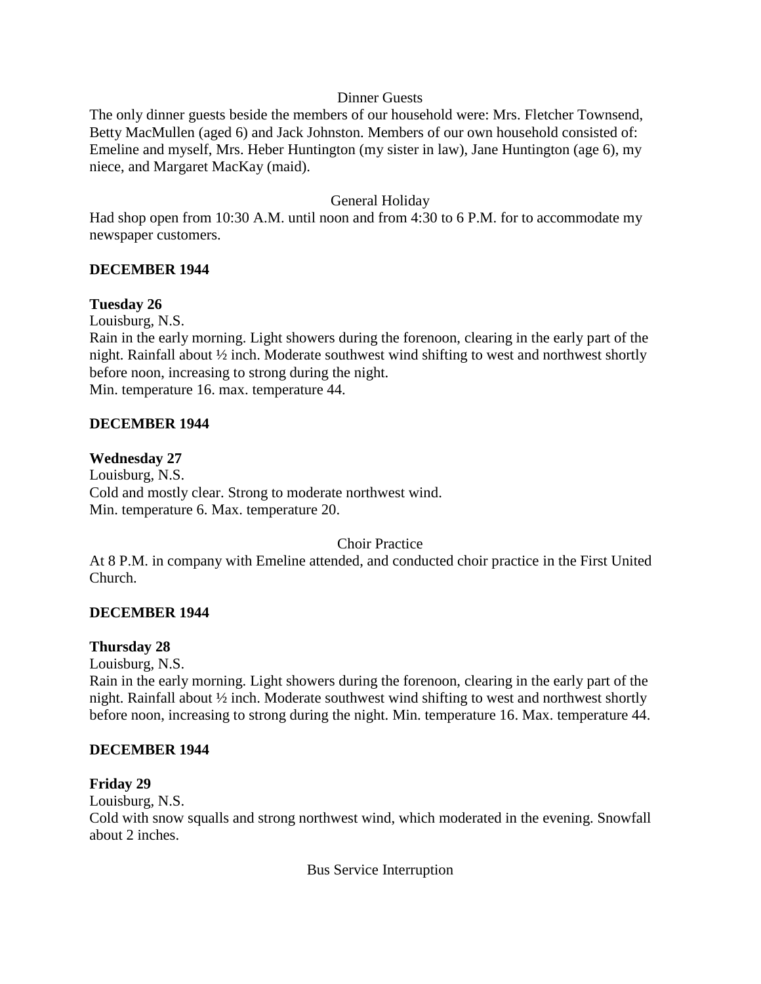## Dinner Guests

The only dinner guests beside the members of our household were: Mrs. Fletcher Townsend, Betty MacMullen (aged 6) and Jack Johnston. Members of our own household consisted of: Emeline and myself, Mrs. Heber Huntington (my sister in law), Jane Huntington (age 6), my niece, and Margaret MacKay (maid).

## General Holiday

Had shop open from 10:30 A.M. until noon and from 4:30 to 6 P.M. for to accommodate my newspaper customers.

## **DECEMBER 1944**

## **Tuesday 26**

Louisburg, N.S.

Rain in the early morning. Light showers during the forenoon, clearing in the early part of the night. Rainfall about ½ inch. Moderate southwest wind shifting to west and northwest shortly before noon, increasing to strong during the night. Min. temperature 16. max. temperature 44.

### **DECEMBER 1944**

### **Wednesday 27**

Louisburg, N.S. Cold and mostly clear. Strong to moderate northwest wind. Min. temperature 6. Max. temperature 20.

### Choir Practice

At 8 P.M. in company with Emeline attended, and conducted choir practice in the First United Church.

### **DECEMBER 1944**

### **Thursday 28**

Louisburg, N.S.

Rain in the early morning. Light showers during the forenoon, clearing in the early part of the night. Rainfall about ½ inch. Moderate southwest wind shifting to west and northwest shortly before noon, increasing to strong during the night. Min. temperature 16. Max. temperature 44.

#### **DECEMBER 1944**

#### **Friday 29**

Louisburg, N.S.

Cold with snow squalls and strong northwest wind, which moderated in the evening. Snowfall about 2 inches.

Bus Service Interruption